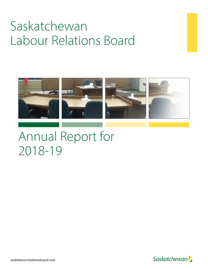# Saskatchewan Labour Relations Board



## Annual Report for 2018-19

*sasklabourrelationsboard.com*

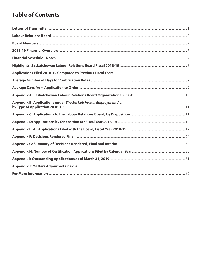## **Table of Contents**

| Appendix B: Applications under The Saskatchewan Employment Act, |
|-----------------------------------------------------------------|
|                                                                 |
|                                                                 |
|                                                                 |
|                                                                 |
|                                                                 |
|                                                                 |
|                                                                 |
|                                                                 |
|                                                                 |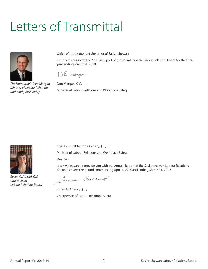# <span id="page-2-0"></span>Letters of Transmittal



*The Honourable Don Morgan Minister of Labour Relations and Workplace Safety*

Office of the Lieutenant Governor of Saskatchewan

I respectfully submit the Annual Report of the Saskatchewan Labour Relations Board for the fiscal year ending March 31, 2019.

DR morgan

Don Morgan, Q.C. Minister of Labour Relations and Workplace Safety



*Susan C. Amrud, Q.C. Chairperson Labour Relations Board*

The Honourable Don Morgan, Q.C.,

Minister of Labour Relations and Workplace Safety

Dear Sir:

It is my pleasure to provide you with the Annual Report of the Saskatchewan Labour Relations Board. It covers the period commencing April 1, 2018 and ending March 31, 2019.

Susan Anrued

Susan C. Amrud, Q.C., Chairperson of Labour Relations Board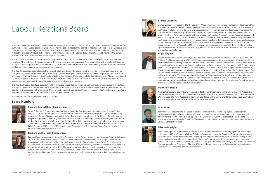## Labour Relations Board

The Labour Relations Board was created in 1944 with passage of The Trade Union Act. Although the Act was often amended, and, in 2014, replaced by The Saskatchewan Employment Act, the basic concept of the Board has not changed. The Board is an independent, quasi-judicial tribunal charged with the responsibility of adjudicating disputes that arise under The Saskatchewan Employment Act. It does this principally through public hearings and written decisions. The Board's decisions are final and binding on the parties. There is no appeal, and review by the courts is strictly limited.

The Act provides for a Board composed of a chairperson and up to two vice-chairpersons, and an unspecified number of other members. All members of the Board, including the chairperson and vice-chairperson(s), are appointed by the Lieutenant Governor in Council. The chairperson and vice-chairperson(s) are full-time members of the Board. The remaining members are appointed and paid on a per diem basis when their services are required.

The Board is a representational Board. This means that all members of the Board, with the exception of the chairperson and vicechairperson(s), are representatives of organized employees or employers. The chairperson and vice-chairperson(s) are neutral and are lawyers. The Board reports to the Minister of Labour Relations and Workplace Safety for Saskatchewan. The Minister is obligated by the Act to provide the Board with any technical, clerical and administrative assistance that the Board reasonably requires. The Board operates independently from the government, its ministries and agencies.

The Board's offices and staff are located at 1600 - 1920 Broad Street, Regina. The Board also maintains a hearing room in Saskatoon. The staff of the Board is composed of the Board Registrar, Secretary to the Chairperson, Board Officer and an administrative support position. The Chairperson is the Executive Officer of the Board. An Organizational Chart of the Labour Relations Board is contained in Appendix A: Saskatchewan Labour Relations Board Organizational Chart.

Brenda Cuthbert was appointed to the Board in 1995 as a member representing employers. In December 2017, she retired as the Vice-President of Human Resources for the Siemens Transportation Group Inc. She worked in the trucking industry for over 29 years. She was responsible for strategic planning, leading and managing the Corporate Human Resources programs and policies for nine transportation companies employing over 1,600 employees. In 2017 she was honoured with two awards. The Canadian Trucking's Human Resources Leader of the Year is Trucking HR Canada's most coveted award which celebrates the role of Human Resources practitioners in the trucking and logistics industry and recognizes an individual who demonstrates human resources leadership within their organization. Then Service to the Industry Award, was presented by Omnitracs Canada at the Saskatchewan Trucking Association 80th Anniversary. This award is given annually to those who have made a significant contribution to the trucking industry. Brenda continues to reside in Saskatoon with her husband Tim. She has four grandchildren.

The composition of the Board as of March 31, 2019 is:

#### **Board Members**



#### **Susan C. Amrud Q.C. – Chairperson**

Susan C. Amrud, Q.C. was appointed as Chairperson of the Saskatchewan Labour Relations Board effective March 7, 2018. Ms. Amrud practiced law with the Saskatchewan Ministry of Justice for 34 years, most recently as Associate Deputy Minister. Her practice focused on legislative development. For 15 years she led a team of lawyers that provided advice to government on constitutional, human rights, trade and Aboriginal law issues as well as the development, drafting and publication of legislation and the operation of public registries. She was awarded the Queen Elizabeth II Diamond Jubilee Medal in 2012 and the Premier's Award for Excellence in the Public Service in 2013 as part of The Saskatchewan Employment Act Development Team. She is a member of the Board of Pro Bono Law Saskatchewan.



#### **Barbara Mysko - Vice-Chairperson**

Barbara Mysko was appointed as the Vice-Chairperson of the Saskatchewan Labour Relations Board on February 19, 2019. Ms. Mysko obtained her Bachelor of Common Law and Bachelor of Civil Law degrees from McGill University as well as a Master of Arts from Dalhousie University. She acted as Senior Crown Counsel with the Constitutional Law Branch, Saskatchewan Ministry of Justice, immediately prior to her appointment to the Board. As counsel with the Ministry since 2009, Ms. Mysko acted as a litigator on major cases involving human rights, labour, and Charter issues. Ms. Mysko was awarded the Pro Bono Service Award in 2016 as a member of the Immigration and Refugee Panel. She was elected as a Bencher for the Law Society of Saskatchewan in November, 2018.



#### **Brenda Cuthbert**

#### **Hugh Wagner**



Hugh Wagner is the General Secretary of the Grain and General Services Union (ILWU-Canada). He joined the GSU as a Staff Representative in 1975. In 1977, Wagner was appointed Secretary-Manager of the union which is the Chief Executive Officer position. In 1994 the position became an elected office of the union and the title was changed to General Secretary. Mr. Wagner has been on the Board since his appointment in 1995. Prior to joining the GSU, Mr. Wagner worked in the service sector, the construction industry, and the provincial civil service in Saskatchewan. Wagner obtained a Bachelor of Arts (Honours) in Political Science from the Regina Campus of the University of Saskatchewan and a Masters Degree in Political Science from the University of Regina. In addition to his duties with the GSU,he is a member of the Board of Directors of the Western Transportation Advisory Council, past Vice-President of the Saskatchewan Federation of Labour, member of the Executive Board of the International Longshore and Warehouse Union - Canada and labour member of the Advisory Committee to the Minister of Labour Relations and Workplace Safety.

#### **Maurice Werezak**



Maurice Werezak was appointed to the Board in 2001 as a member representing employees. Mr. Werezak is a past Vice-President of the Saskatchewan Federation of Labour and is President of United Food and Commercial Workers, Local 248-P. Mr. Werezak is a labour representative on the Employment Insurance Appeal Committee and was employed at Mitchell's Gourmet Foods. He is now retired.

#### **Joan White**



Joan White was appointed to the Board in 2001 as a member representing employers. She retired from the University of Saskatchewan following 37 years in human resource management, labour relations, and government relations. She held various posts at the university including Director of Labour Relations. Ms. White has a BA, an MBA, and a Queen's IRC Certificate in Labour Relations and has taught labour relations in the Edwards School of Business.

#### **Mike Wainwright**



Mike Wainwright was appointed to the Board in 2002 as a member representing employers. Mr. Wainwright is the owner of Mike Wainwright Labour Relations Consulting. He was the Director, HR Business Development for Information Systems Management Canada Corporation (ISM Canada) and has held executive HR positions in the retail and wholesale sectors as well as in the manufacturing sector. Mike has served as an employer representative on the Minister's Advisory Council for Occupational Health and Safety as well as the 2016 Workers' Compensation Board Committee of Review. Mike served over 25 years on the Expert Committee on Human Resources, Saskatchewan Chamber of Commerce.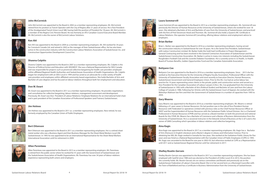

#### **John McCormick**

John McCormick was appointed to the Board in 2002 as a member representing employees. Mr. McCormick retired from his position as Transit Operator with the City of Regina after 31 years of service. He is Past President of the Amalgamated Transit Union Local 588, having held the position of President for 18 years. Mr. McCormick is a member of the Regina Civic Pension Board. He was formerly an ATU Canadian Council Executive Board Member. Mr. McCormick is also the owner of McCormick Labour Solutions.



#### **Ken Ahl**

Ken Ahl was appointed to the Board in 2004 as a member representing employers. Mr. Ahl worked for 34 years for Comstock Canada Ltd. and retired in 2003 as the manager of their Saskatchewan office. He has also been active in the construction industry with the Construction Labour Relations Association of Saskatchewan Inc. and Construction Opportunities Development Council Inc.



#### **Shawna Colpitts**

Shawna Colpitts was appointed to the Board in 2007 as a member representing employees. Ms. Colpitts is the Director of Political Action and Education with SEIUWEST. She was a National Representative for SEIU Canada and was responsible for projects such as provincial collective bargaining for health care providers employed within affiliated Regional Health Authorities and Saskatchewan Association of Health Organizations. Ms. Colpitts began her employment with an SEIU Local in 1994 and has acted as an advocate for a wide variety of health care providers and employees within affiliated community based organizations. She holds Bachelor of Arts and Bachelor of Laws degrees and has focused on labour relations throughout both her employment and education.



#### **Don W. Ewart**

Mr. Ewart was appointed to the Board in 2011 as a member representing employers. He provides negotiations and consultation for collective bargaining, labour relations, management assessment and development. Previously, Mr. Ewart was Vice- President of Labour Relations/ Employee Relations for an international hotel chain and is past president of the Canadian Association of Professional Speakers (and Trainers) Saskatchewan.



#### **Jim Holmes**

Jim Holmes was appointed to the Board in 2011 as a member representing employees. Now retired, he was formerly employed by the Canadian Union of Public Employees.



#### **Bert Ottenson**

Bert Ottenson was appointed to the Board in 2011 as a member representing employees. He is a retired sheet metal worker who was a Business Agent and then Business Manager for the Sheet Metal Workers Local 296 Saskatchewan. In 1993 he was appointed to be an International Representative for the Sheet Metal Workers International Association until his retirement in 2009.



#### **Allan Parenteau**

Allan Parenteau was appointed to the Board in 2013 as a member representing employers. Mr. Parenteau is retired from the public sector where he worked for 41 years with the Government of Saskatchewan and the Saskatchewan Association of Health Organizations. Mr. Parenteau has over 34 years of labour relations experience representing both unions and employers.





**Laura Sommervill** 

Laura Sommervill was appointed to the Board in 2013 as a member representing employers. Ms. Sommervill was previously the Director of Human Resources at the University of Saskatchewan, where she worked for over 18 years. She obtained a Bachelor of Arts and Bachelor of Laws from the University of Saskatchewan, and practiced with the firm of Priel Stevenson Hood and Thornton. Ms. Sommervill also holds a Queen's IRC Certificate in Labour Relations. She operates Sommervill Consulting, offering labour relations and employment advice to employers.

#### **Brian Barber**



Brian L. Barber was appointed to the Board in 2016 as a member representing employers, having served the construction industry in Saskatchewan for over 30 years. He is the Senior Vice President, Saskatchewan with Ledcor Construction Limited. Mr. Barber holds the Gold Seal Certification in Project Management – General Contracting and has been involved in the General Contractors Association of Saskatchewan and the Saskatchewan Construction Association. Mr. Barber is active in many civic interests including the Saskatchewan Roughriders Football Club and the Juvenile Diabetes Foundation. He is currently active in 3s Health, 3s Health Board of Trustees Benefits, Golden Opportunities Fund and the Canadian Automobile Association.



Bettyann Cox was appointed to the Board in 2016 as a member representing employees. Since 2013 she has worked as the Executive Director for the University of Regina Faculty Association, Professional Officer with the University of Saskatchewan Faculty Association and most recently as Executive Director, Human Resources, Saskatchewan Government and General Employees Union. Prior to this Ms. Cox had an active labour law practice for 10 years representing union clients in the private, public and construction sectors and served as a Vice-President for the Canadian Association of Labour Lawyers (CALL). Ms. Cox graduated from the University of Saskatchewan in 1992 with a Bachelor of Arts (Political Studies) and Bachelor of Laws and from the Labour College of Canada in 1986. Following her Articles with the Saskatchewan Court of Appeal, she worked with the Woloshyn Mattison law firm and then the Government of Saskatchewan in a number of capacities from 1995 to 2004.



Gary Mearns was appointed to the Board in 2016 as a member representing employers. Mr. Mearns is retired following a 41-year career in Human Resources. His last position was in the role of Vice-President Human Resources with Federated Co-operatives Limited with previous roles as the Chief Human Resources Officer at SIAST and the Superintendent of Human Resources with the Saskatoon Public School Division. He is a Chartered Professional in Human Resources (CPHR) and has served as a Board member on both the provincial and national Boards for the CPHR. Mr. Mearns has a Bachelor of Commerce and a Master of Business Administration from the University of Saskatchewan. He is a sessional instructor in the Edwards School of Business at the U of S and is the owner of GMA Consulting which specializes in labour relations and collective bargaining.

#### **Aina Kagis**



Aina Kagis was appointed to the Board in 2017 as a member representing employees. Ms. Kagis has a Bachelor of Arts (Honours) in English Literature and a Master's degree in Library and Information Science. Prior to obtaining her MA, Ms. Kagis worked in Somalia for two years. She worked at the Saskatoon Public Library for five years and was hired as a National Representative with the Canadian Union of Public Employees (CUPE) in 1993. Ms. Kagis was seconded to the Board for one year in 2002-03, but otherwise worked at CUPE as a Representative until 2011 and as Saskatchewan Regional Director until her retirement in 2017.

# **Shelley Boutin-Gervais**

Shelley Boutin-Gervais was appointed to the Board in 2017 as a member representing employees. She has been employed with SaskTel since 1980 and was elected as the President of Unifor Local 2S in 2013, the position she currently holds. Ms. Boutin-Gervais sits on various committees and Boards and previously sat on the Saskatchewan Federation of Labour's Executive Board. She is in her second term as a Municipal Councillor with the Town of Battleford and has a Certificate in Business Administration from the University of Saskatchewan.

Saskatchewan Labour Relations Board **Annual Report for 2018-19** 4 Annual Report for 2018-19

Annual Report for 2018-19 Saskatchewan Labour Relations Board Saskatchewan Labour Relations Board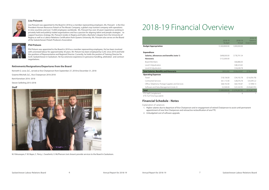

#### **Lisa Poissant**

Lisa Poissant was appointed to the Board in 2018 as a member representing employers. Ms. Poissant is the Vice President-Human Resources Potash at The Mosaic Company, a global crop nutrient company with operations in nine countries and over 15,000 employees worldwide. Ms. Poissant has over 20 years' experience working in privately held and publicly traded organizations and has a passion for aligning talent and people strategies to support business strategy. Ms. Poissant resides in Regina and holds a Bachelor's degree from the University of Regina as well as a Labour Relations Certification from Queens University. Ms. Poissant also serves on the Board of the Saskatchewan Potash Producers Association



#### **Phil Polsom**

Phil Polsom was appointed to the Board in 2018 as a member representing employees. He has been involved with unionized labour for approximately 30 years. Mr. Polsom has been employed by CLAC since 2010 and held the positions of Representative and Regional Director. Currently, he holds the positon of Training Director for CLAC Saskatchewan in Saskatoon. He has extensive experience in grievance handling, arbitration and contract negotiations.

#### **Retirements/Resignations/Departures from the Board**

Kenneth G. Love, Q.C., served as Vice Chairperson from September 27, 2018 to December 31, 2018

Graeme Mitchell, Q.C., Vice Chairperson 2016-2018

Kent Kornelsen 2016 -2018

Steven Seiferling 2013-2018

#### **Staff**



M. Pahuwayan, F. W. Bayer, C. Perry, J. Swarbrick, V. McPherson (not shown) provide services to the Board in Saskatoon.

## 2018-19 Financial Overview

|                                                  | 2018-19<br><b>Budget</b> | 2018-19<br>Actual | 2018-19<br>Variance<br>Over/(Under) |
|--------------------------------------------------|--------------------------|-------------------|-------------------------------------|
| <b>Budget Appropriation</b>                      | \$1,00,0000.00           | 1,000,000.00      |                                     |
| <b>Expenditure</b>                               |                          |                   |                                     |
| Salaries, allowances and benefits (note 1)       | \$698,000.00             | \$778,791.54      |                                     |
| <b>Honoraria</b>                                 | \$152,000.00             |                   |                                     |
| <b>Board Members</b>                             |                          | \$66,886.00       |                                     |
| Level II Adjudicators                            |                          | \$48,323.65       |                                     |
| Level III Adjudicators                           |                          | \$34,638.78       |                                     |
| <b>Total Salaries, Benefits and Honoraria</b>    | \$850,000                | \$928,639.97      | (578, 639.97)                       |
| <b>Operating Expenses</b>                        |                          |                   |                                     |
| Travel                                           | \$18,136.00              | \$34,192.78       | (\$16,056.78)                       |
| Contracted Services                              | \$61,172.00              | \$28,076.78       | \$33,095.22                         |
| Office, Telephone, Postage Supplies and Services | \$68,192.00              | \$60,193.87       | \$7,998.13                          |
| Software and Data Management (note 2)            | \$2,500.00               | \$23,163.95       | (520, 663.95)                       |
| <b>Total</b>                                     | \$1,000,000.00           | \$1,074,267.35    | (574, 267.35)                       |
| FTE Staff Complement                             |                          | 6                 |                                     |

(FTE-Full Time Equivalent)

#### **Financial Schedule - Notes**

Explanation of variances

- 1. Higher salaries due to departure of Vice Chairperson and re-engagement of retired Chairperson to assist until permanent appointment of new Vice Chairperson and retroactive reclassification of one FTE.
- 2. Unbudgeted cost of software upgrade.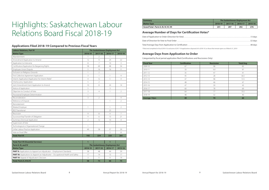#### **Applications Filed 2018-19 Compared to Previous Fiscal Years**

| <b>Labour Relations, Part VI</b>                                                  | <b>The Saskatchewan Employment Act</b> |                                        |                |                |
|-----------------------------------------------------------------------------------|----------------------------------------|----------------------------------------|----------------|----------------|
| <b>Matter Type</b>                                                                | 2018-19                                | 2017-18                                | 2016-17        | 2015-16        |
| Abandonment                                                                       | 1                                      | 2                                      | -1             |                |
| Amendment/Application to Amend                                                    | 12                                     | 15                                     | 24             | 22             |
| Application to Intervene                                                          | 8                                      | $\overline{7}$                         | 10             | 3              |
| Certification/Application for Bargaining Rights                                   | 58                                     | 69                                     | 48             | 54             |
| Employee-Union Dispute                                                            | 5                                      | 16                                     | 16             | 11             |
| Exclusion on Religious Grounds                                                    | $\mathbf{1}$                           | $\overline{2}$                         |                |                |
| First Collective Agreement Application                                            | 3                                      | $\mathbf{1}$                           | $\mathbf{1}$   | 4              |
| Interim Application/Application for Interim Relief                                | $\overline{4}$                         | 12                                     | 5              | $\overline{4}$ |
| Interlocutory Application                                                         | 5                                      | $\mathfrak{D}$                         |                |                |
| Joint Amendment/Joint Application to Amend                                        | 10                                     | 8                                      | 24             | 14             |
| Notice of Application                                                             | 5                                      |                                        | 3              |                |
| Objection to Conduct of Vote                                                      | $\mathsf 3$                            | $\overline{4}$                         | $\mathbf{1}$   | 2              |
| Provisional Employee Determination                                                | $\mathbf{1}$                           |                                        |                |                |
| Reconsideration                                                                   | 3                                      | $\overline{2}$                         |                | $\overline{4}$ |
| Reference of Dispute                                                              |                                        |                                        | $\mathbf{1}$   | $\overline{2}$ |
| Reinstatement                                                                     |                                        |                                        |                |                |
| Related Employer                                                                  | $\mathbf{1}$                           |                                        | $\mathbf{1}$   | $\overline{2}$ |
| <b>REO Transitional</b>                                                           |                                        |                                        | 23             |                |
| Rescission                                                                        | 9                                      | 8                                      | $\overline{4}$ | $\overline{7}$ |
| Successorship/Transfer of Obligation                                              | 11                                     | 6                                      | 13             | 21             |
| Summary Dismissal Application                                                     | $\overline{2}$                         | 12                                     | 10             | $\overline{4}$ |
| Supervision of Vote                                                               |                                        |                                        | $\mathbf{1}$   |                |
| Technological or Organizational Change                                            | $\mathbf{1}$                           |                                        |                |                |
| Unfair Labour Practice Application                                                | 49                                     | 58                                     | 37             | 39             |
| Vote on Final Offer                                                               |                                        |                                        | $\overline{2}$ | 8              |
| <b>Total: Part VI</b>                                                             | 192                                    | 224                                    | 225            | 201            |
|                                                                                   |                                        |                                        |                |                |
| <b>Total: Part VII (Essential Services)</b>                                       | $\mathbf{1}$                           |                                        | $\mathbf{1}$   |                |
| Parts II, III, and IV                                                             |                                        | <b>The Saskatchewan Employment Act</b> |                |                |
| <b>Matter Type</b>                                                                | 2018-19                                | 2017-18                                | 2016-17        | 2015-16        |
| PART II: Applications to Appoint an Adjudicator - Employment Standards            | 38                                     | 48                                     | 44             | 39             |
| PART III: Applications to Appoint an Adjudicator - Occupational Health and Safety | 17                                     | 14                                     | 13             | 17             |
| PART IV: Appeal of Adjudicator's Decision                                         | $\mathsf 3$                            | 11                                     | 9              | 19             |
| Total: Parts II, III & IV                                                         | 58                                     | 73                                     | 66             | 75             |

## Highlights: Saskatchewan Labour Relations Board Fiscal 2018-19

#### **Summary The Saskatchewan Employment Act Matter Type 2018-19 2017-18 2016-17 2015-16 Grand Total : Parts II, III, IV, VI, VII 251 297 292 276**

#### **Average Number of Days for Certification Votes\***

| *Filed and completed in fiscal 2018-19, exclusive of 2017-18 applications disposed of in 2018-19, or those that remain open as of March 31, 2019 |  |
|--------------------------------------------------------------------------------------------------------------------------------------------------|--|

#### **Average Days from Application to Order**

Categorized by fiscal period application filed (Certifications and Rescissions Only)

| <b>Fiscal Year</b>   | <b>Certification</b> | <b>Rescission</b> | <b>Total Avg.</b> |
|----------------------|----------------------|-------------------|-------------------|
| 2009-10              | 67                   | 98                | 83                |
| 2010-11              | 33                   | 161               | 97                |
| 2011-12              | 35                   | 47                | 41                |
| 2012-13              | 45                   | 28                | 36.5              |
| 2013-14              | 47                   | 98                | 72.5              |
| 2014-15              | 48                   | 46                | 47                |
| 2015-16              | 47                   | 39                | 43                |
| 2016-17              | 60                   | 78                | 69                |
| 2017-18              | 64                   | 77                | 70.5              |
| 2018-19              | 48                   | 32                | 40                |
| <b>Average-10yrs</b> | 49                   | 70                | 60                |

| <b>The Saskatchewan Employment Act</b> |         |         |         |  |  |
|----------------------------------------|---------|---------|---------|--|--|
| 2018-19                                | 2017-18 | 2016-17 | 2015-16 |  |  |
| 251                                    | 297     | 292     | 276     |  |  |
|                                        |         |         |         |  |  |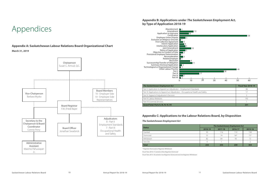#### **Appendix A: Saskatchewan Labour Relations Board Organizational Chart March 31, 2019**

## Appendices



#### **Appendix B: Applications under The Saskatchewan Employment Act, by Type of Application 2018-19**



#### **Appendix C: Applications to the Labour Relations Board, by Disposition**

**The Saskatchewan Employment Act**

| <b>Status</b> | <b>The Saskatchewan Employment Act</b> |         |         |         |  |  |
|---------------|----------------------------------------|---------|---------|---------|--|--|
|               | 2018-19                                | 2017-18 | 2016-17 | 2015-16 |  |  |
| Granted       | 93                                     | 116     | 110     | 158     |  |  |
| Dismissed     | 55                                     | 74      | $56*$   | $72*$   |  |  |
| Withdrawn     | 82                                     | 64      | 93      | 72      |  |  |
| Sine Die      |                                        |         |         |         |  |  |
| <b>Total</b>  | 234                                    | 255     | 259     | 304     |  |  |

\* Registrar Dismissed or Registrar Withdrawn

Fiscal Year 2016-17 contains three Registrar Dismissed

Fiscal Year 2015-16 contains two Registrar Dismissed and one Registrar Withdrawn

Annual Report for 2018-19 11 and Saskatchewan Labour Relations Board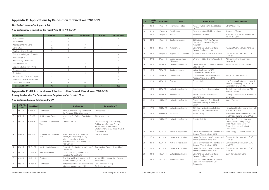#### **Appendix D: Applications by Disposition for Fiscal Year 2018-19**

#### **The Saskatchewan Employment Act**

#### **Applications by Disposition for Fiscal Year 2018-19, Part VI**

| <b>Matter Type</b>                 | <b>Granted</b> | <b>Dismissed</b> | <b>Withdrawn</b> | <b>Sine Die</b> | <b>Grand Total</b> |
|------------------------------------|----------------|------------------|------------------|-----------------|--------------------|
| Abandonment                        |                |                  |                  |                 | $\overline{2}$     |
| Amendment                          | 3              | $\mathcal{P}$    | 5                |                 |                    |
| Application to Intervene           | 3              | 3                | 3                |                 | 9                  |
| Certification                      | 35             | 6                | 14               |                 | 56                 |
| Employee-Union Dispute             | 3              | 4                | $\overline{4}$   |                 | 11                 |
| Exclusion on Religious Grounds     |                |                  |                  |                 |                    |
| Interim Application                |                | $\overline{2}$   |                  |                 | 3                  |
| Interlocutory Application          | $\overline{2}$ |                  | 5                |                 | 7                  |
| Joint Amendment                    | 7              |                  | 2                |                 | 9                  |
| Objection to Conduct of Vote       |                |                  | $\overline{2}$   |                 | 3                  |
| Reconsideration                    |                |                  |                  |                 |                    |
| Rescission                         | 4              |                  | 5                |                 | 9                  |
| Successorship/Trans. of Obligation | 3              |                  |                  |                 | 3                  |
| Summary Dismissal Application      |                |                  |                  |                 |                    |
| Unfair Labour Practice             | 8              | 3                | 33               | $\overline{2}$  | 46                 |
| <b>Disposed Part VI</b>            | 75             | 24               | 77               | 4               | 180                |

#### **Appendix E: All Applications Filed with the Board, Fiscal Year 2018-19**

**As required under The Saskatchewan Employment Act - ss 6-102(a)**

#### **Applications: Labour Relations, Part VI**

| #              | <b>LRB File</b><br>No. | <b>Date Filed</b> | <b>Issue</b>                    | <b>Applicant(s)</b>                                                                                                                                          | <b>Respondent(s)</b>                                                                                                                                         |
|----------------|------------------------|-------------------|---------------------------------|--------------------------------------------------------------------------------------------------------------------------------------------------------------|--------------------------------------------------------------------------------------------------------------------------------------------------------------|
|                | $091 - 18$             | $4-Apr-18$        | Certification                   | UA of Journeyman & Apprentices of<br>the Plumbing & Pipefitting Local 179                                                                                    | RKM Services Ltd.                                                                                                                                            |
| $\overline{2}$ | 092-18                 | $4 - Apr - 18$    | Unfair Labour Practice          | Moose Jaw Fire Fighters Association<br>No. 553                                                                                                               | City of Moose Jaw                                                                                                                                            |
| 3              | 093-18                 | $6 - Apr - 18$    | Objection to Conduct of<br>Vote | Comfort Cabs Ltd.                                                                                                                                            | United Steel, Paper and Forestry,<br>Rubber, Manufacturing, Energy,<br>Allied Industrial and Service<br>Workers International Union (United<br>Steelworkers) |
| $\overline{4}$ | 094-18                 | $9 - Apr - 18$    | Objection to Conduct of<br>Vote | United Steel, Paper and Forestry,<br>Rubber, Manufacturing, Energy,<br>Allied Industrial and Service<br>Workers International Union (United<br>Steelworkers) | Comfort Cabs Ltd.                                                                                                                                            |
| 5              | 096-18                 | 10-Apr-18         | Application to Intervene        | Progressive Contractors Association of<br>Canada, The                                                                                                        | Construction Workers Union, CLAC<br>Local 151                                                                                                                |
| 6              | 097-18                 | 12-Apr-18         | Joint Amendment                 | CUPE, Local 1902 / University Co-<br>operative Daycare Center                                                                                                |                                                                                                                                                              |
| $\overline{7}$ | 098-18                 | 12-Apr-18         | Certification                   | IA of Heat and Frost Insulators and<br>Asbestos Workers, Local 119                                                                                           | Vertex Oilfield Services Ltd. / Vertex<br><b>Field Services</b>                                                                                              |
| 8              | 099-18                 | 16-Apr-18         | Certification                   | United Brotherhood of Carpenters and<br>Joiners of America, Local 1985                                                                                       | Park Derochie Coatings<br>(Saskatchewan) Inc.                                                                                                                |

Saskatchewan Labour Relations Board 12 12 and 12 annual Report for 2018-19

| #  | <b>LRB File</b><br>No. | <b>Date Filed</b> | <b>Issue</b>                            | <b>Applicant(s)</b>                                                                 | <b>Respondent(s)</b>                                                                                                                                         |
|----|------------------------|-------------------|-----------------------------------------|-------------------------------------------------------------------------------------|--------------------------------------------------------------------------------------------------------------------------------------------------------------|
| 9  | $100 - 18$             | 17-Apr-18         | Interim Application                     | Moose Jaw Fire Fighters Association<br>No. 553                                      | City of Moose Jaw                                                                                                                                            |
| 10 | $101 - 18$             | 17-Apr-18         | Certification                           | Canadian Union of Public Employees                                                  | University of Regina                                                                                                                                         |
| 11 | $102 - 18$             | 19-Apr-18         | Rescission                              | Wentworth, Mitchell                                                                 | Teamsters Canada Rail Conference /<br>Big Sky Rail Corp.                                                                                                     |
| 12 | $103 - 18$             | 19-Apr-18         | Joint Amendment                         | CUPE, Local 1902 / Rink Avenue<br>Childcare Cooperative / Regina<br>Neighbor        |                                                                                                                                                              |
| 13 | $104 - 18$             | 23-Apr-18         | Amendment                               | Saskatchewan Government and<br>General Employees Union                              | Immigrant Women of Saskatchewan                                                                                                                              |
| 14 | $105 - 18$             | 26-Apr-18         | Application to Intervene                | Brand Energy Solutions (Canada) Ltd.                                                | Construction Workers Union, CLAC<br>Local 151                                                                                                                |
| 15 | $107 - 18$             | 27-Apr-18         | Successorship/Transfer of<br>Obligation | Willbros Facilities & Tanks (Canada) LP                                             | Willbros Construction Services<br>(Canada) L.P.                                                                                                              |
| 16 | 109-18                 | 4-May-18          | Unfair Labour Practice                  | United Food and Commercial Workers,<br>Local No. 649                                | Federated Co-operative Limited                                                                                                                               |
| 17 | $110 - 18$             | 7-May-18          | Joint Amendment                         | United Steelworkers / TMS<br>International Canada Limited                           |                                                                                                                                                              |
| 18 | $111 - 18$             | 7-May-18          | Certification                           | IA of Heat and Frost Insulators and<br>Asbestos Workers, Local 119                  | APEC INDUSTRIAL SERVICES LTD.                                                                                                                                |
| 19 | $112 - 18$             | 8-May-18          | Rescission                              | Schmidt, Lyle                                                                       | IU of Operating Engineers, Hoisting &<br>Portable & Stationary, Local 870 / Rural<br>Municipality of Cymri #36                                               |
| 20 | $113 - 18$             | 8-May-18          | Unfair Labour Practice                  | Saskatoon Paramedic Association                                                     | Dutchak Holdings Limited o/a WPD<br>Ambulance Care                                                                                                           |
| 21 | 114-18                 | 9-May-18          | Amendment                               | Health Sciences Association of<br>Saskatchewan                                      | St. Joseph's Hospital/Foyer d'Youville of<br>Gravelbourg                                                                                                     |
| 22 | 116-18                 | 15-May-18         | Unfair Labour Practice                  | Saskatchewan Joint Board, Retail,<br>Wholesale and Department Store<br>Union        | Sobeys West Inc.                                                                                                                                             |
| 23 | $117 - 18$             | 23-May-18         | Unfair Labour Practice                  | <b>CLR Construction Labour Relations</b><br>Association of Saskatchewan Inc.        | International Brotherhood of Electrical<br>Workers, Local 2038                                                                                               |
| 24 | 118-18                 | 24-May-18         | Rescission                              | Magill, Beverly                                                                     | United Food and Commercial Workers,<br>Local 1400 / National Farmers Union                                                                                   |
| 25 | 119-18                 | 24-May-18         | Unfair Labour Practice                  | Comfort Cabs Ltd.                                                                   | United Steel, Paper and Forestry,<br>Rubber, Manufacturing, Energy,<br>Allied Industrial and Service<br>Workers International Union (United<br>Steelworkers) |
| 26 | 126-18                 | $8$ -Jun-18       | Notice of Application                   | United Brotherhood of Carpenters and<br>Joiners of America, Local 1985              | Brand Energy Solutions (Canada) Ltd.                                                                                                                         |
| 27 | $127 - 18$             | 8-Jun-18          | Notice of Application                   | United Brotherhood of Carpenters and<br>Joiners of America, Local 1985              | Construction Workers Union, CLAC<br>Local 151                                                                                                                |
| 28 | 128-18                 | $8$ -Jun-18       | Notice of Application                   | United Brotherhood of Carpenters and<br>Joiners of America, Local 1985              | Construction Workers Union, CLAC<br>Local 151                                                                                                                |
| 29 | 129-18                 | $8$ -Jun-18       | Notice of Application                   | United Brotherhood of Carpenters and<br>Joiners of America, Local 1985              | Construction Workers Union, CLAC<br>Local 151                                                                                                                |
| 30 | 133-18                 | 12-Jun-18         | Unfair Labour Practice                  | Saskatchewan Government and<br>General Employees Union                              | Quint Development Corp.                                                                                                                                      |
| 31 | 134-18                 | 18-Jun-18         | Joint Amendment                         | Canadian Union of Public Employees,<br>Local 1902 / Wascana Day Care<br>Cooperative |                                                                                                                                                              |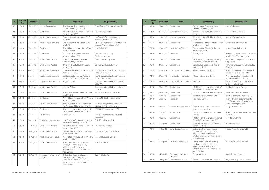| #  | <b>LRB File</b><br>No. | <b>Date Filed</b> | <b>Issue</b>                            | <b>Applicant(s)</b>                                                                                                                                          | <b>Respondent(s)</b>                                                   |
|----|------------------------|-------------------|-----------------------------------------|--------------------------------------------------------------------------------------------------------------------------------------------------------------|------------------------------------------------------------------------|
| 32 | 135-18                 | 18-Jun-18         | Notice of Application                   | IA of Heat and Frost Insulators and<br>Asbestos Workers, Local 119                                                                                           | Brand Energy Solutions (Canada) Ltd.                                   |
| 33 | 136-18                 | 19-Jun-18         | Certification                           | International Brotherhood of Electrical<br>Workers, Local 2038                                                                                               | Precision Projects Ltd.                                                |
| 34 | 137-18                 | 20-Jun-18         | Application to Intervene                | Construction Workers Union, CLAC<br>Local 151                                                                                                                | IA of Heat & Frost Insulators and<br>Asbestos Workers, Local 119       |
| 35 | 138-18                 | 20-Jun-18         | Application to Intervene                | Construction Workers Union, CLAC<br>Local 151                                                                                                                | United Brotherhood of Carpenters and<br>Joiners of America, Local 1985 |
| 36 | 139-18                 | 20-Jun-18         | Certification                           | IA of Bridge, Structural  Iron Workers,<br>Local Union No. 771                                                                                               | Ironclad Metals Inc.                                                   |
| 37 | 140-18                 | $21$ -Jun-18      | Certification                           | Sheet Metal Workers' International<br>Association, Local 296                                                                                                 | Park Derochie Coatings<br>(Saskatchewan) Inc.                          |
| 38 | $141 - 18$             | 22-Jun-18         | Unfair Labour Practice                  | Saskatchewan Government and<br>General Employees' Union                                                                                                      | Saskatchewan Polytechnic                                               |
| 39 | 143-18                 | 28-Jun-18         | Unfair Labour Practice                  | University of Saskatchewan Faculty<br>Association                                                                                                            | University of Saskatchewan                                             |
| 40 | 146-18                 | $6$ -Jul-18       | Application to Intervene                | International Brotherhood of Electrical<br>Workers, Local 2038                                                                                               | IA of Bridge, Structural  Iron Workers,<br>Local Union No. 771         |
| 41 | 147-18                 | $6$ -Jul-18       | Application to Intervene                | CLR Construction Labour Relations<br>Association of Saskatchewan Inc.                                                                                        | IA of Bridge, Structural  Iron Workers,<br>Local Union No. 771         |
| 42 | 148-18                 | 10-Jul-18         | Employee-Union Dispute                  | Magkasi, Wilfred                                                                                                                                             | Canadian Union of Public Employees,<br>Local 974                       |
| 43 | 149-18                 | $10 -$ Jul-18     | Unfair Labour Practice                  | Magkasi, Wilfred                                                                                                                                             | Canadian Union of Public Employees,<br>Local 974                       |
| 44 | 152-18                 | 13-Jul-18         | Unfair Labour Practice                  | United Food and Commercial Workers,<br>Local No. 649                                                                                                         | Federated Co-operative Limited                                         |
| 45 | 153-18                 | 20-Jul-18         | Certification                           | IA of Bridge, Structural  Iron Workers,<br>Local Union No. 771                                                                                               | Procon Mining & Tunnelling Ltd.                                        |
| 46 | 154-18                 | $23 -$ Jul-18     | Unfair Labour Practice                  | UA of Journeyman & Apprentices of<br>the Plumbing & Pipefitting Local 179                                                                                    | Reliance Gregg's Home Services, a<br>Division of Reliance Comfort      |
| 47 | 155-18                 | $25 -$ Jul-18     | Certification                           | UA of Journeyman & Apprentices of<br>the Plumbing & Pipefitting Local 179                                                                                    | 101271427 Saskatchewan LTD.                                            |
| 48 | 156-18                 | 30-Jul-18         | Amendment                               | City of Regina                                                                                                                                               | Regina Civic Middle Management<br>Association                          |
| 49 | 157-18                 | 9-Aug-18          | First Collective Agreement              | IU of Operating Engineers, Hoisting &<br>Portable & Stationary, Local 870                                                                                    | RM of Dundurn No. 314                                                  |
| 50 | 158-18                 | 14-Aug-18         | Unfair Labour Practice                  | International Brotherhood of Electrical<br>Workers, Local 2038                                                                                               | Precision Projects Ltd.                                                |
| 51 | 159-18                 | 14-Aug-18         | Unfair Labour Practice                  | Canadian Union of Public Employees,<br>Locals 3583 & 4909                                                                                                    | Prairie Branches Enterprises Inc.                                      |
| 52 | 160-18                 | 16-Aug-18         | Interlocutory Application               | IA of Bridge, Structural  Iron Workers,<br>Local Union No. 771                                                                                               | Pinnacle Industrial Services                                           |
| 53 | $161 - 18$             | 17-Aug-18         | Unfair Labour Practice                  | United Steel, Paper and Forestry,<br>Rubber, Manufacturing, Energy,<br>Allied Industrial and Service<br>Workers International Union (United<br>Steelworkers) | Comfort Cabs Ltd.                                                      |
| 54 | 162-18                 | 17-Aug-18         | Successorship/Transfer of<br>Obligation | United Steel, Paper and Forestry,<br>Rubber, Manufacturing, Energy,<br>Allied Industrial and Service<br>Workers International Union (United<br>Steelworkers) | Comfort Cabs Ltd.                                                      |

| #      | <b>LRB File</b><br>No. | <b>Date Filed</b> | <b>Issue</b>                      | <b>Applicant(s)</b>                                                                                                                                          | <b>Respondent(s)</b>                                                                                 |
|--------|------------------------|-------------------|-----------------------------------|--------------------------------------------------------------------------------------------------------------------------------------------------------------|------------------------------------------------------------------------------------------------------|
| 55     | 163-18                 | 20-Aug-18         | Certification                     | Saskatchewan Government and<br>General Employees Union                                                                                                       | S and O Cleaners                                                                                     |
| 56     | 164-18                 | 21-Aug-18         | Unfair Labour Practice            | Canadian Union of Public Employees,<br>Local 1949                                                                                                            | Legal Aid Saskatchewan                                                                               |
| 57     | 165-18                 | 21-Aug-18         | Interim Application               | Canadian Union of Public Employees,<br>Local 1949                                                                                                            | Legal Aid Saskatchewan                                                                               |
| 58     | 170-18                 | 22-Aug-18         | Certification                     | International Brotherhood of Electrical<br>Workers, Local 2067                                                                                               | Allteck Line Contractors Inc.                                                                        |
| 59     | 173-18                 | 27-Aug-18         | Unfair Labour Practice            | Saskatchewan Polytechnic Faculty<br>Association (SPFA)                                                                                                       | Saskatchewan Polytechnic                                                                             |
| 60     | 174-18                 | 27-Aug-18         | Rescission                        | Currah, Dean                                                                                                                                                 | United Food and Commercial Workers,<br>Local 1400 / CWS Logistics Limited                            |
| 61     | $175 - 18$             | 27-Aug-18         | Certification                     | IU of Operating Engineers, Hoisting &<br>Portable & Stationary, Local 870                                                                                    | Marathon Underground Constructors<br>Corporation                                                     |
| 62     | 176-18                 | 27-Aug-18         | Certification                     | Construction and General Workers'<br>Union, Local 180                                                                                                        | Marathon Underground Constructors<br>Corporation                                                     |
| 63     | $177 - 18$             | 27-Aug-18         | Interlocutory Application         | Aluma Systems Canada Inc.                                                                                                                                    | United Brotherhood of Carpenters &<br>Joiners of America, Local 1985                                 |
| 64     | 178-18                 | 27-Aug-18         | Interlocutory Application         | Aluma Systems Canada Inc.                                                                                                                                    | IA of Heat and Frost Insulators and<br>Asbestos Workers, Local 119                                   |
| 65     | 179-18                 | 28-Aug-18         | Interlocutory Application         | Taylor, David                                                                                                                                                | Sheet Metal Workers' International<br>Association, Local 296                                         |
| 66     | $181 - 18$             | 29-Aug-18         | Certification                     | IU of Operating Engineers, Hoisting &<br>Portable & Stationary, Local 870                                                                                    | Xcaliber Crane and Rigging                                                                           |
| 67     | 182-18                 | 29-Aug-18         | Certification                     | Canadian Union of Public Employees                                                                                                                           | South West Crisis Services Inc.                                                                      |
| 68     | 186-18                 | 5-Sep-18          | Certification                     | Teamsters Local Union No. 395                                                                                                                                | North East School Division No. 200                                                                   |
| 69     | 187-18                 | 5-Sep-18          | Rescission                        | Parenteau, Conrad                                                                                                                                            | Valley Hill Youth Treatment Centre<br>Inc. / Saskatchewan Government and<br>General Employees' Union |
| 70     | 188-18                 | 6-Sep-18          | Interlocutory Application         | Sheet Metal Workers' International<br>Association, Local 296                                                                                                 | Thorpe Brothers Ltd.                                                                                 |
| 71     | 189-18                 | 7-Sep-18          | Amendment                         | Saskatoon Co-operative Association<br>Limited                                                                                                                | United Food and Commercial Workers,<br>Local 1400                                                    |
| 72     | 190-18                 | 7-Sep-18          | Certification                     | IU of Operating Engineers, Hoisting &<br>Portable & Stationary, Local 870                                                                                    | Lonestar Sylvan Inc.                                                                                 |
| 73     | $191 - 18$             | 10-Sep-18         | Certification                     | Construction and General Workers'<br>Union, Local 180                                                                                                        | Lonestar Sylvan Inc.                                                                                 |
| 74     | 193-18                 | 11-Sep-18         | Unfair Labour Practice            | United Steel, Paper and Forestry,<br>Rubber, Manufacturing, Energy,<br>Allied Industrial and Service<br>Workers International Union (United<br>Steelworkers) | Mosaic Potash Colonsay ULC                                                                           |
| 75     | 194-18                 | 11-Sep-18         | Unfair Labour Practice            | United Steel, Paper and Forestry,<br>Rubber, Manufacturing, Energy,<br>Allied Industrial and Service<br>Workers International Union (United<br>Steelworkers) | Nutrien (Rocanville Division)                                                                        |
| 76     | 196-18                 | 14-Sep-18         | Exclusion on Religious<br>Grounds | Ennest, Amanda                                                                                                                                               | Five Hills Health Region                                                                             |
| $77\,$ | 197-18                 | 14-Sep-18         | Unfair Labour Practice            | Canadian Union of Public Employees                                                                                                                           | Weyburn Group Homes Society Inc.                                                                     |

Saskatchewan Labour Relations Board 14 annual Report for 2018-19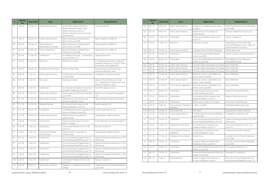| #   | <b>LRB File</b><br><b>Date Filed</b><br><b>Issue</b><br>No. |            |                                           | <b>Applicant(s)</b>                                                                                                                                          | <b>Respondent(s)</b>                                                                                               |
|-----|-------------------------------------------------------------|------------|-------------------------------------------|--------------------------------------------------------------------------------------------------------------------------------------------------------------|--------------------------------------------------------------------------------------------------------------------|
| 78  | 198-18                                                      | 18-Sep-18  | Unfair Labour Practice                    | United Steel, Paper and Forestry,<br>Rubber, Manufacturing, Energy,<br>Allied Industrial and Service<br>Workers International Union (United<br>Steelworkers) | Comfort Cabs Ltd.                                                                                                  |
| 79  | 199-18                                                      | 20-Sep-18  | Unfair Labour Practice                    | Retail, Wholesale and Department<br>Store Union, Local 568                                                                                                   | Signal Industries (1998) Ltd.                                                                                      |
| 80  | $200 - 18$                                                  | 20-Sep-18  | Technological or<br>Organizational Change | Retail, Wholesale and Department<br>Store Union, Local 568                                                                                                   | Signal Industries (1998) Ltd.                                                                                      |
| 81  | $201 - 18$                                                  | 20-Sep-18  | Interim Application                       | Retail, Wholesale and Department<br>Store Union, Local 568                                                                                                   | Signal Industries (1998) Ltd.                                                                                      |
| 82  | $202 - 18$                                                  | 21-Sep-18  | Certification                             | IA of Bridge, Structural  Iron Workers,<br>Local Union No. 771                                                                                               | Lafarge Canada Inc.                                                                                                |
| 83  | 204-18                                                      | 24-Sep-18  | Rescission                                | Abrahamson, Layne                                                                                                                                            | IU of Operating Engineers, Hoisting &<br>Portable & Stationary, Local 870 / Rural<br>Municipality of Rosedale #283 |
| 84  | $205 - 18$                                                  | 28-Sep-18  | Employee-Union Dispute                    | Strohan, Sharon May                                                                                                                                          | Saskatchewan Government and<br>General Employees Union                                                             |
| 85  | 206-18                                                      | $1-Oct-18$ | Unfair Labour Practice                    | United Food and Commercial Workers,<br>Local No. 649                                                                                                         | Federated Co-operative Limited                                                                                     |
| 86  | $207 - 18$                                                  | $1-Oct-18$ | Rescission                                | Parenteau, Conrad                                                                                                                                            | Valley Hill Youth Treatment Centre<br>Inc. / Saskatchewan Government and<br>General Employees' Union               |
| 87  | $3-Oct-18$<br>Certification<br>208-18                       |            |                                           | IU of Operating Engineers, Hoisting &<br>Portable & Stationary, Local 870                                                                                    | Far North Labour Services                                                                                          |
| 88  | $210 - 18$                                                  | 10-Oct-18  | Unfair Labour Practice                    | United Food and Commercial Workers,<br>Local 1400                                                                                                            | Moose Jaw Co-operative Association<br>Ltd.                                                                         |
| 89  | $211 - 18$                                                  | 17-Oct-18  | Unfair Labour Practice                    | Saskatchewan Government and<br>General Employees' Union                                                                                                      | Valley Hill Youth Treatment Centre Inc.                                                                            |
| 90  | $212 - 18$                                                  | 23-Oct-18  | Related Employer                          | IA of Heat & Frost Insulators and<br>Asbestos Workers, Local 119                                                                                             | Book Insulations Ltd.                                                                                              |
| 91  | $215 - 18$                                                  | 24-Oct-18  | Certification                             | United Brotherhood of Carpenters and<br>Joiners of America, Local 1021                                                                                       | Custom Steel Erectors Ltd.                                                                                         |
| 92  | $217 - 18$                                                  | 30-Oct-18  | Unfair Labour Practice                    | Health Sciences Association of<br>Saskatchewan                                                                                                               | Saskatchewan Health Authority                                                                                      |
| 93  | 218-18                                                      | 31-Oct-18  | Amendment                                 | Grain and General Services Union<br>(ILWU - Canada)                                                                                                          | Crop Production Services (Canada) Inc.                                                                             |
| 94  | 219-18                                                      | $1-Nov-18$ | Certification                             | Construction Workers Union, CLAC<br>Local 151                                                                                                                | Skyway Canada Ltd.                                                                                                 |
| 95  | 220-18                                                      | $1-Nov-18$ | Provisional Employee<br>Determination     | Health Sciences Association of<br>Saskatchewan                                                                                                               | Saskatchewan Health Authority                                                                                      |
| 96  | $221 - 18$                                                  | $1-Nov-18$ | Certification                             | UA of Journeyman & Apprentices of<br>the Plumbing & Pipefitting Local 179                                                                                    | Yorkton Plumbing & Heating Ltd. / YPH<br>Mechanical                                                                |
| 97  | Certification<br>222-18<br>$1-Nov-18$                       |            |                                           | UA of Journeyman & Apprentices of<br>the Plumbing & Pipefitting Local 179                                                                                    | Yorkton Plumbing & Heating Ltd. / YPH<br>Mechanical                                                                |
| 98  | 223-18                                                      | $1-Nov-18$ | Certification                             | UA of Journeyman & Apprentices of<br>the Plumbing & Pipefitting Local 179                                                                                    | Yorkton Plumbing & Heating Ltd. / YPH<br>Mechanical                                                                |
| 99  | 224-18                                                      | $2-Nov-18$ | Certification                             | UA of Journeyman & Apprentices of<br>the Plumbing & Pipefitting Local 179                                                                                    | Yorkton Plumbing & Heating Ltd. / YPH<br>Mechanical                                                                |
| 100 | 228-18                                                      | 7-Nov-18   | Certification                             | Construction Workers Union, CLAC<br>Local 151                                                                                                                | Skyway Canada Ltd.                                                                                                 |
| 101 | 230-18                                                      | 8-Nov-18   | Unfair Labour Practice                    | Saskatoon Co-operative Association<br>Limited                                                                                                                | United Food and Commercial Workers,<br>Local 1400                                                                  |

| $\#$ | <b>LRB File</b><br>No.                        | <b>Date Filed</b> | <b>Issue</b>                              | <b>Applicant(s)</b>                                                       | <b>Respondent(s)</b>                                                                                |
|------|-----------------------------------------------|-------------------|-------------------------------------------|---------------------------------------------------------------------------|-----------------------------------------------------------------------------------------------------|
| 102  | $231 - 18$                                    | 8-Nov-18          | Unfair Labour Practice                    | Saskatoon Co-operative Association<br>Limited                             | United Food and Commercial Workers,<br>Local 1400                                                   |
| 103  | 232-18                                        | $9-Nov-18$        | Unfair Labour Practice                    | Health Sciences Association of<br>Saskatchewan                            | Crestvue Ambulance Services Ltd.                                                                    |
| 104  | 233-18                                        | 14-Nov-18         | Certification                             | Construction Workers Union, CLAC<br>Local 151                             | Skyway Canada Ltd.                                                                                  |
| 105  | 234-18                                        | 14-Nov-18         | Rescission                                | Parenteau, Conrad                                                         | Saskatchewan Government and<br>General Employees Union / Valley Hill<br>Youth Treatment Centre Inc. |
| 106  | 235-18                                        | 15-Nov-18         | Unfair Labour Practice                    | Canadian Union of Public Employees                                        | Hill Top Manor Ltd.                                                                                 |
| 107  | 237-18                                        | 20-Nov-18         | Certification                             | Construction and General Workers'<br>Union, Local 180                     | Hamon Custodis-Cottrell (Canada) Inc.                                                               |
| 108  | 238-18                                        | 20-Nov-18         | Certification                             | International Brotherhood of Electrical<br>Workers, Local 2067            | Peter Ballantyne Developments<br>Limited Partnership                                                |
| 109  | 239-18                                        | 26-Nov-18         | Unfair Labour Practice                    | Christian Labour Association of Canada                                    | Town of Bienfait                                                                                    |
| 110  | $240 - 18$                                    | 26-Nov-18         | Unfair Labour Practice                    | Christian Labour Association of Canada                                    | Town of Bienfait                                                                                    |
| 111  | $241 - 18$                                    | 26-Nov-18         | First Collective Agreement                | Christian Labour Association of Canada                                    | Town of Bienfait                                                                                    |
| 112  | 243-18                                        | 27-Nov-18         | Unfair Labour Practice                    | Education, Service, and Health Care<br>Union, CLAC Local 306              | Town of Bienfait                                                                                    |
| 113  | 244-18                                        | 27-Nov-18         | Unfair Labour Practice                    | Education, Service, and Health Care<br>Union, CLAC Local 306              | Town of Bienfait                                                                                    |
| 114  | 245-18                                        | 27-Nov-18         | First Collective Agreement                | Education, Service, and Health Care<br>Union, CLAC Local 306              | Town of Bienfait                                                                                    |
| 115  | 246-18                                        | 30-Nov-18         | Certification                             | Saskatchewan Government and<br>General Employees Union                    | Saskatoon Housing Authority                                                                         |
| 116  | 247-18                                        | 30-Nov-18         | Certification                             | IA of Heat and Frost Insulators and<br>Asbestos Workers, Local 119        | Magnum Technical Services                                                                           |
| 117  | 248-18                                        | 30-Nov-18         | Certification                             | Public Service Alliance of Canada                                         | University of Saskatchewan                                                                          |
| 118  | 250-18                                        | 7-Dec-18          | Successorship / Transfer of<br>Obligation | Unifor, Local 649                                                         | Steel Reef Infrastructure Corp.                                                                     |
| 119  | $251 - 18$                                    | 10-Dec-18         | Reconsideration                           | SEIU-West                                                                 | Saskatchewan Health Authority                                                                       |
| 120  | 252-18                                        | 13-Dec-18         | Unfair Labour Practice                    | United Food and Commercial Workers,<br>Local No. 649                      | Federated Co-operatives Ltd.                                                                        |
| 121  | $\sqrt{253-18}$                               |                   | 13-Dec-18   Certification                 | UA of Journeyman & Apprentices of<br>the Plumbing & Pipefitting Local 179 | Yorkton Plumbing & Heating Ltd. / YPH<br>Mechanical                                                 |
| 122  | 254-18                                        | 14-Dec-18         | Application to Intervene                  | IA of Heat & Frost Insulators and<br>Asbestos Workers, Local 119          | Construction Workers Union, CLAC<br>Local 151                                                       |
| 123  | 255-18                                        | 14-Dec-18         | Successorship/Transfer of<br>Obligation   | Saskatchewan Government and<br>General Employees' Union                   | Saskatchewan Health Authority                                                                       |
| 124  | Employee-Union Dispute<br>257-18<br>17-Dec-18 |                   |                                           | Kinzel, Doug                                                              | Canadian Union of Public Employees,<br>Local 2268                                                   |
| 125  | 258-18                                        | 18-Dec-18         | Certification                             | Canadian Office and Professional<br>Employees Union, Local 342            | Canadian Union of Public Employees,<br>Local 3287                                                   |
| 126  | 259-18                                        | 19-Dec-18         | Certification                             | International Brotherhood of Electrical<br>Workers, Local 2067            | Ptarmiganline Solutions Inc.                                                                        |
| 127  | 260-18                                        | 19-Dec-18         | Certification                             | International Brotherhood of Electrical<br>Workers, Local 2067            | Ptarmigan Consulting Inc.                                                                           |
| 128  | $001 - 19$                                    | 7-Jan-19          | Reconsideration                           | Reliance Gregg's Home Services, a<br>Division of Reliance Comfort         | UA of Journeyman & Apprentices of<br>the Plumbing & Pipefitting Local 179                           |

Saskatchewan Labour Relations Board 16 and 2018-19 18 annual Report for 2018-19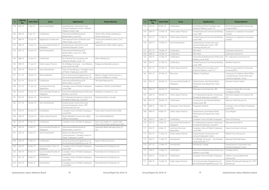| #   | <b>LRB File</b><br>No.                    | <b>Date Filed</b>                                   | <b>Issue</b>                            | <b>Applicant(s)</b>                                                                         | <b>Respondent(s)</b>                                                      |
|-----|-------------------------------------------|-----------------------------------------------------|-----------------------------------------|---------------------------------------------------------------------------------------------|---------------------------------------------------------------------------|
| 129 | $002 - 19$                                | 7-Jan-19                                            | Joint Amendment                         | Saskatchewan Government and<br>General Employees Union / Nothern<br>Village of Green Lake   |                                                                           |
| 130 | 003-19                                    | 7-Jan-19                                            | Certification                           | International Brotherhood of<br>Boilermakers, Local 555                                     | Horton CBI Limited, operating as<br>Horton Services Inc.                  |
| 131 | 004-19                                    | 10-Jan-19                                           | Application to Intervene                | International Union of Painters and<br>Allied Trades, Local 739                             | Construction Workers Union, CLAC<br>Local 151                             |
| 132 | 006-19                                    | 14-Jan-19                                           | Successorship/Transfer of<br>Obligation | Saskatchewan Government and<br>General Employees' Union                                     | Saskatchewan Public Safety Agency                                         |
| 133 | $007 - 19$                                | 14-Jan-19                                           | Joint Amendment                         | International Brotherhood of<br>Boilermakers, Local 555 / Altex<br>Industries Inc.          |                                                                           |
| 134 | 008-19                                    | 14-Jan-19                                           | Certification                           | IA of Heat & Frost Insulators and<br>Asbestos Workers, Local 119                            | Olliver Welding Inc.                                                      |
| 135 | 009-19                                    | 17-Jan-19                                           | Unfair Labour Practice                  | IA of Bridge, Structural  Iron Workers,<br>Local Union No. 838                              | Bridgeview Manufacturing Inc.                                             |
| 136 | $010 - 19$                                | 18-Jan-19                                           | Joint Amendment                         | Town of Gravelbourg / Canadian Union<br>of Public Employees, Local 4341                     |                                                                           |
| 137 | $011 - 19$                                | 18-Jan-19                                           | Reconsideration                         | UA of Journeyman & Apprentices of<br>the Plumbing & Pipefitting Local 179                   | Reliance Gregg's Home Services, a<br>Division of Reliance Comfort         |
| 138 | $012 - 19$                                | 18-Jan-19                                           | Certification                           | International Brotherhood of<br>Boilermakers, Local 555                                     | TIW Steel Platework Inc.                                                  |
| 139 | $013 - 19$                                | $21$ -Jan-19                                        | Summary Dismissal<br>Application        | Canadian Union of Public Employees,<br>Local 2268                                           | Saskatoon Catholic School Board                                           |
| 140 | $014 - 19$                                | 24-Jan-19                                           | Successorship/Transfer of<br>Obligation | International Brotherhood of Electrical<br>Workers, Local 529                               | Mikkelsen-Coward & Co. Ltd.                                               |
| 141 | 016-19                                    | 28-Jan-19                                           | Amendment                               | IU of Operating Engineers, Hoisting &<br>Portable & Stationary, Local 870                   | Soletanche Bachy Canada                                                   |
| 142 | $017 - 19$                                | 28-Jan-19                                           | Joint Amendment                         | Saskatchewan Government and<br>General Employees Union / PRT<br>Growing Services Ltd.       |                                                                           |
| 143 | 018-19                                    | 29-Jan-19                                           | Certification                           | Canadian Union of Public Employees,<br>Local 4254                                           | Prairie Spirit School Division #206                                       |
| 144 | 020-19                                    | 30-Jan-19                                           | Unfair Labour Practice                  | North Battleford Community Safety<br>Officers Association                                   | City of North Battleford                                                  |
| 145 | 023-19                                    | 4-Feb-19                                            | Certification                           | Canadian Union of Public Employees                                                          | Eden Care Health Inc., and/or Eden<br>Care Communities operating as Eden- |
| 146 | 024-19                                    | 4-Feb-19                                            | Successorship/Transfer of<br>Obligation | International Brotherhood of<br>Boilermakers, Local 555                                     | Saskatoon Boiler Manufacturing Co.<br>Ltd.                                |
| 147 | Joint Amendment<br>$025 - 19$<br>6-Feb-19 |                                                     |                                         | Moose Jaw Board of Police<br>Commissioners / Canadian Union of<br>Public Employees Local #9 |                                                                           |
| 148 | 028-19                                    | 7-Feb-19                                            | Certification                           | UA of Journeyman & Apprentices of<br>the Plumbing & Pipefitting Local 179                   | Maxium Mechanical Ltd.                                                    |
| 149 | 029-19                                    | 8-Feb-19<br>Successorship / Trans. of<br>Obligation |                                         | Canadian Union of Public Employees,<br>Local 3583                                           | Prairie Branches Enterprises Inc.                                         |
| 150 | 030-19                                    | 8-Feb-19                                            | Successorship/Transfer of<br>Obligation | Canadian Union of Public Employees,<br>Local 4909                                           | Prairie Branches Enterprises Inc.                                         |
| 151 | $031 - 19$                                | 8-Feb-19                                            | Amendment                               | Canadian Union of Public Employees,<br>Local 3583                                           | Prairie Branches Enterprises Inc.                                         |
| 152 | 032-19                                    | 8-Feb-19<br>Amendment                               |                                         | Canadian Union of Public Employees,<br>Local 4909                                           | Prairie Branches Enterprises Inc.                                         |

| #   | <b>LRB File</b><br>No.                                         | <b>Date Filed</b>      | <b>Issue</b>                                                                 | <b>Applicant(s)</b>                                                                   | <b>Respondent(s)</b>                                                                             |
|-----|----------------------------------------------------------------|------------------------|------------------------------------------------------------------------------|---------------------------------------------------------------------------------------|--------------------------------------------------------------------------------------------------|
| 153 | 033-19                                                         | 8-Feb-19               | Certification                                                                | IA of Heat and Frost Insulators and<br>Asbestos Workers, Local 119                    | All-Pro Environmental Contracting<br>Limited (APEC)                                              |
| 154 | 034-19                                                         | 12-Feb-19              | Unfair Labour Practice                                                       | United Food and Commercial Workers,<br>Local 1400                                     | Saskatoon Co-operative Association<br>I imited                                                   |
| 155 | 035-19                                                         | 12-Feb-19              | Unfair Labour Practice                                                       | United Food and Commercial Workers,<br>Local 1400                                     | Saskatoon Co-operative Association<br>Limited                                                    |
| 156 | 036-19                                                         | 14-Feb-19              | Joint Amendment                                                              | Saskatchewan Government and<br>General Employees Union / PRT<br>Growing Services Ltd. |                                                                                                  |
| 157 | 037-19                                                         | 14-Feb-19              | Certification                                                                | SEIU-West                                                                             | Southwest Homes Inc.                                                                             |
| 158 | 038-19                                                         | 14-Feb-19              | Certification                                                                | SEIU-West                                                                             | Southwest Homes Inc.                                                                             |
| 159 | 039-19                                                         | 15-Feb-19              | Certification                                                                | International Brotherhood of Electrical<br>Workers, Local 2038                        | PCL Industrial Constructors Inc.                                                                 |
| 160 | $040 - 19$                                                     | 21-Feb-19              | Certification                                                                | United Food and Commercial Workers,<br>Local 1400                                     | Verdient Foods Inc.                                                                              |
| 161 | $041 - 19$                                                     | 22-Feb-19              | Unfair Labour Practice                                                       | IA of Heat & Frost Insulators and<br>Asbestos Workers, Local 119                      | All-Pro Environmental Contracting<br>Limited (APEC)                                              |
| 162 | 045-19                                                         | 25-Feb-19              | Rescission                                                                   | Pelletier, Chad Bryan                                                                 | Cowessess First Nations Band Office<br>/ Saskatchewan Government and<br>General Employees' Union |
| 163 | 26-Feb-19<br>043-19<br>Successorship/Transfer of<br>Obligation |                        | Saskatchewan Joint Board, Retail,<br>Wholesale and Department Store<br>Union | Danshan Foods Limited                                                                 |                                                                                                  |
| 164 | 044-19                                                         | 26-Feb-19              | Certification                                                                | Teamsters Local Union No. 395                                                         | Saskatoon Ready-Mix Concrete<br>Company Limited                                                  |
| 165 | 046-19                                                         | 28-Feb-19              | Unfair Labour Practice                                                       | IU of Operating Engineers, Hoisting &<br>Portable & Stationary, Local 870             | Rural Municipality of Livingston No.<br>331                                                      |
| 166 | 047-19                                                         | 28-Feb-19              | Certification                                                                | Construction and General Workers'<br>Union, Local 180                                 | Platinum Track Services Inc.                                                                     |
| 167 | 048-19                                                         | $1-Mar-19$             | Employee-Union Dispute                                                       | Fitzgerald, Sharlene                                                                  | Canadian Union of Public Employees,<br>Local 3967                                                |
| 168 | 049-19                                                         | 4-Mar-19               | Unfair Labour Practice                                                       | Saskatchewan Joint Board, Retail,<br>Wholesale and Department Store<br>Union          | Sysco Regina                                                                                     |
| 169 | 050-19                                                         | 5-Mar-19               | Certification                                                                | Canadian Union of Public Employees                                                    | Town of Esterhazy                                                                                |
| 170 | 053-19                                                         | 5-Mar-19               | Successorship/Transfer of<br>Obligation                                      | IU of Operating Engineers, Hoisting &<br>Portable & Stationary, Local 870             | Waiward Industrial I P                                                                           |
| 171 | 054-19                                                         | 6-Mar-19               | Summary Dismissal<br>Application                                             | Canadian Union of Public Employees,<br>Local 3967                                     | Aseye Ama Eyram Johnson                                                                          |
| 172 | $055 - 19$                                                     | 11-Mar-19              | Unfair Labour Practice                                                       | Saskatchewan Government and<br>General Employees' Union                               | Mobile Crisis Services Inc.                                                                      |
| 173 | 056-19<br>Amendment<br>11-Mar-19                               |                        | IA of Bridge, Structural  Iron Workers,<br>Local Union No. 771               | Waiward Steel Fabricators                                                             |                                                                                                  |
| 174 | 057-19                                                         | 12-Mar-19<br>Amendment |                                                                              | Northlands College                                                                    | Saskatchewan Government and<br>General Employees' Union                                          |
| 175 | 058-19                                                         | 12-Mar-19              | Certification                                                                | International Brotherhood of Electrical<br>Workers, Local 2038                        | Tremblay Electic                                                                                 |
| 176 | 059-19                                                         | 12-Mar-19              | Certification                                                                | Canadian Union of Public Employees                                                    | Yorkton Crossing Retirement<br>Community                                                         |
| 177 | 060-19                                                         | 15-Mar-19              | Unfair Labour Practice                                                       | UA of Journeyman & Apprentices of<br>the Plumbing & Pipefitting Local 179             | Yorkton Plumbing & Heating Ltd. / YPH<br>Mechanical                                              |

Saskatchewan Labour Relations Board 18 18 and 19 annual Report for 2018-19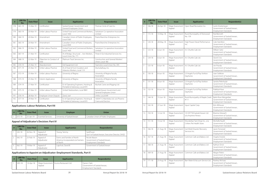| #   | <b>LRB File</b><br>No. | <b>Date Filed</b>          | <b>Issue</b>                    | <b>Applicant(s)</b>                                                       | <b>Respondent(s)</b>                                     |
|-----|------------------------|----------------------------|---------------------------------|---------------------------------------------------------------------------|----------------------------------------------------------|
| 178 | $061 - 19$             | 15-Mar-19                  | Certification                   | Saskatchewan Government and<br>General Employees Union                    | Thomas Circle of Care Inc.                               |
| 179 | $063 - 19$             | 20-Mar-19                  | Unfair Labour Practice          | United Food and Commercial Workers,<br>Local 1400                         | Saskatoon Co-operative Association<br>I imited           |
| 180 | $064 - 19$             | 20-Mar-19                  | Amendment                       | Canadian Union of Public Employees,<br>Local 3583                         | Prairie Branches Enterprises Inc.                        |
| 181 | $065 - 19$             | 20-Mar-19                  | Amendment                       | Canadian Union of Public Employees,<br>Local 4909                         | Prairie Branches Enterprises Inc.                        |
| 182 | 066-19                 | 20-Mar-19                  | Unfair Labour Practice          | United Food and Commercial Workers.<br>Local 1400                         | Saskatoon Co-operative Association<br>I imited           |
| 183 | 067-19                 | 21-Mar-19                  | Certification                   | IA of Bridge, Structural  Iron Workers,<br>Local Union No. 771            | Three-0-Six Industrial Services Inc.                     |
| 184 | 068-19                 | 22-Mar-19                  | Objection to Conduct of<br>Vote | Platinum Track Services Inc.                                              | Construction and General Workers'<br>Union, Local 180    |
| 185 | $070 - 19$             | 25-Mar-19                  | Abandonment                     | Del Equipment Ltd.                                                        | Teamsters Local Union No. 395                            |
| 186 | $071 - 19$             | 25-Mar-19                  | Unfair Labour Practice          | IA of Heat & Frost Insulators and<br>Asbestos Workers, Local 119          | AlumaSafway, Inc.                                        |
| 187 | $072 - 19$             | 25-Mar-19                  | Unfair Labour Practice          | University of Regina                                                      | University of Regina Faculty<br>Association              |
| 188 | 073-19                 | 25-Mar-19                  | Interim Application             | University of Regina                                                      | University of Regina Faculty<br>Association              |
| 189 | $074 - 19$             | 27-Mar-19<br>Certification |                                 | IU of Operating Engineers, Hoisting &<br>Portable & Stationary, Local 870 | Myshak Crane and Rigging Ltd.                            |
| 190 | $075 - 19$             | 27-Mar-19                  | Unfair Labour Practice          | United Steelworkers, Local 9841                                           | Saskatchewan Government and<br>General Employees Union   |
| 191 | 076-19                 | 28-Mar-19                  | Employee-Union Dispute          | Zand, Joel                                                                | Unifor, Local 649                                        |
| 192 | $077 - 19$             | 29-Mar-19                  | Certification                   | IU of Operating Engineers, Hoisting &<br>Portable & Stationary, Local 870 | 10034712 Manitoba Ltd. o/a Phoenix<br>Crane and Erectors |

#### **Applications: Labour Relations, Part VII**

|  | <b>LRB File</b><br>No. | <b>Date Filed</b> | Issue                     | <b>Employer</b>            | <b>Union</b>                       |
|--|------------------------|-------------------|---------------------------|----------------------------|------------------------------------|
|  | $015-19$               | 25-Jan-19         | <b>Essential Services</b> | University of Saskatchewan | Canadian Union of Public Employees |

#### **Appeal of Adjudicator's Decision: Part IV**

| <b>LRB File</b><br>No. | <b>Date Filed</b> | <b>Issue</b>             | <b>Applicant(s)</b>                                                         | <b>Respondent(s)</b>                                                       |
|------------------------|-------------------|--------------------------|-----------------------------------------------------------------------------|----------------------------------------------------------------------------|
| 242-18                 | 26-Nov-18         | Appeal of<br>Adjudicator | Young, Tammy                                                                | SaskPower<br>Gov't of Saskatchewan, Executive Director, OHSD               |
| 042-19                 | 25-Feb-19         | Appeal of<br>Adjudicator | Farms and Families of North<br>America Incorporated o/a Farmers<br>of North | Nicole Mason<br>Government of Saskatchewan,<br><b>Employment Standards</b> |
| 062-19                 | 19-Mar-19         | Appeal of<br>Adjudicator | Lapchuk, David B.                                                           | Government of Saskatchewan                                                 |

#### **Applications to Appoint an Adjudicator: Employment Standards, Part II**

|  | <b>LRB File</b><br>No. | Date Filed | <b>Issue</b> | Applicant(s)                             | Respondent(s)                                                       |
|--|------------------------|------------|--------------|------------------------------------------|---------------------------------------------------------------------|
|  | 095-18                 | 10-Apr-18  | Appeal       | Wage Assessment   Kusina Restaurant Ltd. | Darren Clark<br>Governemnt of Saskatchewan,<br>Employment Standards |

Saskatchewan Labour Relations Board 20 20 and 20 annual Report for 2018-19

| #  | <b>LRB File</b><br>No. | <b>Date Filed</b> | <b>Issue</b>              | <b>Applicant(s)</b>                                        | <b>Respondent(s)</b>                                                             |
|----|------------------------|-------------------|---------------------------|------------------------------------------------------------|----------------------------------------------------------------------------------|
| 2  | 106-18                 | 26-Apr-18         | Wage Assessment<br>Appeal | Open Road Recreation Inc.                                  | Justin Krietemeyer<br>Government of Saskatchewan,<br><b>Employment Standards</b> |
| 3  | $115 - 18$             | 10-May-18         | Wage Assessment<br>Appeal | Rural Municipality of Sherwood<br>No. 159                  | Rod Benroth<br>Government of Saskatchewan,<br>Employment Standards               |
| 4  | 120-18                 | 28-May-18         | Wage Assessment<br>Appeal | High Power Diesel Performance<br>Inc.                      | Cole Hamilton<br>Government of Saskatchewan,<br>Employment Standards             |
| 5  | 123-18                 | $6$ -Jun-18       | Wage Assessment<br>Appeal | A.V. Shuttle Cab Ltd.                                      | William Seitz<br>Government of Saskatchewan,<br>Employment Standards             |
| 6  | 124-18                 | $6$ -Jun-18       | Wage Assessment<br>Appeal | A.V. Shuttle Cab Ltd.                                      | David Criss<br>Government of Saskatchewan,<br>Employment Standards               |
| 7  | 125-18                 | $6$ -Jun-18       | Wage Assessment<br>Appeal | A.V. Shuttle Cab Ltd.                                      | Jim Pravda<br>Government of Saskatchewan,<br>Employment Standards                |
| 8  | 130-18                 | 8-Jun-18          | Wage Assessment<br>Appeal | L'il Angels Fun & Play Yorkton<br>Dayhome                  | Joan Sobkow<br>Government of Saskatchewan,<br>Employment Standards               |
| 9  | $131 - 18$             | 8-Jun-18          | Wage Assessment<br>Appeal | L'il Angels Fun & Play Yorkton<br>Dayhome                  | Sandra Peleshytyk<br>Government of Saskatchewan,<br>Employment Standards         |
| 10 | 132-18                 | 8-Jun-18          | Wage Assessment<br>Appeal | L'il Angels Fun & Play Yorkton<br>Dayhome                  | Prabhjot Kaur<br>Government of Saskatchewan,<br>Employment Standards             |
| 11 | 144-18                 | 15-Jun-18         | Wage Assessment<br>Appeal | Rural Municipality of Maple Creek<br>#111                  | Barbi-Rose Weisgerber<br>Government of Saskatchewan,<br>Employment Standards     |
| 12 | 142-18                 | 27-Jun-18         | Wage Assessment<br>Appeal | Input Capital Corp.                                        | Kim Althouse<br>Government of Saskatchewan,<br>Employment Standards              |
| 13 | 150-18                 | 12-Jul-18         | Wage Assessment<br>Appeal | 101297758 Saskatchewan Ltd.<br>o/a Anytime Fitness         | Brianna Glowach<br>Government of Saskatchewan,<br>Employment Standards           |
| 14 | $151 - 18$             | 13-Jul-18         | Wage Assessment<br>Appeal | Wunderbar Tack Shop Inc., o/a<br>Critters Pet Health Store | Michelle Kauth<br>Government of Saskatchewan,<br>Employment Standards            |
| 15 | 166-18                 | 21-Aug-18         | Wage Assessment<br>Appeal | Got Mold Disaster Recovery<br>Services Inc.                | Jason Forwood<br>Government of Saskatchewan,<br>Employment Standards             |
| 16 | 167-18                 | 21-Aug-18         | Wage Assessment<br>Appeal | Common Cafe and Bakery Ltd                                 | Angela Smylski<br>Government of Saskatchewan,<br>Employment Standards            |
| 17 | 168-18                 | 21-Aug-18         | Wage Assessment<br>Appeal | Common Cafe and Bakery Ltd                                 | Kathryn Ernst<br>Government of Saskatchewan,<br>Employment Standards             |
| 18 | 169-18                 | 21-Aug-18         | Wage Assessment<br>Appeal | Common Cafe and Bakery Ltd                                 | Megan Peters<br>Government of Saskatchewan,<br>Employment Standards              |
| 19 | $171 - 18$             | 23-Aug-18         | Wage Assessment<br>Appeal | Barr Water & Vacuum Service Ltd.                           | Rodney McIsaac<br>Government of Saskatchewan,<br>Employment Standards            |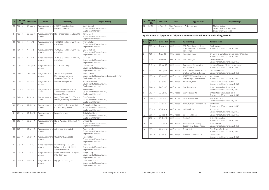| #  | <b>LRB File</b><br>No. | <b>Date Filed</b> | <b>Issue</b>              | <b>Applicant(s)</b>                                                          | <b>Respondent(s)</b>                                                                           |
|----|------------------------|-------------------|---------------------------|------------------------------------------------------------------------------|------------------------------------------------------------------------------------------------|
| 20 | 172-18                 | 24-Aug-18         | Wage Assessment<br>Appeal | 6132511 Canada Ltd. o/a<br>Keeper's Restaurant                               | Shelly Stewart<br>Government of Saskatchewan,<br><b>Employment Standards</b>                   |
| 21 | 180-18                 | 28-Aug-18         | Wage Assessment<br>Appeal | LP3 Transportation Solutions Ltd.                                            | Kristin Hodel<br>Government of Saskatchewan,<br><b>Employment Standards</b>                    |
| 22 | 183-18                 | 4-Sep-18          | Wage Assessment<br>Appeal | 102002973 Saskatchewan Corp.,<br>o/a Fuller's                                | Andrew Fuller<br>Government of Saskatchewan,<br><b>Employment Standards</b>                    |
| 23 | 184-18                 | 4-Sep-18          | Wage Assessment<br>Appeal | 102002973 Saskatchewan Corp.,<br>o/a Fuller's                                | May Carruthers<br>Government of Saskatchewan,<br><b>Employment Standards</b>                   |
| 24 | 185-18                 | 4-Sep-18          | Wage Assessment<br>Appeal | 102002973 Saskatchewan Corp.,<br>o/a Fuller's                                | John Carr<br>Government of Saskatchewan,<br>Employment Standards                               |
| 25 | 203-18                 | 24-Sep-18         | Wage Assessment<br>Appeal | <b>BE.U.TE AGW Designs</b>                                                   | Dean Moore<br>Government of Saskatchewan,<br>Employment Standards                              |
| 26 | 213-18                 | 23-Oct-18         | Wage Assessment<br>Appeal | South Country Estates<br>Development Corp. o/a<br>Saskatoon Event Centre     | Steven Bondy<br>Government of Saskatchewan, Executive Director,<br><b>Employment Standards</b> |
| 27 | 225-18                 | $6-Nov-18$        | Wage Assessment<br>Appeal | WBM Technologies Inc.                                                        | Andrew Ouellette<br>Government of Saskatchewan,<br>Employment Standards                        |
| 28 | 226-18                 | $6-Nov-18$        | Wage Assessment<br>Appeal | Farms and Families of North<br>America Incorporated o/a<br>Farmers of North  | Nicole Mason<br>Government of Saskatchewan,<br>Employment Standards                            |
| 29 | 249-18                 | 7-Dec-18          | Wage Assessment<br>Appeal | Davey Tree Expert Co. of Canada<br>Limited, o/a Davey Tree Services          | Evan Baskerville<br>Government of Saskatchewan,<br><b>Employment Standards</b>                 |
| 30 | 256-18                 | 17-Dec-18         | Wage Assessment<br>Appeal | 101247099 Saskatchewan Ltd.<br>o/a The Thirsty Scholar                       | Christopher K. Burgess<br>Government of Saskatchewan,<br>Employment Standards                  |
| 31 | 264-18                 | $21-Dec-18$       | Wage Assessment<br>Appeal | Lancer Hotel Inc.                                                            | <b>Binta Jallow Diallo</b><br>Government of Saskatchewan,<br>Employment Standards              |
| 32 | 019-19                 | 30-Jan-19         | Wage Assessment<br>Appeal | Nickel Plumbing & Heating (1985)<br>Ltd.                                     | Chris Bartko<br>Government of Saskatchewan,<br>Employment Standards                            |
| 33 | $021 - 19$             | 31-Jan-19         | Wage Assessment<br>Appeal | Advantage Roofing Ltd.                                                       | Wesley Landry<br>Government of Saskatchewan,<br>Employment Standards                           |
| 34 | 022-19                 | 31-Jan-19         | Wage Assessment<br>Appeal | Quad-D Enterprises Ltd.                                                      | Jennifer Hull<br>Government of Saskatchewan,<br>Employment Standards                           |
| 35 | 026-19                 | 7-Feb-19          | Wage Assessment<br>Appeal | Suer Holdings Ltd., / C.D.<br>Pollon Holding / 10125225<br>Saskatchewan Ltd. | Jareth Hall<br>Government of Saskatchewan,<br>Employment Standards                             |
| 36 | 027-19                 | 7-Feb-19          | Wage Assessment<br>Appeal | Prairie Boy Windows (2014) inc. /<br>MTD Doors Inc.                          | Joseph Lang<br>Government of Saskatchewan,<br>Employment Standards                             |
| 37 | 052-19                 | 5-Mar-19          | Wage Assessment<br>Appeal | Lepage Contracting Ltd.                                                      | Lance McCutcheon<br>Government of Saskatchewan,<br>Employment Standards                        |

| #  | <b>LRB File</b><br>No. | <b>Date Filed</b> | <b>Issue</b>                                 | <b>Applicant(s)</b> | Respondent(s)                                                          |
|----|------------------------|-------------------|----------------------------------------------|---------------------|------------------------------------------------------------------------|
| 38 | 069-19                 | 25-Mar-19         | Wage Assessment   Ardel Steel Inc.<br>Appeal |                     | Michael Siebert<br>Government of Saskatchewan,<br>Employment Standards |

#### **Applications to Appoint an Adjudicator: Occupational Health and Safety, Part III**

| Ref.            | <b>LRB File</b><br>No. | <b>Date Filed</b> | <b>Issue</b> | <b>Applicant(s)</b>                                                       | <b>Respondent(s)</b>                                                                |
|-----------------|------------------------|-------------------|--------------|---------------------------------------------------------------------------|-------------------------------------------------------------------------------------|
| $\mathbf{1}$    | 108-18                 | 1-May-18          | OHO Appeal   | S&C Wilson Land Holdings<br>Ltd. (o/a Wilson's Greenhouse<br>(2015) Ltd.) | Carolyn Viczko<br>Government of Saskatchewan, OHSD                                  |
| $\overline{2}$  | $121 - 18$             | $1-lun-18$        | OHO Appeal   | Anderson, Aaron                                                           | University of Saskatchewan, College of Medicine<br>Government of Saskatchewan, OHSD |
| $\overline{3}$  | 122-18                 | $1-Jun-18$        | OHO Appeal   | Delta Paving Ltd.                                                         | Daniel Jenewein<br>Government of Saskatchewan, OHSD                                 |
| $\overline{4}$  | 145-18                 | 29-Jun-18         | OHO Appeal   | Consumers' Co-operative<br>Refineries Ltd.                                | Energy & Chemical Workers Union Local 594<br>Government of Saskatchewan, OHSD       |
| 5               | 192-18                 | 13-Sep-18         | OHO Appeal   | 101200672 Saskatchewan Ltd.<br>o/a Concept Saskatchewan                   | Lane Fitzsimmons<br>Government of Saskatchewan, OHSD                                |
| 6               | 195-18                 | 13-Sep-18         | OHO Appeal   | 101200672 Saskatchewan Ltd.<br>o/a Concept Saskatchewan                   | <b>Brad Straub</b><br>Government of Saskatchewan, OHSD                              |
| $\overline{7}$  | 209-18                 | $5$ -Oct-18       | OHO Appeal   | MacMillan, John                                                           | Saskatchewan Abilities Council<br>Government of Saskatchewan, OHSD                  |
| 8               | 214-18                 | 24-Oct-18         | OHO Appeal   | Comfort Cabs Ltd.                                                         | United Steelworkers, Local 2014<br>Government of Saskatchewan, OHSD                 |
| 9               | 216-18                 | 25-Oct-18         | OHO Appeal   | Comfort Cabs Ltd.                                                         | United Steelworkers, Local 2014<br>Government of Saskatchewan, OHSD                 |
| 10 <sup>2</sup> | 227-18                 | $6-Nov-18$        | OHO Appeal   | Omar, Abdelkhalek                                                         | Town of Moosomin<br>Government of Saskatchewan, OHSD                                |
| 11              | 229-18                 | 9-Nov-18          | OHO Appeal   | AgraCity Crop & Nutrition Ltd.                                            | Janet Clarke<br>Government of Saskatchewan, OHSD                                    |
| 12              | 236-18                 | 15-Nov-18         | OHO Appeal   | Goldsmith, Ken                                                            | Nutrien I td.<br>Government of Saskatchewan, OHSD                                   |
| 13              | $261 - 18$             | 20-Dec-18         | OHO Appeal   | City of Saskatoon                                                         | Government of Saskatchewan, OHSD                                                    |
| 14              | 262-18                 | 20-Dec-18         | OHO Appeal   | Regina Cabs                                                               | United Steelworkers<br>Government of Saskatchewan, OHSD                             |
| 15              | 263-18                 | 20-Dec-18         | OHO Appeal   | Saskatchewan Gaming<br>Corporation - Casino Regina                        | Ralph Ishmael<br>Government of Saskatchewan, OHSD                                   |
| 16              | $005 - 19$             | $11 - Jan - 19$   | OHO Appeal   | Romfo, Jeff                                                               | City of North Battleford<br>Government of Saskatchewan, OHSD                        |
| 17              | $051 - 19$             | 5-Mar-19          | OHO Appeal   | Hallbook Enterprises Ltd.                                                 | Larry Mullins<br>Government of Saskatchewan, OHSD                                   |

Saskatchewan Labour Relations Board **Annual Report for 2018-19** 22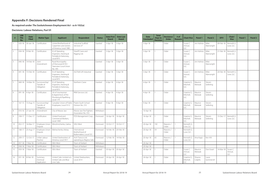#### **Appendix F: Decisions Rendered Final**

#### **As required under The Saskatchewan Employment Act - ss 6-102(a)**

#### **Decisions: Labour Relations, Part VI**

| #               | <b>LRB</b><br><b>File</b><br>No. | <b>Date</b><br><b>Filed</b> | <b>Matter Type</b>                          | <b>Applicant</b>                                                                | <b>Respondent</b>                                          | <b>Status</b> | <b>Date First</b><br><b>Heard</b> | <b>Date Last</b><br><b>Heard</b> |
|-----------------|----------------------------------|-----------------------------|---------------------------------------------|---------------------------------------------------------------------------------|------------------------------------------------------------|---------------|-----------------------------------|----------------------------------|
| 1               | $020 - 18$                       | 30-Jan-18                   | Certification                               | United Brotherhood of<br>Carpenters and Joiners<br>of America, Local 1985       | Industrial Scaffold<br>Services LP                         | Granted       | 3-Apr-18                          | 3-Apr-18                         |
| $\overline{2}$  | 034-18                           | 9-Feb-18                    | Certification                               | IU of Operating<br>Engineers, Hoisting &<br>Portable & Stationary,<br>Local 870 | Sheriff Crane and<br>Rigging Ltd.                          | Granted       | $3-Apr-18$                        | 3-Apr-18                         |
| 3               | $040 - 18$                       | 14-Feb-18                   | Joint<br>Amendment                          | Rural Municipality<br>of Sherwood #159 /<br>Teamsters Local Union<br>No. 395    |                                                            | Granted       | $3-Apr-18$                        | 3-Apr-18                         |
| $\overline{4}$  | $041 - 18$                       | 15-Feb-18                   | Certification                               | IU of Operating<br>Engineers, Hoisting &<br>Portable & Stationary,<br>Local 870 | ALE Roll-Lift Industrial                                   | Granted       | 3-Apr-18                          | 3-Apr-18                         |
| 5               | 069-18                           | 14-Mar-18                   | Successorship/<br>Transfer of<br>Obligation | IU of Operating<br>Engineers, Hoisting &<br>Portable & Stationary,<br>Local 870 | Northern Crane                                             | Granted       | $4-Apr-18$                        | 4-Apr-18                         |
| 6               | 091-18                           | 4-Apr-18                    | Certification                               | UA of Journeyman<br>& Apprentices of the<br>Plumbing & Pipefitting<br>Local 179 | RKM Services Ltd.                                          | Granted       | $4 - Apr - 18$                    | 4-Apr-18                         |
| $\overline{7}$  | $167 - 15$                       | 13-Aug-15                   | Successorship/<br>Transfer of<br>Obligation | Canadian Union of Public<br>Employees, Local 5512                               | Prairie South School<br>Division No. 210                   | Granted       | 9-Apr-18                          | $9-Apr-18$                       |
| $\,8\,$         | $010 - 16$                       | 27-Jan-16                   | Amendment                                   | City of Moose Jaw                                                               | Moose Jaw Fire Fighters<br>Association No. 553             | Withdrawn     |                                   |                                  |
| 9               | 258-17                           | 11-Dec-17                   | Certification                               | United Food and<br>Commercial Workers,<br>Local 1400                            | POS Management Corp.                                       | Dismissed     | 16-Apr-18                         | 16-Apr-18                        |
| 10 <sup>°</sup> | $052 - 17$                       | 16-Mar-17                   | Employee-Union<br>Dispute                   | Miroshnichenko, Galina                                                          | SEIU-West                                                  | Dismissed     | 10-Oct-17                         | 10-Oct-17                        |
| 11              | 168-17                           | 23-Aug-17                   | Employee-Union<br>Dispute                   | Melnechenko, Kelsey                                                             | International<br>Brotherhood of<br>Boilermakers, Local 555 | Dismissed     | 16-Feb-18                         | 20-Feb-18                        |
| 12              | 209-17                           | 12-Oct-17                   | Unfair Labour<br>Practice                   | United Steelworkers of<br>America, Local 5917                                   | Arch Transco Ltd.<br>operating as Regina Cabs              | Dismissed     | 12-Feb-18                         | 14-Feb-18                        |
| 13              | 057-18                           | 7-Mar-18                    | Certification                               | SEIU-West                                                                       | Town of Herbert                                            | Withdrawn     |                                   |                                  |
| 14              | 058-18                           | 7-Mar-18                    | Certification                               | SEIU-West                                                                       | Town of Herbert                                            | Withdrawn     |                                   |                                  |
| 15              | 059-18                           | 7-Mar-18                    | Certification                               | SEIU-West                                                                       | Town of Herbert                                            | Granted       | 20-Apr-18                         | 20-Apr-18                        |
| 16              | $031 - 18$                       | 8-Feb-18                    | Summary<br>Dismissal<br>Application         | United Cabs Limited o/a<br>United Cabs and Blue<br>Line Cabs                    | United Steelworkers,<br>Local 2014                         | Dismissed     | 24-Apr-18                         | 24-Apr-18                        |

| <b>Date</b><br><b>Concluded</b> | <b>Total</b><br><b>Days to</b><br><b>Decision</b> | <b>Decisions/</b><br><b>Order</b> | # of<br><b>Reasons</b> | <b>Chair/Vice</b>              | Panel 1            | <b>Panel 2</b>       | <b>DFV</b> | Chair/<br><b>Vice</b>      | <b>Panel 1</b> | <b>Panel 2</b> |
|---------------------------------|---------------------------------------------------|-----------------------------------|------------------------|--------------------------------|--------------------|----------------------|------------|----------------------------|----------------|----------------|
| 3-Apr-18                        | 1                                                 | Order                             |                        | Susan C.<br>Amrud,<br>Q.C.     | Jim Holmes         | Mike<br>Wainwright   | 09-Feb-18  | Kenneth G.<br>Love, Q.C.   |                |                |
| 3-Apr-18                        | $\mathbf{1}$                                      | Order                             |                        | Susan C.<br>Amrud,<br>Q.C.     | Jim Holmes         | Mike<br>Wainwright   | 21-Feb-18  | Kenneth G.<br>Love, Q.C.   |                |                |
| 3-Apr-18                        | $\mathbf{1}$                                      | Order                             |                        | Susan C.<br>Amrud,<br>Q.C.     | Jim Holmes         | Mike<br>Wainwright   |            |                            |                |                |
| 3-Apr-18                        | $\mathbf{1}$                                      | Order                             |                        | Susan C.<br>Amrud,<br>Q.C.     | Jim Holmes         | Mike<br>Wainwright   | 20-Feb-18  | Kenneth G.<br>Love, Q.C.   |                |                |
| 4-Apr-18                        | $\mathbf{1}$                                      | Order                             |                        | Graeme G.<br>Mitchell,<br>Q.C. | Maurice<br>Werezak | Steven<br>Seiferling |            |                            |                |                |
| 4-Apr-18                        | $\mathbf{1}$                                      | Order                             |                        | Graeme G.<br>Mitchell,<br>Q.C. | Maurice<br>Werezak | Steven<br>Seiferling |            |                            |                |                |
| 9-Apr-18                        | $\mathbf{1}$                                      | Order                             |                        | Graeme G.<br>Mitchell,<br>Q.C. | Maurice<br>Werezak | Steven<br>Seiferling |            |                            |                |                |
| 10-Apr-18                       |                                                   |                                   |                        |                                |                    |                      |            |                            |                |                |
| 16-Apr-18                       | $\mathbf{1}$                                      | Order                             |                        | Graeme G.<br>Mitchell,<br>Q.C. | Maurice<br>Werezak | Steven<br>Seiferling | 15-Dec-17  | Kenneth G.<br>Love, Q.C.   |                |                |
| 20-Apr-18                       | 192                                               | Reasons /<br>Order                | $\mathbf{1}$           | Kenneth G.<br>Love, Q.C.       |                    |                      |            |                            |                |                |
| 20-Apr-18                       | 59                                                | Reasons /<br>Order                | $\mathbf{1}$           | Kenneth G.<br>Love, Q.C.       |                    |                      |            |                            |                |                |
| 20-Apr-18                       | 65                                                | Reasons /<br>Order                | $\mathbf{1}$           | Kenneth G.<br>Love, Q.C.       | Aina Kagis         | Ken Ahl              |            |                            |                |                |
| 20-Apr-18                       |                                                   |                                   |                        |                                |                    |                      |            |                            |                |                |
| 20-Apr-18                       |                                                   |                                   |                        |                                |                    |                      |            |                            |                |                |
| 20-Apr-18                       | $\mathbf{1}$                                      | Order                             |                        | Susan C.<br>Amrud,<br>Q.C.     | Maurice<br>Werezak | Don Ewart            | 14-Mar-18  | Susan C.<br>Amrud,<br>Q.C. |                |                |
| 24-Apr-18                       | $\mathbf{1}$                                      | Order                             |                        | Graeme G.<br>Mitchell,<br>Q.C. | Shauna<br>Colpitts | Laura<br>Sommervill  |            |                            |                |                |

Saskatchewan Labour Relations Board 24 24 Saskatchewan Labour Relations Board 24 Annual Report for 2018-19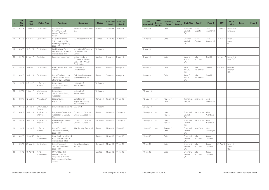| #  | <b>LRB</b><br><b>File</b><br>No. | <b>Date</b><br><b>Filed</b> | <b>Matter Type</b>           | <b>Applicant</b>                                                                                   | <b>Respondent</b>                                                               | <b>Status</b> | <b>Date First</b><br><b>Heard</b> | Date Last<br><b>Heard</b> |
|----|----------------------------------|-----------------------------|------------------------------|----------------------------------------------------------------------------------------------------|---------------------------------------------------------------------------------|---------------|-----------------------------------|---------------------------|
| 17 | 035-18                           | 12-Feb-18                   | Certification                | Saskatchewan<br>Government and<br>General Employees<br>Union                                       | Yorkton Women in Need<br>Granted<br>Inc.                                        |               | 24-Apr-18                         | 24-Apr-18                 |
| 18 | 056-18                           | 6-Mar-18                    | Certification                | UA of Journeyman<br>& Apprentices of the<br>Plumbing & Pipefitting<br>Local 179                    | PCL Intracon Power Inc.                                                         | Granted       | 24-Apr-18                         | 24-Apr-18                 |
| 19 | 098-18                           | 12-Apr-18                   | Certification                | IA of Heat and Frost<br>Insulators and Asbestos<br>Workers, Local 119                              | Vertex Oilfield Services<br>Ltd. / Vertex Field<br>Services                     | Withdrawn     |                                   |                           |
| 20 | $231 - 17$                       | 8-Nov-17                    | Rescission                   | Kostyniuk, Tracey Pearl                                                                            | United Food and<br>Commercial Workers,<br>Local 1400 / Affinity<br>Credit Union | Granted       | 8-May-18                          | 8-May-18                  |
| 21 | 245-17                           | 29-Nov-17                   | Certification                | Public Service Alliance of<br>Canada                                                               | University of<br>Saskatchewan                                                   | Granted       | 8-May-18                          | 8-May-18                  |
| 22 | 099-18                           | 16-Apr-18                   | Certification                | United Brotherhood of<br>Carpenters and Joiners<br>of America, Local 1985                          | Park Derochie Coatings<br>(Saskatchewan) Inc.                                   | Granted       | 8-May-18                          | 8-May-18                  |
| 23 | 159-17                           | 2-Aug-17                    | Unfair Labour<br>Practice    | University of<br>Saskatchewan Faculty<br>Association                                               | University of<br>Saskatchewan                                                   | Withdrawn     |                                   |                           |
| 24 | 247-17                           | $1-Dec-17$                  | Interlocutory<br>Application | University of<br>Saskatchewan Faculty<br>Association                                               | University of<br>Saskatchewan                                                   | Withdrawn     |                                   |                           |
| 25 | 208-17                           | 12-Oct-17                   | Amendment                    | Saskatchewan<br>Polytechnic                                                                        | Saskatchewan<br>Polytechnic Faculty<br>Association (SPFA)                       | Dismissed     | 10-Jan-18                         | $11$ -Jan-18              |
| 26 | 043-18                           | 20-Feb-18                   | Unfair Labour<br>Practice    | Elmwood Residences Inc.                                                                            | SFIU-West                                                                       | Withdrawn     |                                   |                           |
| 27 | 096-18                           | 10-Apr-18                   | Application to<br>Intervene  | Progressive Contractors<br>Association of Canada,<br>The                                           | <b>Construction Workers</b><br>Union, CLAC Local 151                            | Granted       | 14-May-18                         | 15-May-18                 |
| 28 | $105 - 18$                       | 26-Apr-18                   | Application to<br>Intervene  | <b>Brand Energy Solutions</b><br>(Canada) Ltd.                                                     | <b>Construction Workers</b><br>Union, CLAC Local 151                            | Dismissed     | 14-May-18                         | 15-May-18                 |
| 29 | 133-17                           | 29-Jun-17                   | Unfair Labour<br>Practice    | United Food and<br>Commercial Workers,<br>Local 1400                                               | AAA Security Group Ltd.                                                         | Granted       | 22-Jan-18                         | 22-Jan-18                 |
| 30 | 009-18                           | 12-Jan-18                   | Joint<br>Amendment           | Litzki Foods Ltd. / United<br>Food and Commercial<br>Workers, Local 1400                           |                                                                                 | Granted       | $11 - Jun - 18$                   | $11$ -Jun-18              |
| 31 | 090-18                           | 29-Mar-18                   | Certification                | United Food and<br>Commercial Workers,<br>Local 1400                                               | Dairy Queen Brazier<br>#27138                                                   | Dismissed     | $11 - Jun - 18$                   | $11$ -Jun-18              |
| 32 | 103-18                           | 19-Apr-18                   | Joint<br>Amendment           | CUPE, 1902 / Rink<br>Avenue Childcare<br>Cooperative / Regina<br>Neighborhood Childcare<br>Society |                                                                                 | Granted       | $11$ -Jun-18                      | $11 - Jun - 18$           |

| <b>Date</b><br><b>Concluded</b> | <b>Total</b><br><b>Days to</b><br><b>Decision</b> | <b>Decisions/</b><br><b>Order</b> | # of<br><b>Reasons</b> | <b>Chair/Vice</b>              | Panel 1            | <b>Panel 2</b>      | <b>DFV</b> | Chair/<br><b>Vice</b>          | <b>Panel 1</b> | <b>Panel 2</b> |
|---------------------------------|---------------------------------------------------|-----------------------------------|------------------------|--------------------------------|--------------------|---------------------|------------|--------------------------------|----------------|----------------|
| 24-Apr-18                       | 1                                                 | Order                             |                        | Graeme G.<br>Mitchell,<br>Q.C. | Shauna<br>Colpitts | Laura<br>Sommervill | 23-Feb-18  | Kenneth G.<br>Love, Q.C.       |                |                |
| 24-Apr-18                       | $\mathbf{1}$                                      | Order                             |                        | Graeme G.<br>Mitchell,<br>Q.C. | Shauna<br>Colpitts | Laura<br>Sommervill | 15-Mar-18  | Susan C.<br>Amrud,<br>Q.C.     |                |                |
| 7-May-18                        |                                                   |                                   |                        |                                |                    |                     |            |                                |                |                |
| 8-May-18                        | $\mathbf{1}$                                      | Order                             |                        | Susan C.<br>Amrud,<br>Q.C.     | John<br>McCormick  | Ken Ahl             | 15-Nov-17  | Kenneth G.<br>Love, Q.C.       |                |                |
| 8-May-18                        | $\mathbf{1}$                                      | Order                             |                        | Susan C.<br>Amrud,<br>Q.C.     | John<br>McCormick  | Ken Ahl             | 05-Dec-17  | Graeme G.<br>Mitchell,<br>Q.C. |                |                |
| 8-May-18                        | $\mathbf{1}$                                      | Order                             |                        | Susan C.<br>Amrud,<br>Q.C.     | John<br>McCormick  | Ken Ahl             |            |                                |                |                |
|                                 |                                                   |                                   |                        |                                |                    |                     |            |                                |                |                |
| 10-May-18                       |                                                   |                                   |                        |                                |                    |                     |            |                                |                |                |
| 18-May-18                       | 127                                               | Reasons /<br>Order                | $\mathbf{1}$           | Kenneth G.<br>Love, Q.C.       | Aina Kagis         | Laura<br>Sommervill |            |                                |                |                |
| 28-May-18                       |                                                   |                                   |                        |                                |                    |                     |            |                                |                |                |
| 29-May-18                       | 14                                                | Letter<br>Reasons                 | $\mathbf{1}$           | Graeme G.<br>Mitchell,<br>Q.C. | Jim Holmes         | Allan<br>Parenteau  |            |                                |                |                |
| 29-May-18                       | 14                                                | Letter<br>Reasons                 |                        | Graeme G.<br>Mitchell,<br>Q.C. | Jim Holmes         | Allan<br>Parenteau  |            |                                |                |                |
| $11$ -Jun-18                    | 140                                               | Reasons /<br>Order                | $\mathbf{1}$           | Graeme G.<br>Mitchell,<br>Q.C. | Aina Kagis         | Mike<br>Wainwright  |            |                                |                |                |
| $11$ -Jun-18                    | $\mathbf{1}$                                      | Order                             |                        | Graeme G.<br>Mitchell,<br>Q.C. | John<br>McCormick  | Brenda<br>Cuthbert  |            |                                |                |                |
| $11$ -Jun-18                    | $\mathbf{1}$                                      | Order                             |                        | Graeme G.<br>Mitchell,<br>Q.C. | John<br>McCormick  | Brenda<br>Cuthbert  | 09-Apr-18  | Susan C.<br>Amrud,<br>Q.C.     |                |                |
| $11-Jun-18$                     | $\mathbf{1}$                                      | Order                             |                        | Graeme G.<br>Mitchell,<br>Q.C. | John<br>McCormick  | Brenda<br>Cuthbert  |            |                                |                |                |

Saskatchewan Labour Relations Board **Annual Report for 2018-19** 26 Annual Report for 2018-19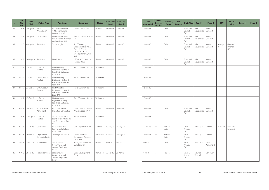| #  | <b>LRB</b><br><b>File</b><br>No. | <b>Date</b><br><b>Filed</b> | <b>Matter Type</b>                   | <b>Applicant</b>                                                                | <b>Respondent</b>                                                                                                       | <b>Status</b> | <b>Date First</b><br><b>Heard</b> | <b>Date Last</b><br><b>Heard</b> |
|----|----------------------------------|-----------------------------|--------------------------------------|---------------------------------------------------------------------------------|-------------------------------------------------------------------------------------------------------------------------|---------------|-----------------------------------|----------------------------------|
| 33 | 110-18                           | 7-May-18                    | Joint<br>Amendment                   | United Steelworkers<br>/TMS International<br>Canada Limited                     | United Steelworkers                                                                                                     | Granted       | $11 - Jun-18$                     | $11$ -Jun-18                     |
| 34 | $111 - 18$                       | 7-May-18                    | Certification                        | IA of Heat and Frost<br>Insulators and Asbestos<br>Workers, Local 119           | <b>APEC Industrial Services</b><br>Ltd.                                                                                 | Granted       | $11$ -Jun-18                      | $11$ -Jun-18                     |
| 35 | $112 - 18$                       | 8-May-18                    | Rescission                           | Schmidt, Lyle                                                                   | IU of Operating<br>Engineers, Hoisting &<br>Portable & Stationary,<br>Local 870 / Rural<br>Municipality of Cymri<br>#36 | Granted       | $11$ -Jun-18                      | $11$ -Jun-18                     |
| 36 | 118-18                           | 24-May-18                   | Rescission                           | Magill, Beverly                                                                 | UFCW 1400 / National<br>Farmers Union                                                                                   | Granted       | $11 - Jun-18$                     | $11$ -Jun-18                     |
| 37 | 222-17                           | 27-Oct-17                   | Unfair Labour<br>Practice            | IU of Operating<br>Engineers, Hoisting &<br>Portable & Stationary,<br>Local 870 | RM of Dundurn No. 314                                                                                                   | Withdrawn     |                                   |                                  |
| 38 | 223-17                           | 27-Oct-17                   | Unfair Labour<br>Practice            | IU of Operating<br>Engineers, Hoisting &<br>Portable & Stationary,<br>Local 870 | RM of Dundurn No. 314                                                                                                   | Withdrawn     |                                   |                                  |
| 39 | 224-17                           | 27-Oct-17                   | Unfair Labour<br>Practice            | IU of Operating<br>Engineers, Hoisting &<br>Portable & Stationary,<br>Local 870 | RM of Dundurn No. 314                                                                                                   | Withdrawn     |                                   |                                  |
| 40 | 225-17                           | 27-Oct-17                   | Unfair Labour<br>Practice            | IU of Operating<br>Engineers, Hoisting &<br>Portable & Stationary,<br>Local 870 | RM of Dundurn No. 314                                                                                                   | Withdrawn     |                                   |                                  |
| 41 | 054-18                           | 5-Mar-18                    | <b>First Collective</b><br>Agreement | Evraz Wasco Pipe<br>Protection Corporation                                      | United Steelworkers of<br>America, Local 5917                                                                           | Granted       | 18-Jun-18                         | 18-Jun-18                        |
| 42 | 116-18                           | 15-May-18                   | Unfair Labour<br>Practice            | Saskatchewan Joint<br>Board, Retail, Wholesale<br>and Department Store<br>Union | Sobeys West Inc.                                                                                                        | Withdrawn     |                                   |                                  |
| 43 | $017 - 18$                       | 23-Jan-18                   | Certification                        | United Food and<br>Commercial Workers,<br>Local 1400                            | CWS Logistics Limited                                                                                                   | Granted       | 10-May-18                         | 10-May-18                        |
| 44 | 047-18                           | 26-Feb-18                   | Objection to<br>Conduct of Vote      | CWS Logistics Limited                                                           | United Food and<br>Commercial Workers,<br>Local 1400                                                                    | Dismissed     | 10-May-18                         | 10-May-18                        |
| 45 | $104 - 18$                       | 23-Apr-18                   | Amendment                            | Saskatchewan<br>Government and<br>General Employees<br>Union                    | Immigrant Women of<br>Saskatchewan                                                                                      | Granted       | $3$ -Jul-18                       | $3-Jul-18$                       |
| 46 | 019-18                           | 29-Jan-18                   | Reconsideration                      | Saskatchewan<br>Government and<br>General Employees<br>Union                    | Quint Development<br>Corp.                                                                                              | Dismissed     | 20-Apr-18                         | 20-Apr-18                        |

| <b>Date</b><br><b>Concluded</b> | <b>Total</b><br><b>Days to</b><br><b>Decision</b> | <b>Decisions/</b><br><b>Order</b> | # of<br><b>Reasons</b> | <b>Chair/Vice</b>              | Panel 1            | Pane             |
|---------------------------------|---------------------------------------------------|-----------------------------------|------------------------|--------------------------------|--------------------|------------------|
| $11$ -Jun-18                    | 1                                                 | Order                             |                        | Graeme G.<br>Mitchell,<br>O.C. | John<br>McCormick  | Brenda<br>Cuthbe |
| $11$ -Jun-18                    | $\mathbf{1}$                                      | Order                             |                        | Graeme G.<br>Mitchell,<br>Q.C. | John<br>McCormick  | Brenda<br>Cuthbe |
| $11$ -Jun-18                    | $\mathbf{1}$                                      | Order                             |                        | Graeme G.<br>Mitchell,<br>Q.C. | John<br>McCormick  | Brenda<br>Cuthbe |
| $11$ -Jun-18                    | $\mathbf{1}$                                      | Order                             |                        | Graeme G.<br>Mitchell,<br>Q.C. | John<br>McCormick  | Brenda<br>Cuthbe |
| 15-Jun-18                       |                                                   |                                   |                        |                                |                    |                  |
| 15-Jun-18                       |                                                   |                                   |                        |                                |                    |                  |
| 15-Jun-18                       |                                                   |                                   |                        |                                |                    |                  |
| 15-Jun-18                       |                                                   |                                   |                        |                                |                    |                  |
| 18-Jun-18                       | $\mathbf{1}$                                      | Order                             |                        | Graeme G.<br>Mitchell,<br>O.C. | John<br>McCormick  | Brenda<br>Cuthbe |
| 20-Jun-18                       |                                                   |                                   |                        |                                |                    |                  |
| 29-Jun-18                       | 50                                                | Reasons /<br>Order                | $\mathbf{1}$           | Susan C.<br>Amrud,<br>Q.C.     | Aina Kagis         | Ken Ahl          |
| 29-Jun-18                       | 50                                                | Reasons /<br>Order                | $\mathbf{1}$           | Susan C.<br>Amrud,<br>Q.C.     | Aina Kagis         | Ken Ahl          |
| $3-Jul-18$                      | $\mathbf{1}$                                      | Order                             | $\overline{a}$         | Susan C.<br>Amrud,<br>Q.C.     | Aina Kagis         | Mike<br>Wainwr   |
| 4-Jul-18                        | 75                                                | Reasons                           | $\mathbf{1}$           | Susan C.<br>Amrud,<br>Q.C.     | Maurice<br>Werezak | Don Ew           |

| s | <b>Chair/Vice</b>              | Panel 1            | <b>Panel 2</b>     | <b>DFV</b>    | Chair/<br><b>Vice</b>          | Panel 1 | Panel 2 |
|---|--------------------------------|--------------------|--------------------|---------------|--------------------------------|---------|---------|
|   | Graeme G.<br>Mitchell,<br>Q.C. | John<br>McCormick  | Brenda<br>Cuthbert |               |                                |         |         |
|   | Graeme G.<br>Mitchell,<br>Q.C. | John<br>McCormick  | Brenda<br>Cuthbert |               |                                |         |         |
|   | Graeme G.<br>Mitchell,<br>Q.C. | John<br>McCormick  | Brenda<br>Cuthbert | 14-May-<br>18 | Graeme G.<br>Mitchell,<br>Q.C. |         |         |
|   | Graeme G.<br>Mitchell,<br>Q.C. | John<br>McCormick  | Brenda<br>Cuthbert |               |                                |         |         |
|   |                                |                    |                    |               |                                |         |         |
|   |                                |                    |                    |               |                                |         |         |
|   |                                |                    |                    |               |                                |         |         |
|   |                                |                    |                    |               |                                |         |         |
|   | Graeme G.<br>Mitchell,<br>Q.C. | John<br>McCormick  | Brenda<br>Cuthbert |               |                                |         |         |
|   |                                |                    |                    |               |                                |         |         |
|   | Susan C.<br>Amrud,<br>Q.C.     | Aina Kagis         | Ken Ahl            | 25-Jan-18     | Kenneth G.<br>Love, Q.C.       |         |         |
|   | Susan C.<br>Amrud,<br>Q.C.     | Aina Kagis         | Ken Ahl            |               |                                |         |         |
|   | Susan C.<br>Amrud,<br>Q.C.     | Aina Kagis         | Mike<br>Wainwright |               |                                |         |         |
|   | Susan C.<br>Amrud,<br>Q.C.     | Maurice<br>Werezak | Don Ewart          |               |                                |         |         |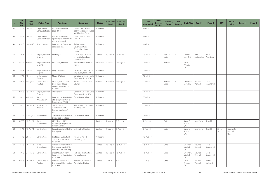| #  | <b>LRB</b><br><b>File</b><br>No. | <b>Date</b><br><b>Filed</b> | <b>Matter Type</b>              | <b>Applicant</b>                                                                | <b>Respondent</b>                                                           | <b>Status</b> | <b>Date First</b><br><b>Heard</b> | <b>Date Last</b><br><b>Heard</b> |
|----|----------------------------------|-----------------------------|---------------------------------|---------------------------------------------------------------------------------|-----------------------------------------------------------------------------|---------------|-----------------------------------|----------------------------------|
| 47 | 153-17                           | 24-Jul-17                   | Objection to<br>Conduct of Vote | United Steelworkers,<br>Local 2014                                              | United Cabs Limited<br>operating as United Cabs<br>and Blue Line Cabs       | Withdrawn     |                                   |                                  |
| 48 | 155-17                           | 26-Jul-17                   | Objection to<br>Conduct of Vote | United Cabs Limited<br>operating as United Cabs<br>and Blue Line Cabs           | United Steelworkers,<br>Local 2014                                          | Withdrawn     |                                   |                                  |
| 49 | $013 - 18$                       | 16-Jan-18                   | Abandonment                     | International Women of<br>Saskatoon Inc.                                        | Saskatchewan<br>Government and<br>General Employees<br>Union                |               |                                   |                                  |
| 50 | 130-15                           | $2$ -Jul-15                 | Employee-Union<br>Dispute       | Brady, Lyle                                                                     | IA of Bridge, Structural<br>Granted<br>Iron Workers, Local<br>Union No. 771 |               | 10-Dec-15                         | 19-Jun-18                        |
| 51 | 227-17                           | 6-Nov-17                    | Employee-Union<br>Dispute       | McDonald, Brenda E                                                              | Saskatchewan Union of<br>Dismissed<br><b>Nurses</b>                         |               | 22-May-18                         | 23-May-18                        |
| 52 | 148-18                           | $10 -$ Jul-18               | Employee-Union<br>Dispute       | Magkasi, Wilfred                                                                | Canadian Union of Public<br>Employees, Local 974                            | Withdrawn     |                                   |                                  |
| 53 | 149-18                           | $10 -$ Jul-18               | Unfair Labour<br>Practice       | Magkasi, Wilfred                                                                | Canadian Union of Public<br>Employees, Local 974                            | Withdrawn     |                                   |                                  |
| 54 | 160-17                           | 8-Aug-17                    | Unfair Labour<br>Practice       | Amenity Health Care<br>LP and/or 7169320<br>Manitoba Ltd. o/a Tim<br>Hortons    | Workers United Canada<br>Council                                            | Granted       | 30-Jan-18                         | 30-May-18                        |
| 55 | $072 - 18$                       | 19-Mar-18                   | Employee-Union<br>Dispute       | Atasoy, Faruk                                                                   | Canadian Union of Public<br>Employees, Local 5791                           | Withdrawn     |                                   |                                  |
| 56 | 159-16                           | $6$ -Jul-16                 | Joint<br>Amendment              | International Association<br>of Fire Fighters / City of<br>Prince Albert / CUPE | City of Prince Albert                                                       | Withdrawn     |                                   |                                  |
| 57 | 234-16                           | 14-Oct-16                   | Application to<br>Intervene     | Saskatchewan<br>Government and<br>General Employees'<br>Union                   | International Association<br>of Fire Fighters                               | Withdrawn     |                                   |                                  |
| 58 | 175-17                           | 31-Aug-17                   | Amendment                       | Canadian Union of Public<br>Employees, Local 882                                | City of Prince Albert                                                       | Withdrawn     |                                   |                                  |
| 59 | 097-18                           | 12-Apr-18                   | Joint<br>Amendment              | CUPE, Local 1902 /<br>University Co-operative<br>Daycare Center                 |                                                                             | Granted       | 7-Aug-18                          | 7-Aug-18                         |
| 60 | $101 - 18$                       | 17-Apr-18                   | Certification                   | Canadian Union of Public<br>Employees                                           | University of Regina                                                        | Granted       | 7-Aug-18                          | 7-Aug-18                         |
| 61 | 153-18                           | 20-Jul-18                   | Certification                   | IA of Bridge, Structural<br>Iron Workers, Local<br>Union No. 771                | Procon Mining &<br>Tunnelling Ltd.                                          | Withdrawn     |                                   |                                  |
| 62 | 134-18                           | 18-Jun-18                   | Joint<br>Amendment              | Canadian Union of Public<br>Employees, Local 1902 /<br>Wascana Day Care Coop    |                                                                             | Granted       | 15-Aug-18                         | 15-Aug-18                        |
| 63 | $140 - 18$                       | 21-Jun-18                   | Certification                   | Sheet Metal Workers'<br>International Association,<br>Local 296                 | Park Derochie Coatings<br>(Saskatchewan) Inc.                               | Granted       | 15-Aug-18                         | 15-Aug-18                        |
| 64 | 042-18                           | 15-Feb-18                   | Unfair Labour<br>Practice       | Retail Wholesale and<br>Department Store Union,<br>Local 496                    | Beeland Co-operative<br>Association Limited                                 | Granted       | $9$ -Jul-18                       | $9$ -Jul-18                      |

| <b>Date</b><br><b>Concluded</b> | <b>Total</b><br><b>Days to</b><br><b>Decision</b> | <b>Decisions/</b><br><b>Order</b> | # of<br><b>Reasons</b> | <b>Chair/Vice</b>              | Panel 1            | <b>Panel 2</b>      | <b>DFV</b>    | Chair/<br><b>Vice</b>          | <b>Panel 1</b> | <b>Panel 2</b> |
|---------------------------------|---------------------------------------------------|-----------------------------------|------------------------|--------------------------------|--------------------|---------------------|---------------|--------------------------------|----------------|----------------|
| $6 - Jul - 18$                  |                                                   |                                   |                        |                                |                    |                     |               |                                |                |                |
| $6 - Jul - 18$                  |                                                   |                                   |                        |                                |                    |                     |               |                                |                |                |
| $6 - Jul - 18$                  |                                                   |                                   |                        |                                |                    |                     |               |                                |                |                |
| $13 - Jul - 18$                 | 24                                                | Reasons /<br>Order                | $\mathsf{3}$           | Kenneth G.<br>Love, Q.C.       | John<br>McCormick  | Allan<br>Parenteau  |               |                                |                |                |
| $16 -$ Jul-18                   | 54                                                | Reasons                           | $\mathbf{1}$           | Susan C.<br>Amrud,<br>Q.C.     |                    |                     |               |                                |                |                |
| $17 -$ Jul-18                   |                                                   |                                   |                        |                                |                    |                     |               |                                |                |                |
| 17-Jul-18                       |                                                   |                                   |                        |                                |                    |                     |               |                                |                |                |
| 20-Jul-18                       | 51                                                | Reasons /<br>Order                | $\overline{2}$         | Kenneth G.<br>Love, Q.C.       | Maurice<br>Werezak | Laura<br>Sommervill |               |                                |                |                |
| 24-Jul-18                       |                                                   |                                   |                        |                                |                    |                     |               |                                |                |                |
| 25-Jul-18                       |                                                   |                                   |                        |                                |                    |                     |               |                                |                |                |
| $25 -$ Jul-18                   |                                                   |                                   |                        |                                |                    |                     |               |                                |                |                |
| 25-Jul-18                       |                                                   |                                   |                        |                                |                    |                     |               |                                |                |                |
| 7-Aug-18                        | $\mathbf{1}$                                      | Order                             |                        | Susan C.<br>Amrud,<br>Q.C.     | Aina Kagis         | Ken Ahl             |               |                                |                |                |
| 7-Aug-18                        | $\mathbf{1}$                                      | Order                             |                        | Susan C.<br>Amrud,<br>Q.C.     | Aina Kagis         | Ken Ahl             | 28-May-<br>18 | Graeme G.<br>Mitchell,<br>Q.C. |                |                |
| 13-Aug-18                       |                                                   |                                   |                        |                                |                    |                     |               |                                |                |                |
| 15-Aug-18                       | $\mathbbm{1}$                                     | Order                             |                        | Graeme G.<br>Mitchell,<br>Q.C. | Maurice<br>Werezak | Laura<br>Sommervill |               |                                |                |                |
| 15-Aug-18                       | $\overline{1}$                                    | Order                             |                        | Graeme G.<br>Mitchell,<br>Q.C. | Maurice<br>Werezak | Laura<br>Sommervill |               |                                |                |                |
| 22-Aug-18                       | $44$                                              | Order                             |                        | Susan C.<br>Amrud,<br>Q.C.     | Maurice<br>Werezak | Brenda<br>Cuthbert  |               |                                |                |                |

Saskatchewan Labour Relations Board **Annual Report for 2018-19** 30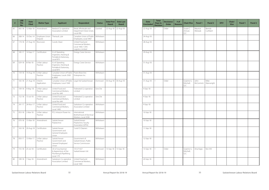| #  | <b>LRB</b><br><b>File</b><br>No. | <b>Date</b><br><b>Filed</b> | <b>Matter Type</b>        | <b>Applicant</b>                                                                | <b>Respondent</b>                                                               | <b>Status</b> | <b>Date First</b><br><b>Heard</b> | <b>Date Last</b><br><b>Heard</b> |
|----|----------------------------------|-----------------------------|---------------------------|---------------------------------------------------------------------------------|---------------------------------------------------------------------------------|---------------|-----------------------------------|----------------------------------|
| 65 | $065 - 18$                       | 12-Mar-18                   | Amendment                 | Beeland Co-operative<br>Association Limited                                     | Retail, Wholesale and<br>Department Store Union,<br>Local 496                   | Granted       | 22-Aug-18                         | 22-Aug-18                        |
| 66 | 268-14                           | 10-Dec-14                   | Employee-Union<br>Dispute | Theriault, Lyle                                                                 | Canadian Union of Public<br>Employees, Local 3967                               | Withdrawn     |                                   |                                  |
| 67 | 174-18                           | 27-Aug-18                   | Rescission                | Currah, Dean                                                                    | United Food and<br>Commercial Workers.<br>Local 1400 / CWS<br>Logistics Limited | Withdrawn     |                                   |                                  |
| 68 | 185-17                           | 14-Sep-17                   | Certification             | IU of Operating<br>Engineers, Hoisting &<br>Portable & Stationary,<br>Local 870 | <b>Energy Crane Service</b><br>Withdrawn                                        |               |                                   |                                  |
| 69 | 029-18                           | 8-Feb-18                    | Unfair Labour<br>Practice | IU of Operating<br>Engineers, Hoisting &<br>Portable & Stationary,<br>Local 870 | <b>Energy Crane Service</b>                                                     | Withdrawn     |                                   |                                  |
| 70 | 159-18                           | 14-Aug-18                   | Unfair Labour<br>Practice | Canadian Union of Public<br>Employees, Locals 3583<br>& 4909                    | Prairie Branches<br>Enterprises Inc.                                            | Withdrawn     |                                   |                                  |
| 71 | 165-18                           | 21-Aug-18                   | Interim<br>Application    | Canadian Union of Public<br>Employees, Local 1949                               | Legal Aid Saskatchewan                                                          | Dismissed     | 30-Aug-18                         | 30-Aug-18                        |
| 72 | 109-18                           | 4-May-18                    | Unfair Labour<br>Practice | United Food and<br>Commercial Workers,<br>Local No. 649                         | Federated Co-operative<br>Limited                                               | Sine Die      |                                   |                                  |
| 73 | 152-18                           | $13 -$ Jul-18               | Unfair Labour<br>Practice | United Food and<br>Commercial Workers,<br>Local No. 649                         | Federated Co-operative<br>Limited                                               | Sine Die      |                                   |                                  |
| 74 | $241 - 17$                       | 24-Nov-17                   | Unfair Labour<br>Practice | United Food and<br>Commercial Workers,<br>Local 1400                            | Saskatoon Co-operative<br>Association Limited                                   | Withdrawn     |                                   |                                  |
| 75 | $053 - 18$                       | $2-Mar-18$                  | Unfair Labour<br>Practice | PCL Intracon Power Inc.                                                         | International<br>Brotherhood of Electrical<br>Workers, Local 2038               | Withdrawn     |                                   |                                  |
| 76 | 070-18                           | 15-Mar-18                   | Amendment                 | Saskatchewan<br>Polytechnic                                                     | Saskatchewan<br>Polytechnic Faculty<br>Association (SPFA)                       | Withdrawn     |                                   |                                  |
| 77 | 163-18                           | 20-Aug-18                   | Certification             | Saskatchewan<br>Government and<br>General Employees<br>Union                    | S and O Cleaners                                                                | Withdrawn     |                                   |                                  |
| 78 | 050-17                           | 13-Mar-17                   | Unfair Labour<br>Practice | Saskatchewan<br>Government and<br>General Employees'<br>Union                   | Government of<br>Saskatchewan, Public<br>Service Commission                     | Withdrawn     |                                   |                                  |
| 79 | 155-18                           | 25-Jul-18                   | Certification             | UA of Journeyman<br>& Apprentices of the<br>Plumbing & Pipefitting<br>Local 179 | 101271427<br>Saskatchewan Ltd.                                                  | Dismissed     | 13-Sep-18                         | 13-Sep-18                        |
| 80 | 189-18                           | 7-Sep-18                    | Amendment                 | Saskatoon Co-operative<br>Association Limited                                   | United Food and<br>Commercial Workers,<br>Local 1400                            | Withdrawn     |                                   |                                  |

| <b>Date</b><br><b>Concluded</b> | <b>Total</b><br><b>Days to</b><br><b>Decision</b> | Decisions/<br><b>Order</b> | # of<br><b>Reasons</b> | <b>Chair/Vice</b>              | Panel 1            | <b>Panel 2</b>     | <b>DFV</b> | Chair/<br><b>Vice</b> | Panel 1 | Panel 2 |
|---------------------------------|---------------------------------------------------|----------------------------|------------------------|--------------------------------|--------------------|--------------------|------------|-----------------------|---------|---------|
| 22-Aug-18                       | $\mathbf{1}$                                      | Order                      |                        | Susan C.<br>Amrud,<br>Q.C.     | Maurice<br>Werezak | Brenda<br>Cuthbert |            |                       |         |         |
| 24-Aug-18                       |                                                   |                            |                        |                                |                    |                    |            |                       |         |         |
| 28-Aug-18                       |                                                   |                            |                        |                                |                    |                    |            |                       |         |         |
| 29-Aug-18                       |                                                   |                            |                        |                                |                    |                    |            |                       |         |         |
| 31-Aug-18                       |                                                   |                            |                        |                                |                    |                    |            |                       |         |         |
| 31-Aug-18                       |                                                   |                            |                        |                                |                    |                    |            |                       |         |         |
| 31-Aug-18                       | $\mathbf{1}$                                      | Order                      |                        | Graeme G.<br>Mitchell,<br>Q.C. | John<br>McCormick  | Mike<br>Wainwright |            |                       |         |         |
| 4-Sep-18                        |                                                   |                            |                        |                                |                    |                    |            |                       |         |         |
| 4-Sep-18                        |                                                   |                            |                        |                                |                    |                    |            |                       |         |         |
| 9-Sep-18                        |                                                   |                            |                        |                                |                    |                    |            |                       |         |         |
| 10-Sep-18                       |                                                   |                            |                        |                                |                    |                    |            |                       |         |         |
| 10-Sep-18                       |                                                   |                            |                        |                                |                    |                    |            |                       |         |         |
| 11-Sep-18                       |                                                   |                            |                        |                                |                    |                    |            |                       |         |         |
| 12-Sep-18                       |                                                   |                            |                        |                                |                    |                    |            |                       |         |         |
| 13-Sep-18                       | $\mathbbm{1}$                                     | Order                      |                        | Graeme G.<br>Mitchell,<br>Q.C. | Aina Kagis         | Ken Ahl            |            |                       |         |         |
| 20-Sep-18                       |                                                   |                            |                        |                                |                    |                    |            |                       |         |         |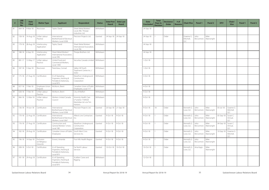| #  | <b>LRB</b><br><b>File</b><br>No. | <b>Date</b><br><b>Filed</b> | <b>Matter Type</b>                   | <b>Applicant</b>                                                                | <b>Respondent</b>                                                            | <b>Status</b> | <b>Date First</b><br><b>Heard</b> | <b>Date Last</b><br><b>Heard</b> |
|----|----------------------------------|-----------------------------|--------------------------------------|---------------------------------------------------------------------------------|------------------------------------------------------------------------------|---------------|-----------------------------------|----------------------------------|
| 81 | 064-18                           | 9-Mar-18                    | Rescission                           | Taylor, David                                                                   | Sheet Metal Workers'<br>Local 296 / Thorpe<br>Industries Ltd.                | Withdrawn     |                                   |                                  |
| 82 | 158-18                           | 14-Aug-18                   | Unfair Labour<br>Practice            | International<br>Brotherhood of Electrical<br>Workers, Local 2038               | Precision Projects Ltd.                                                      | Granted       | 24-Sep-18                         | 24-Sep-18                        |
| 83 | 179-18                           | 28-Aug-18                   | Interlocutory<br>Application         | Taylor, David                                                                   | Sheet Metal Workers'<br>International Association,<br>Local 296              | Withdrawn     |                                   |                                  |
| 84 | 188-18                           | 6-Sep-18                    | Interlocutory<br>Application         | Sheet Metal Workers'<br>International Association,<br>Local 296                 | Thorpe Brothers Ltd.                                                         | Withdrawn     |                                   |                                  |
| 85 | $081 - 17$                       | 12-May-17                   | Unfair Labour<br>Practice            | United Food and<br>Commercial Workers,<br>Local 1400                            | Securitas Canada Limited                                                     | Withdrawn     |                                   |                                  |
| 86 | 187-18                           | 5-Sep-18                    | Rescission                           | Parenteau, Conrad                                                               | Valley Hill Youth<br>Treatment Centre Inc. /<br>SGEU                         | Withdrawn     |                                   |                                  |
| 87 | $175 - 18$                       | 27-Aug-18                   | Certification                        | IU of Operating<br>Engineers, Hoisting &<br>Portable & Stationary,<br>Local 870 | Marathon Underground<br>Constructors<br>Corporation                          | Withdrawn     |                                   |                                  |
| 88 | $027 - 18$                       | 7-Feb-18                    | Employee-Union<br>Dispute            | McMunn, Brent                                                                   | Canadian Union of Public<br>Employees, Local 777                             | Withdrawn     |                                   |                                  |
| 89 | 028-18                           | 7-Feb-18                    | Unfair Labour<br>Practice            | McMunn, Brent                                                                   | City of Melfort                                                              | Withdrawn     |                                   |                                  |
| 90 | 066-18                           | 12-Mar-18                   | Unfair Labour<br>Practice            | Workers United Canada<br>Council                                                | Amenity Health Care<br>LP and/or 7169320<br>Manitoba Ltd. o/a Tim<br>Hortons | Withdrawn     |                                   |                                  |
| 91 | 136-18                           | 19-Jun-18                   | Certification                        | International<br>Brotherhood of Electrical<br>Workers, Local 2038               | Precision Projects Ltd.                                                      | Granted       | 20-Sep-18                         | 21-Sep-18                        |
| 92 | 170-18                           | 22-Aug-18                   | Certification                        | International<br>Brotherhood of Electrical<br>Workers, Local 2067               | Allteck Line Contractors<br>Inc.                                             | Granted       | $9-Oct-18$                        | 9-Oct-18                         |
| 93 | 176-18                           | 27-Aug-18                   | Certification                        | Construction and<br>General Workers' Union,<br>Local 180                        | Marathon Underground<br>Constructors<br>Corporation                          | Granted       | 9-Oct-18                          | $9$ -Oct-18                      |
| 94 | 182-18                           | 29-Aug-18                   | Certification                        | Canadian Union of Public<br>Employees                                           | South West Crisis<br>Services Inc.                                           | Granted       | $9$ -Oct-18                       | $9$ -Oct-18                      |
| 95 | 196-18                           | 14-Sep-18                   | Exclusion<br>on Religious<br>Grounds | Ennest, Amanda                                                                  | Five Hills Health Region                                                     | Granted       | $9-Oct-18$                        | $9$ -Oct-18                      |
| 96 | 208-18                           | 3-Oct-18                    | Certification                        | IU of Operating<br>Engineers, Hoisting &<br>Portable & Stationary,<br>Local 870 | Far North Labour<br>Services                                                 | Granted       | 10-Oct-18                         | 10-Oct-18                        |
| 97 | $181 - 18$                       | 29-Aug-18                   | Certification                        | IU of Operating<br>Engineers, Hoisting &<br>Portable & Stationary,<br>Local 870 | Xcaliber Crane and<br>Rigging                                                | Withdrawn     |                                   |                                  |

| <b>Date</b><br><b>Concluded</b> | <b>Total</b><br><b>Days to</b><br><b>Decision</b> | <b>Decisions/</b><br><b>Order</b> | # of<br><b>Reasons</b> | <b>Chair/Vice</b>              | Panel 1           | <b>Panel 2</b>     | <b>DFV</b> | Chair/<br><b>Vice</b>          | Panel 1 | Panel 2 |
|---------------------------------|---------------------------------------------------|-----------------------------------|------------------------|--------------------------------|-------------------|--------------------|------------|--------------------------------|---------|---------|
| 24-Sep-18                       |                                                   |                                   |                        |                                |                   |                    |            |                                |         |         |
| 24-Sep-18                       | $\mathbf{1}$                                      | Order                             |                        | Graeme G.<br>Mitchell,<br>Q.C. | John<br>McCormick | Mike<br>Wainwright |            |                                |         |         |
| 24-Sep-18                       |                                                   |                                   |                        |                                |                   |                    |            |                                |         |         |
| 24-Sep-18                       |                                                   |                                   |                        |                                |                   |                    |            |                                |         |         |
| $1-Oct-18$                      |                                                   |                                   |                        |                                |                   |                    |            |                                |         |         |
| $1-Oct-18$                      |                                                   |                                   |                        |                                |                   |                    |            |                                |         |         |
| $3-Oct-18$                      |                                                   |                                   |                        |                                |                   |                    |            |                                |         |         |
| 4-Oct-18                        |                                                   |                                   |                        |                                |                   |                    |            |                                |         |         |
| 4-Oct-18                        |                                                   |                                   |                        |                                |                   |                    |            |                                |         |         |
| $9$ -Oct-18                     |                                                   |                                   |                        |                                |                   |                    |            |                                |         |         |
| $9$ -Oct-18                     | 18                                                | Order                             |                        | Kenneth G.<br>Love, Q.C.       | John<br>McCormick | Mike<br>Wainwright | 03-Jul-18  | Graeme G.<br>Mitchell,<br>Q.C. |         |         |
| $9$ -Oct-18                     | $\mathbf{1}$                                      | Order                             |                        | Kenneth G.<br>Love, Q.C.       | John<br>McCormick | Mike<br>Wainwright | 05-Sep-18  | Susan C.<br>Amrud,<br>Q.C.     |         |         |
| $9$ -Oct-18                     | $\ensuremath{\mathsf{1}}$                         | Order                             |                        | Kenneth G.<br>Love, Q.C.       | John<br>McCormick | Mike<br>Wainwright | 04-Sep-18  | Susan C.<br>Amrud,<br>Q.C.     |         |         |
| $9$ -Oct-18                     | $\mathbf{1}$                                      | Order                             |                        | Kenneth G.<br>Love, Q.C.       | John<br>McCormick | Mike<br>Wainwright | 10-Sep-18  | Graeme G.<br>Mitchell,<br>Q.C. |         |         |
| 9-Oct-18                        | $\mathbf{1}$                                      | Order                             |                        | Kenneth G.<br>Love, Q.C.       | John<br>McCormick | Mike<br>Wainwright |            |                                |         |         |
| 10-Oct-18                       | $\mathbf{1}$                                      | Order                             |                        | Kenneth G.<br>Love, Q.C.       | Aina Kagis        | Mike<br>Wainwright |            |                                |         |         |
| 12-Oct-18                       |                                                   |                                   |                        |                                |                   |                    |            |                                |         |         |

Saskatchewan Labour Relations Board **Annual Report for 2018-19** 34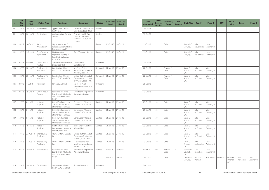| #   | <b>LRB</b><br><b>File</b><br>No. | <b>Date</b><br><b>Filed</b> | <b>Matter Type</b>                   | <b>Applicant</b>                                                                | <b>Respondent</b>                                                            | <b>Status</b> | <b>Date First</b><br><b>Heard</b> | <b>Date Last</b><br><b>Heard</b> |
|-----|----------------------------------|-----------------------------|--------------------------------------|---------------------------------------------------------------------------------|------------------------------------------------------------------------------|---------------|-----------------------------------|----------------------------------|
| 98  | 136-16                           | 20-Jun-16                   | Amendment                            | Cypress Hills Abilities<br>Centre Inc.                                          | Canadian Union of Public<br>Employees, Local 3462                            | Sine Die      |                                   |                                  |
| 99  | 130-17                           | 26-Jun-17                   | Certification                        | Workers United Canada<br>Council                                                | Amenity Health Care<br>LP and/or 7169320<br>Manitoba Ltd. o/a Tim<br>Hortons | Sine Die      |                                   |                                  |
| 100 | $261 - 17$                       | 14-Dec-17                   | Joint<br>Amendment                   | City of Moose Jaw /<br>Canadian Union of Public<br>Employees, Local 9           |                                                                              | Granted       | 16-Oct-18                         | 16-Oct-18                        |
| 101 | 157-18                           | 9-Aug-18                    | <b>First Collective</b><br>Agreement | IU of Operating<br>Engineers, Hoisting &<br>Portable & Stationary,<br>Local 870 | RM of Dundurn No. 314                                                        | Granted       | 16-Oct-18                         | 16-Oct-18                        |
| 102 | 037-08                           | 4-Apr-08                    | Unfair Labour<br>Practice            | Canadian Union of Public<br>Employees 1975                                      | University of<br>Saskatchewan                                                | Withdrawn     |                                   |                                  |
| 103 | 137-18                           | 20-Jun-18                   | Application to<br>Intervene          | <b>Construction Workers</b><br>Union, CLAC Local 151                            | IA of Heat & Frost<br>Insulators and Asbestos<br>Workers, Local 119          | Dismissed     | $21$ -Jun-18                      | $21 - Jun-18$                    |
| 104 | 138-18                           | 20-Jun-18                   | Application to<br>Intervene          | <b>Construction Workers</b><br>Union, CLAC Local 151                            | United Brotherhood of<br>Carpenters and Joiners<br>of America, Local 1985    | Dismissed     | $21$ -Jun-18                      | $21$ -Jun-18                     |
| 105 | 207-18                           | $1-Oct-18$                  | Rescission                           | Parenteau, Conrad                                                               | Valley Hill Youth<br>Treatment Centre Inc. /<br>SGEU                         | Withdrawn     |                                   |                                  |
| 106 | 235-16                           | 19-Oct-16                   | Unfair Labour<br>Practice            | Saskatchewan Joint<br>Board, Retail, Wholesale<br>and Department Store<br>Union | Saskatoon Co-operative<br>Association Limited                                | Withdrawn     |                                   |                                  |
| 107 | 127-18                           | 8-Jun-18                    | Notice of<br>Application             | United Brotherhood of<br>Carpenters and Joiners<br>of America, Local 1985       | <b>Construction Workers</b><br>Union, CLAC Local 151                         | Granted       | $21$ -Jun-18                      | $21$ -Jun-18                     |
| 108 | 128-18                           | 8-Jun-18                    | Notice of<br>Application             | United Brotherhood of<br>Carpenters and Joiners<br>of America, Local 1985       | <b>Construction Workers</b><br>Union, CLAC Local 151                         | Granted       | $21$ -Jun-18                      | $21 - \text{Jun} - 18$           |
| 109 | 129-18                           | 8-Jun-18                    | Notice of<br>Application             | United Brotherhood of<br>Carpenters and Joiners<br>of America, Local 1985       | <b>Construction Workers</b><br>Union, CLAC Local 151                         | Granted       | $21$ -Jun-18                      | $21$ -Jun-18                     |
| 110 | 135-18                           | 18-Jun-18                   | Notice of<br>Application             | IA of Heat and Frost<br>Insulators and Asbestos<br>Workers, Local 119           | <b>Brand Energy Solutions</b><br>(Canada) Ltd.                               | Granted       | 21-Jun-18                         | 21-Jun-18                        |
| 111 | $177 - 18$                       | 27-Aug-18                   | Interlocutory<br>Application         | Aluma Systems Canada<br>Inc.                                                    | United Brotherhood of<br>Carpenters & Joiners of<br>America, Local 1985      | Granted       | $21$ -Jun-18                      | $21 - Jun-18$                    |
| 112 | 178-18                           | 27-Aug-18                   | Interlocutory<br>Application         | Aluma Systems Canada<br>Inc.                                                    | IA of Heat and Frost<br>Insulators and Asbestos<br>Workers, Local 119        | Granted       | $21$ -Jun-18                      | $21$ -Jun-18                     |
| 113 | $081 - 14$                       | 24-Apr-14                   | Successorship                        | Saskatchewan Joint<br>Board, Retail, Wholesale<br>and Department Store          | Saskatoon Co-operative<br>Association Limited                                | Granted       | $1-Nov-16$                        | 13-Apr-17                        |
|     |                                  |                             |                                      | Union                                                                           |                                                                              |               | $1-Nov-18$                        | $1-Nov-18$                       |
| 114 | 219-18                           | $1-Nov-18$                  | Certification                        | <b>Construction Workers</b><br>Union, CLAC Local 151                            | Skyway Canada Ltd.                                                           | Withdrawn     |                                   |                                  |

| <b>Date</b><br><b>Concluded</b> | <b>Total</b><br><b>Days to</b><br><b>Decision</b> | <b>Decisions/</b><br><b>Order</b> | # of<br><b>Reasons</b> | <b>Chair/Vice</b>              | Panel 1            | <b>Panel 2</b>      | <b>DFV</b> | Chair/<br><b>Vice</b>          | <b>Panel 1</b>    | <b>Panel 2</b>      |
|---------------------------------|---------------------------------------------------|-----------------------------------|------------------------|--------------------------------|--------------------|---------------------|------------|--------------------------------|-------------------|---------------------|
| 16-Oct-18                       |                                                   |                                   |                        |                                |                    |                     |            |                                |                   |                     |
| 16-Oct-18                       |                                                   |                                   |                        |                                |                    |                     |            |                                |                   |                     |
| 16-Oct-18                       | $\mathbf{1}$                                      | Order                             |                        | Kenneth G.<br>Love, Q.C.       | John<br>McCormick  | Laura<br>Sommervill |            |                                |                   |                     |
| 16-Oct-18                       | $\mathbf{1}$                                      | Order                             |                        | Kenneth G.<br>Love, Q.C.       | John<br>McCormick  | Laura<br>Sommervill |            |                                |                   |                     |
| 17-Oct-18                       |                                                   |                                   |                        |                                |                    |                     |            |                                |                   |                     |
| 22-Oct-18                       | 123                                               | Reasons /<br>Order                | $\mathbf{1}$           | Susan C.<br>Amrud,<br>Q.C.     | John<br>McCormick  | Mike<br>Wainwright  |            |                                |                   |                     |
| 22-Oct-18                       | 123                                               | Reasons /<br>Order                | $\mathbf{1}$           | Susan C.<br>Amrud,<br>Q.C.     | John<br>McCormick  | Mike<br>Wainwright  |            |                                |                   |                     |
| 25-Oct-18                       |                                                   |                                   |                        |                                |                    |                     |            |                                |                   |                     |
| 29-Oct-18                       |                                                   |                                   |                        |                                |                    |                     |            |                                |                   |                     |
| 29-Oct-18                       | 130                                               | Order                             |                        | Susan C.<br>Amrud,<br>Q.C.     | John<br>McCormick  | Mike<br>Wainwright  |            |                                |                   |                     |
| 29-Oct-18                       | 130                                               | Order                             |                        | Susan C.<br>Amrud,<br>Q.C.     | John<br>McCormick  | Mike<br>Wainwright  |            |                                |                   |                     |
| 29-Oct-18                       | 130                                               | Order                             |                        | Susan C.<br>Amrud,<br>Q.C.     | John<br>McCormick  | Mike<br>Wainwright  |            |                                |                   |                     |
| 29-Oct-18                       | 130                                               | Order                             |                        | Susan C.<br>Amrud,<br>Q.C.     | John<br>McCormick  | Mike<br>Wainwright  |            |                                |                   |                     |
| 29-Oct-18                       | 130                                               | Order                             |                        | Susan C.<br>Amrud,<br>Q.C.     | John<br>McCormick  | Mike<br>Wainwright  |            |                                |                   |                     |
| 29-Oct-18                       | 130                                               | Order                             |                        | Susan C.<br>Amrud,<br>Q.C.     | John<br>McCormick  | Mike<br>Wainwright  |            |                                |                   |                     |
| 4-Sep-18                        | 509                                               | Reasons /<br>Order                | 3                      | Graeme G.<br>Mitchell,<br>Q.C. | Kent<br>Kornelsen  | Laura<br>Sommervill |            |                                |                   |                     |
| $1-Nov-18$                      | $\mathbf{1}$                                      | Order                             |                        | Kenneth G.<br>Love, Q.C.       | Maurice<br>Werezak | Joan White          | 04-Sep-18  | Graeme G.<br>Mitchell,<br>Q.C. | Kent<br>Kornelsen | Laura<br>Sommervill |
| $2-Nov-18$                      |                                                   |                                   |                        |                                |                    |                     |            |                                |                   |                     |

Saskatchewan Labour Relations Board **Annual Report for 2018-19** 36 Saskatchewan Labour Relations Board

Annual Report for 2018-19 37 37 Saskatchewan Labour Relations Board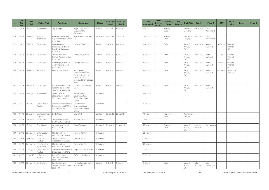| #   | <b>LRB</b><br><b>File</b><br>No. | <b>Date</b><br><b>Filed</b> | <b>Matter Type</b>                   | <b>Applicant</b>                                                                | <b>Respondent</b>                                                                                                           | <b>Status</b> | <b>Date First</b><br>Heard | <b>Date Last</b><br><b>Heard</b> |
|-----|----------------------------------|-----------------------------|--------------------------------------|---------------------------------------------------------------------------------|-----------------------------------------------------------------------------------------------------------------------------|---------------|----------------------------|----------------------------------|
| 115 | 156-18                           | 30-Jul-18                   | Amendment                            | City of Regina                                                                  | Regina Civic Middle<br>Management<br>Association                                                                            | Granted       | $9$ -Oct-18                | $9$ -Oct-18                      |
| 116 | $201 - 18$                       | 20-Sep-18                   | Interim<br>Application               | Retail, Wholesale and<br>Department Store Union,<br>Local 568                   | Signal Industries (1998)<br>Ltd.                                                                                            | Dismissed     | 12-Oct-18                  | 12-Oct-18                        |
| 117 | 190-18                           | 7-Sep-18                    | Certification                        | IU of Operating<br>Engineers, Hoisting &<br>Portable & Stationary,<br>Local 870 | Lonestar Sylvan Inc.                                                                                                        | Granted       | 8-Nov-18                   | 8-Nov-18                         |
| 118 | $191 - 18$                       | 10-Sep-18                   | Certification                        | Construction and<br>General Workers' Union,<br>Local 180                        | Lonestar Sylvan Inc.                                                                                                        | Granted       | 8-Nov-18                   | 8-Nov-18                         |
| 119 | 202-18                           | 21-Sep-18                   | Certification                        | IA of Bridge, Structural<br>Iron Workers, Local<br>Union No. 771                | Lafarge Canada Inc.                                                                                                         | Granted       | 8-Nov-18                   | 8-Nov-18                         |
| 120 | 204-18                           | 24-Sep-18                   | Rescission                           | Abrahamson, Layne                                                               | IU of Operating<br>Engineers, Hoisting &<br>Portable & Stationary,<br>Local 870 / Rural<br>Municipality of Rosedale<br>#283 | Granted       | 8-Nov-18                   | $8-Nov-18$                       |
| 121 | $215 - 18$                       | 24-Oct-18                   | Certification                        | United Brotherhood of<br>Carpenters and Joiners<br>of America, Local 1021       | <b>Custom Steel Erectors</b><br>Ltd.                                                                                        | Granted       | 8-Nov-18                   | 8-Nov-18                         |
| 122 | 164-17                           | 18-Aug-17                   | Amendment                            | Government of<br>Saskatchewan Public<br>Service Commission                      | Saskatchewan<br>Government and<br>General Employees<br>Union                                                                | Withdrawn     |                            |                                  |
| 123 | 186-17                           | 15-Sep-17                   | Unfair Labour<br>Practice            | Canadian Union of Public<br>Employees, Local 600-3<br>and Local 600-5           | Saskatchewan<br>Government and<br>General Employees<br>Union                                                                | Withdrawn     |                            |                                  |
| 124 | 073-18                           | 20-Mar-18                   | Employee-Union<br>Dispute            | Deck, Alison                                                                    | SEIU-West                                                                                                                   | Granted       | 25-Oct-18                  | 26-Oct-18                        |
|     |                                  | 125 228-18 7-Nov-18         | Certification                        | Construction Workers<br>Union, CLAC Local 151                                   | Skyway Canada Ltd.                                                                                                          | Withdrawn     |                            |                                  |
| 126 | 263-17                           | 15-Dec-17                   | Amendment                            | Amalgamated Transit<br>Union, Local 615                                         | City of Saskatoon                                                                                                           | Dismissed     | 14-May-18                  | 14-May-18                        |
| 127 | 239-18                           | 26-Nov-18                   | Unfair Labour<br>Practice            | Christian Labour<br>Association of Canada                                       | Town of Bienfait                                                                                                            | Withdrawn     |                            |                                  |
| 128 | 240-18                           | 26-Nov-18                   | Unfair Labour<br>Practice            | Christian Labour<br>Association of Canada                                       | Town of Bienfait                                                                                                            | Withdrawn     |                            |                                  |
| 129 | 241-18                           | 26-Nov-18                   | <b>First Collective</b><br>Agreement | Christian Labour<br>Association of Canada                                       | Town of Bienfait                                                                                                            | Withdrawn     |                            |                                  |
| 130 | 164-18                           | 21-Aug-18                   | Unfair Labour<br>Practice            | Canadian Union of Public<br>Employees, Local 1949                               | Legal Aid Saskatchewan                                                                                                      | Withdrawn     |                            |                                  |
| 131 | 021-18                           | 31-Jan-18                   | Unfair Labour<br>Practice            | United Food and<br>Commercial Workers,<br>Local 1400                            | CWS Logistics Limited                                                                                                       | Withdrawn     |                            |                                  |
| 132 | 237-18                           | 20-Nov-18                   | Certification                        | Construction and<br>General Workers' Union,<br>Local 180                        | Hamon Custodis-Cottrell<br>(Canada) Inc.                                                                                    | Granted       | $3-Dec-18$                 | $3-Dec-18$                       |

| <b>Date</b><br><b>Concluded</b> | <b>Total</b><br><b>Days to</b><br><b>Decision</b> | <b>Decisions/</b><br><b>Order</b> | # of<br><b>Reasons</b> | <b>Chair/Vice</b>          | Panel 1            | <b>Panel 2</b>     | <b>DFV</b>  | Chair/<br><b>Vice</b>          | <b>Panel 1</b> | <b>Panel 2</b> |
|---------------------------------|---------------------------------------------------|-----------------------------------|------------------------|----------------------------|--------------------|--------------------|-------------|--------------------------------|----------------|----------------|
| 5-Nov-18                        | 27                                                | Reasons /<br>Order                | $\mathbf{1}$           | Kenneth G.<br>Love, Q.C.   | Jim Holmes         | Mike<br>Wainwright |             |                                |                |                |
| 5-Nov-18                        | 24                                                | Reasons /<br>Order                | $\mathbf{1}$           | Kenneth G.<br>Love, Q.C.   | Aina Kagis         | Mike<br>Wainwright |             |                                |                |                |
| 8-Nov-18                        | $\mathbf{1}$                                      | Order                             |                        | Susan C.<br>Amrud,<br>Q.C. | Aina Kagis         | Brenda<br>Cuthbert | 14-Sep-18   | Graeme G.<br>Mitchell,<br>Q.C. |                |                |
| 8-Nov-18                        | $\mathbf{1}$                                      | Order                             |                        | Susan C.<br>Amrud,<br>Q.C. | Aina Kagis         | Brenda<br>Cuthbert | 14-Sep-18   | Graeme G.<br>Mitchell,<br>Q.C. |                |                |
| 8-Nov-18                        | $\mathbf{1}$                                      | Order                             |                        | Susan C.<br>Amrud,<br>Q.C. | Aina Kagis         | Brenda<br>Cuthbert | 14-Sep-18   | Graeme G.<br>Mitchell,<br>Q.C. |                |                |
| 8-Nov-18                        | $\mathbf{1}$                                      | Order                             |                        | Susan C.<br>Amrud,<br>Q.C. | Aina Kagis         | Brenda<br>Cuthbert | $01-Oct-18$ | Kenneth G.<br>Love, Q.C.       |                |                |
| 8-Nov-18                        | $\mathbf{1}$                                      | Order                             |                        | Susan C.<br>Amrud,<br>Q.C. | Aina Kagis         | Brenda<br>Cuthbert |             |                                |                |                |
| 9-Nov-18                        |                                                   |                                   |                        |                            |                    |                    |             |                                |                |                |
| 9-Nov-18                        |                                                   |                                   |                        |                            |                    |                    |             |                                |                |                |
| 13-Nov-18                       | 18                                                | Reasons /<br>Order                | $\mathbf{1}$           | Kenneth G.<br>Love, Q.C.   |                    |                    |             |                                |                |                |
| 14-Nov-18                       |                                                   |                                   |                        |                            |                    |                    |             |                                |                |                |
| 23-Nov-18                       | 193                                               | Reasons /<br>Order                | $\mathbf{1}$           | Susan C.<br>Amrud,<br>Q.C. | Maurice<br>Werezak | Gary Mearns        |             |                                |                |                |
| 26-Nov-18                       |                                                   |                                   |                        |                            |                    |                    |             |                                |                |                |
| 26-Nov-18                       |                                                   |                                   |                        |                            |                    |                    |             |                                |                |                |
| 26-Nov-18                       |                                                   |                                   |                        |                            |                    |                    |             |                                |                |                |
| 27-Nov-18                       |                                                   |                                   |                        |                            |                    |                    |             |                                |                |                |
| $3-Dec-18$                      |                                                   |                                   |                        |                            |                    |                    |             |                                |                |                |
| $3-Dec-18$                      | $\mathbf{1}$                                      | Order                             |                        | Susan C.<br>Amrud,<br>Q.C. | John<br>McCormick  | Mike<br>Wainwright |             |                                |                |                |

Saskatchewan Labour Relations Board **Annual Report for 2018-19** 38 Saskatchewan Labour Relations Board **Annual Report for 2018-19**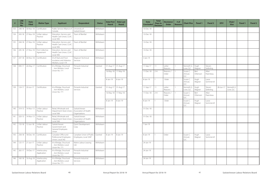| #   | <b>LRB</b><br><b>File</b><br>No. | <b>Date</b><br><b>Filed</b> | <b>Matter Type</b>            | <b>Applicant</b>                                                      | <b>Respondent</b>                                      | <b>Status</b> | <b>Date First</b><br><b>Heard</b> | <b>Date Last</b><br><b>Heard</b> |
|-----|----------------------------------|-----------------------------|-------------------------------|-----------------------------------------------------------------------|--------------------------------------------------------|---------------|-----------------------------------|----------------------------------|
| 133 | 248-18                           | 30-Nov-18                   | Certification                 | Public Service Alliance of<br>Canada                                  | University of<br>Saskatchewan                          | Withdrawn     |                                   |                                  |
| 134 | 243-18                           | 27-Nov-18                   | Unfair Labour<br>Practice     | Education, Service, and<br>Health Care Union, CLAC<br>Local 306       | Town of Bienfait                                       | Withdrawn     |                                   |                                  |
| 135 | 244-18                           | 27-Nov-18                   | Unfair Labour<br>Practice     | Education, Service, and<br>Health Care Union, CLAC<br>Local 306       | Town of Bienfait                                       | Withdrawn     |                                   |                                  |
| 136 | 245-18                           | 27-Nov-18                   | First Collective<br>Agreement | Education, Service, and<br>Health Care Union, CLAC<br>Local 306       | Town of Bienfait                                       | Withdrawn     |                                   |                                  |
| 137 | 247-18                           | 30-Nov-18                   | Certification                 | IA of Heat and Frost<br>Insulators and Asbestos<br>Workers, Local 119 | Magnum Technical<br>Services                           | Withdrawn     |                                   |                                  |
| 138 | 090-17                           | 26-May-17                   | Certification                 | IA of Bridge, Structural<br>Iron Workers, Local                       | Pinnacle Industrial<br>Services                        | Granted       | 31-Aug-17                         | 31-Aug-17                        |
|     |                                  |                             |                               | Union No. 771                                                         |                                                        |               | 16-May-18                         | 17-May-18                        |
|     |                                  |                             |                               |                                                                       |                                                        |               | 8-Jan-19                          | 8-Jan-19                         |
| 139 | 124-17                           | 20-Jun-17                   | Certification                 | IA of Bridge, Structural<br>Iron Workers, Local                       | Pinnacle Industrial<br>Services                        | Granted       | 31-Aug-17                         | 31-Aug-17                        |
|     |                                  |                             |                               | Union No. 771                                                         |                                                        |               | 16-May-18                         | 17-May-18                        |
|     |                                  |                             |                               |                                                                       |                                                        |               | 8-Jan-19                          | 8-Jan-19                         |
| 140 | 319-13                           | 14-Nov-13                   | Unfair Labour<br>Practice     | Retail, Wholesale and<br>Department Store Union,<br>Local 568         | Saskatchewan<br>Association of Health<br>Organizations | Withdrawn     |                                   |                                  |
| 141 | 320-13                           | 14-Nov-13                   | Unfair Labour<br>Practice     | Retail, Wholesale and<br>Department Store Union,<br>Local 568         | Saskatchewan<br>Association of Health<br>Organizations | Withdrawn     |                                   |                                  |
| 142 | 133-18                           | 12-Jun-18                   | Unfair Labour<br>Practice     | Saskatchewan<br>Government and<br>General Employees<br>Union          | Quint Development<br>Corp.                             | Withdrawn     |                                   |                                  |
| 143 | 258-18                           | 18-Dec-18                   | Certification                 | Canadian Office and<br>Professional Employees<br>Union, Local 342     | Canadian Union of Public<br>Employees, Local 3287      | Granted       | 8-Jan-19                          | 8-Jan-19                         |
| 144 | 125-17                           | 21-Jun-17                   | Unfair Labour<br>Practice     | IA of Bridge, Structural<br>Iron Workers, Local<br>Union No. 771      | Matrix Labour Leasing<br>Ltd.                          | Withdrawn     |                                   |                                  |
| 145 | 265-17                           | 19-Dec-17                   | Interlocutory<br>Application  | IA of Bridge, Structural<br>Iron Workers, Local<br>Union No. 771      | Pinnacle Industrial<br>Services                        | Withdrawn     |                                   |                                  |
| 146 | 160-18                           | 16-Aug-18                   | Interlocutory<br>Application  | IA of Bridge, Structural<br>Iron Workers, Local<br>Union No. 771      | Pinnacle Industrial<br>Services                        | Withdrawn     |                                   |                                  |

| <b>Date</b><br><b>Concluded</b> | <b>Total</b><br><b>Days to</b><br><b>Decision</b> | Decisions/<br><b>Order</b> | # of<br><b>Reasons</b> | <b>Chair/Vice</b>          | Panel 1          | <b>Panel 2</b>       | <b>DFV</b> | Chair/<br><b>Vice</b>    | Panel 1 | <b>Panel 2</b> |
|---------------------------------|---------------------------------------------------|----------------------------|------------------------|----------------------------|------------------|----------------------|------------|--------------------------|---------|----------------|
| 10-Dec-18                       |                                                   |                            |                        |                            |                  |                      |            |                          |         |                |
| 13-Dec-18                       |                                                   |                            |                        |                            |                  |                      |            |                          |         |                |
| 13-Dec-18                       |                                                   |                            |                        |                            |                  |                      |            |                          |         |                |
| 13-Dec-18                       |                                                   |                            |                        |                            |                  |                      |            |                          |         |                |
| 3-Jan-19                        |                                                   |                            |                        |                            |                  |                      |            |                          |         |                |
| 11-Sep-17                       | 11                                                | Letter<br>Reasons          | $\mathbf{1}$           | Kenneth G.<br>Love, Q.C.   | Hugh<br>Wagner   | Steven<br>Seiferling |            |                          |         |                |
| 17-Dec-18                       | 214                                               | Reasons /<br>Order         | $\mathbf{1}$           | Susan C.<br>Amrud,<br>Q.C. | Bert<br>Ottenson | Allan<br>Parenteau   |            |                          |         |                |
| 8-Jan-19                        | $\mathbf{1}$                                      | Order                      |                        | Susan C.<br>Amrud,<br>Q.C. | Hugh<br>Wagner   | Laura<br>Sommervill  |            |                          |         |                |
| 11-Sep-17                       | 11                                                | Letter<br>Reasons          | 1                      | Kenneth G.<br>Love, Q.C.   | Hugh<br>Wagner   | Steven<br>Seiferling | 28-Jun-17  | Kenneth G.<br>Love, Q.C. |         |                |
| 17-Dec-18                       | 214                                               | Reasons /<br>Order         | $\mathbf{1}$           | Susan C.<br>Amrud,<br>Q.C. | Bert<br>Ottenson | Allan<br>Parenteau   |            |                          |         |                |
| 8-Jan-19                        | $\mathbf{1}$                                      | Order                      |                        | Susan C.<br>Amrud,<br>Q.C. | Hugh<br>Wagner   | Laura<br>Sommervill  |            |                          |         |                |
| 31-Dec-18                       |                                                   |                            |                        |                            |                  |                      |            |                          |         |                |
| 31-Dec-18                       |                                                   |                            |                        |                            |                  |                      |            |                          |         |                |
| 7-Jan-19                        |                                                   |                            |                        |                            |                  |                      |            |                          |         |                |
| 8-Jan-19                        | $\mathbf{1}$                                      | Order                      |                        | Susan C.<br>Amrud,<br>Q.C. | Hugh<br>Wagner   | Laura<br>Sommervill  |            |                          |         |                |
| 24-Jan-19                       |                                                   |                            |                        |                            |                  |                      |            |                          |         |                |
| 24-Jan-19                       |                                                   |                            |                        |                            |                  |                      |            |                          |         |                |
| 24-Jan-19                       |                                                   |                            |                        |                            |                  |                      |            |                          |         |                |

Saskatchewan Labour Relations Board 10 and 200 and 40 annual Report for 2018-19 annual Report for 2018-19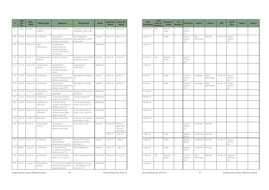| #   | <b>LRB</b><br><b>File</b><br>No. | <b>Date</b><br><b>Filed</b> | <b>Matter Type</b>          | <b>Applicant</b>                                                                            | <b>Respondent</b>                                                | <b>Status</b> | <b>Date First</b><br><b>Heard</b> | <b>Date Last</b><br><b>Heard</b>             |
|-----|----------------------------------|-----------------------------|-----------------------------|---------------------------------------------------------------------------------------------|------------------------------------------------------------------|---------------|-----------------------------------|----------------------------------------------|
| 147 | 196-17                           | 28-Sep-17                   | Employee-Union<br>Dispute   | Kurtenbach, Tammy                                                                           | Canadian Union of Public<br>Employees, Local 2268                | Dismissed     | 28-Aug-18                         | 29-Aug-18                                    |
| 148 | 238-18                           | 20-Nov-18                   | Certification               | International<br>Brotherhood of Electrical<br>Workers, Local 2067                           | Peter Ballantyne<br>Developments Limited<br>Partnership          | Granted       | 29-Jan-19                         | 29-Jan-19                                    |
| 149 | 017-19                           | 28-Jan-19                   | Joint<br>Amendment          | Saskatchewan<br>Government and<br>General Employees<br>Union / PRT Growing<br>Services Ltd. |                                                                  | Withdrawn     |                                   |                                              |
| 150 | 229-17                           | 7-Nov-17                    | Employee-Union<br>Dispute   | Eyndhoven, Theresa                                                                          | Canadian Union of Public<br>Employees, Local 21                  | Granted       | $6-Sep-18$                        | 7-Sep-18                                     |
| 151 | $141 - 18$                       | 22-Jun-18                   | Unfair Labour<br>Practice   | Saskatchewan<br>Government and<br>General Employees'<br>Union                               | Saskatchewan<br>Polytechnic                                      | Withdrawn     |                                   |                                              |
| 152 | 259-18                           | 19-Dec-18                   | Certification               | International<br>Brotherhood of Electrical<br>Workers, Local 2067                           | Ptarmiganline Solutions<br>Inc.                                  | Granted       | 6-Feb-19                          | 6-Feb-19                                     |
| 153 | 260-18                           | 19-Dec-18                   | Certification               | International<br>Brotherhood of Electrical<br>Workers, Local 2067                           | Ptarmigan Consulting<br>Inc.                                     | Granted       | 6-Feb-19                          | 6-Feb-19                                     |
| 154 | 197-18                           | 14-Sep-18                   | Unfair Labour<br>Practice   | Canadian Union of Public<br>Employees                                                       | Weyburn Group Homes<br>Society Inc.                              | Withdrawn     |                                   |                                              |
| 155 | 233-18                           | 14-Nov-18                   | Certification               | <b>Construction Workers</b><br>Union, CLAC Local 151                                        | Skyway Canada Ltd.                                               | Withdrawn     |                                   |                                              |
| 156 | 254-18                           | 14-Dec-18                   | Application to<br>Intervene | IA of Heat & Frost<br>Insulators and Asbestos<br>Workers, Local 119                         | Construction Workers<br>Union, CLAC Local 151                    | Withdrawn     |                                   |                                              |
| 157 | 004-19                           | 10-Jan-19                   | Application to<br>Intervene | International Union<br>of Painters and Allied<br>Trades, Local 739                          | <b>Construction Workers</b><br>Union, CLAC Local 151             | Withdrawn     |                                   |                                              |
| 158 | 045-19                           | 25-Feb-19                   | Rescission                  | Pelletier, Chad Bryan                                                                       | <b>Cowessess First Nations</b><br>Band Office / SGEU             | Withdrawn     |                                   |                                              |
| 159 | $007 - 18$                       | 8-Jan-18                    | Unfair Labour<br>Practice   | International<br>Brotherhood of Electrical<br>Workers, Local 2038                           | Active Electric Ltd.                                             | Granted       | 26-Nov-18                         | Hearing<br>Adjourned<br>(No one<br>Attended) |
|     |                                  |                             |                             |                                                                                             |                                                                  |               | 1-Mar-19                          | 1-Mar-19                                     |
| 160 | 003-19                           | 7-Jan-19                    | Certification               | International<br>Brotherhood of<br>Boilermakers, Local 555                                  | Horton CBI Limited,<br>operating as Horton<br>Services Inc.      | Granted       | 1-Mar-19                          | 1-Mar-19                                     |
| 161 | 008-19                           | 14-Jan-19                   | Certification               | IA of Heat & Frost<br>Insulators and Asbestos<br>Workers, Local 119                         | Olliver Welding Inc.                                             | Granted       | 1-Mar-19                          | $1-Mar-19$                                   |
| 162 | $004 - 18$                       | $3$ -Jan-18                 | Certification               | <b>Construction Workers</b><br>Union, CLAC Local 151                                        | Ledcor Industrial Limited                                        | Dismissed     | 20-Aug-18                         | 21-Aug-18                                    |
| 163 | $161 - 17$                       | 11-Aug-17                   | Unfair Labour<br>Practice   | <b>CLR Construction Labour</b><br>Relations Association of<br>Saskatchewan Inc.             | IA of Bridge, Structural<br>Iron Workers, Local<br>Union No. 771 | Withdrawn     |                                   |                                              |

| <b>Date</b><br><b>Concluded</b> | <b>Total</b><br><b>Days to</b><br><b>Decision</b> | <b>Decisions/</b><br><b>Order</b> | # of<br><b>Reasons</b> | <b>Chair/Vice</b>          | Panel 1           | <b>Panel 2</b>     | <b>DFV</b> | Chair/<br><b>Vice</b>          | Panel 1 | <b>Panel 2</b> |
|---------------------------------|---------------------------------------------------|-----------------------------------|------------------------|----------------------------|-------------------|--------------------|------------|--------------------------------|---------|----------------|
| 25-Jan-19                       | 149                                               | Reasons /<br>Order                | $\mathbf{1}$           | Susan C.<br>Amrud,<br>Q.C. |                   |                    |            |                                |         |                |
| 29-Jan-19                       | $\mathbf{1}$                                      | Order                             | $\mathbf{1}$           | Susan C.<br>Amrud,<br>Q.C. | John<br>McCormick | Ken Ahl            | 03-Dec-18  | Susan C.<br>Amrud,<br>Q.C.     |         |                |
| 29-Jan-19                       |                                                   |                                   |                        |                            |                   |                    |            |                                |         |                |
| 31-Jan-19                       | 146                                               | Reasons /<br>Order                | $\mathbf{1}$           | Susan C.<br>Amrud,<br>Q.C. |                   |                    |            |                                |         |                |
| 5-Feb-19                        |                                                   |                                   |                        |                            |                   |                    |            |                                |         |                |
| 6-Feb-19                        | $\mathbf{1}$                                      | Order                             |                        | Susan C.<br>Amrud,<br>Q.C. | Aina Kagis        | Mike<br>Wainwright | 03-Jan-19  | Susan C.<br>Amrud,<br>Q.C.     |         |                |
| 6-Feb-19                        | $\mathbf{1}$                                      | Order                             |                        | Susan C.<br>Amrud,<br>Q.C. | Aina Kagis        | Mike<br>Wainwright | 03-Jan-19  | Susan C.<br>Amrud,<br>Q.C.     |         |                |
| 11-Feb-19                       |                                                   |                                   |                        |                            |                   |                    |            |                                |         |                |
| 20-Feb-19                       |                                                   |                                   |                        |                            |                   |                    |            |                                |         |                |
| 20-Feb-19                       |                                                   |                                   |                        |                            |                   |                    |            |                                |         |                |
| 20-Feb-19                       |                                                   |                                   |                        |                            |                   |                    |            |                                |         |                |
| 26-Feb-19                       |                                                   |                                   |                        |                            |                   |                    |            |                                |         |                |
|                                 |                                                   |                                   |                        | Susan C.<br>Amrud,<br>Q.C. | Aina Kagis        | Ken Ahl            |            |                                |         |                |
| $1-Mar-19$                      | $\mathbf{1}$                                      | Order                             | $\mathbf{1}$           | Barbara<br>Mysko           | Jim Holmes        | Ken Ahl            |            |                                |         |                |
| $1-Mar-19$                      | $\mathbf{1}$                                      | Order                             | $\mathbf{1}$           | Barbara<br>Mysko           | Jim Holmes        | Ken Ahl            | 10-Jan-19  | Susan C.<br>Amrud,<br>Q.C.     |         |                |
| 1-Mar-19                        | $\mathbf{1}$                                      | Order                             | $\mathbf{1}$           | Barbara<br>Mysko           | Jim Holmes        | Ken Ahl            |            |                                |         |                |
| 7-Mar-19                        | 198                                               | Reasons /<br>Order                | $\mathbf{1}$           | Susan C.<br>Amrud,<br>Q.C. | John<br>McCormick | Ken Ahl            | 10-Jan-18  | Graeme G.<br>Mitchell,<br>Q.C. |         |                |
| 12-Mar-19                       |                                                   |                                   |                        |                            |                   |                    |            |                                |         |                |

Saskatchewan Labour Relations Board **Annual Report for 2018-19** Annual Report for 2018-19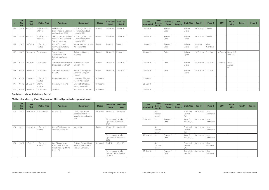| #   | <b>LRB</b><br><b>File</b><br>No. | <b>Date</b><br><b>Filed</b> | <b>Matter Type</b>          | <b>Applicant</b>                                                         | <b>Respondent</b>                                                | <b>Status</b> | <b>Date First</b><br><b>Heard</b> | <b>Date Last</b><br><b>Heard</b> |
|-----|----------------------------------|-----------------------------|-----------------------------|--------------------------------------------------------------------------|------------------------------------------------------------------|---------------|-----------------------------------|----------------------------------|
| 164 | 146-18                           | $6$ -Jul-18                 | Application to<br>Intervene | International<br>Brotherhood of Flectrical<br>Workers, Local 2038        | IA of Bridge, Structural<br>Iron Workers, Local<br>Union No. 771 | Granted       | 25-Feb-19                         | 25-Feb-19                        |
| 165 | 147-18                           | $6 -$ Jul-18                | Application to<br>Intervene | CLR Construction Labour<br>Relations Association of<br>Saskatchewan Inc. | IA of Bridge, Structural<br>Iron Workers, Local<br>Union No. 771 | Granted       | 25-Feb-19                         | 25-Feb-19                        |
| 166 | $210 - 18$                       | $10 - Oct - 18$             | Unfair Labour<br>Practice   | United Food and<br>Commercial Workers,<br>Local 1400                     | Moose Jaw Co-operative<br>Association Ltd.                       | Granted       | 7-Mar-19                          | 7-Mar-19                         |
| 167 | 246-18                           | $30 - Nov - 18$             | Certification               | Saskatchewan<br>Government and<br>General Employees<br>Union             | Saskatoon Housing<br>Authority                                   | Granted       | 21-Mar-19                         | 21-Mar-19                        |
| 168 | $018 - 19$                       | 29-Jan-19                   | Certification               | Canadian Union of Public<br>Employees, Local 4254                        | Prairie Spirit School<br>Division #206                           | Granted       | 21-Mar-19                         | 21-Mar-19                        |
| 169 | $044 - 19$                       | 26-Feb-19                   | Certification               | Teamsters Local Union<br>No. 395                                         | Saskatoon Ready-Mix<br>Concrete Company<br>I imited              | Granted       | 21-Mar-19                         | 21-Mar-19                        |
| 170 | $072 - 19$                       | 25-Mar-19                   | Unfair Labour<br>Practice   | University of Regina                                                     | University of Regina<br>Faculty Association                      | Withdrawn     |                                   |                                  |
| 171 | 073-19                           | 25-Mar-19                   | Interim<br>Application      | University of Regina                                                     | University of Regina<br>Faculty Association                      | Withdrawn     |                                   |                                  |
| 172 | 038-19                           | 14-Feb-19                   | Certification               | SFIU-West                                                                | Southwest Homes Inc.                                             | Withdrawn     |                                   |                                  |

#### **Decisions: Labour Relations, Part VI**

#### **Matters handled by Vice-Chairperson Mitchell prior to his appointment**

| #   | <b>LRB</b><br><b>File</b><br>No. | <b>Date</b><br><b>Filed</b> | <b>Matter Type</b>        | <b>Applicant</b>                                                                                 | <b>Respondent</b>                                                    | <b>Status</b> | <b>Date First</b><br><b>Heard</b>                         | <b>Date Last</b><br><b>Heard</b> |
|-----|----------------------------------|-----------------------------|---------------------------|--------------------------------------------------------------------------------------------------|----------------------------------------------------------------------|---------------|-----------------------------------------------------------|----------------------------------|
| 173 | 248-16                           | 14-Nov-16                   | Abandonment               | Varsteel Ltd.<br>United Steel, Paper<br>and Forestry, Rubber,<br>Manufacturing, Energy,<br>Allie |                                                                      | Dismissed     | 13-Mar-17                                                 | 14-Mar-17                        |
|     |                                  |                             |                           |                                                                                                  |                                                                      |               | Parties agreed to take<br>Option B on October 29,<br>2018 |                                  |
| 174 | 267-16                           | 29-Nov-16                   | Unfair Labour<br>Practice | United Steelworkers of<br>America, Local 5917                                                    | Varsteel Ltd.                                                        | Granted       | 13-Mar-17                                                 | 14-Mar-17                        |
|     |                                  |                             |                           |                                                                                                  |                                                                      |               | Parties agreed to take<br>Option B on October 29,<br>2018 |                                  |
| 175 | 250-17                           | $1-Dec-17$                  | Unfair Labour<br>Practice | UA of Journeyman<br>& Apprentices of the<br>Plumbing & Pipefitting                               | Reliance Gregg's Home<br>Services, a Division of<br>Reliance Comfort | Dismissed     | $9$ -Jul-18                                               | $12$ -Jul-18                     |
|     | Local 179                        |                             |                           |                                                                                                  | Parties agreed to take<br>Option C on September<br>28, 2018          |               |                                                           |                                  |

| <b>Date</b><br><b>Concluded</b> | <b>Total</b><br><b>Days to</b><br><b>Decision</b> | <b>Decisions/</b><br><b>Order</b> | # of<br><b>Reasons</b> | <b>Chair/Vice</b>       | <b>Panel 1</b>  | <b>Panel 2</b>     | <b>DFV</b> | Chair/<br><b>Vice</b>      | <b>Panel 1</b> | <b>Panel 2</b> |
|---------------------------------|---------------------------------------------------|-----------------------------------|------------------------|-------------------------|-----------------|--------------------|------------|----------------------------|----------------|----------------|
| 14-Mar-19                       | 17                                                | Reasons /<br>Order                |                        | Barbara<br>Mysko        | Jim Holmes      | Ken Ahl            |            |                            |                |                |
| 14-Mar-19                       | 17                                                | Reasons /<br>Order                |                        | Barbara<br>Mysko        | Jim Holmes      | Ken Ahl            |            |                            |                |                |
| 19-Mar-19                       | 12                                                | Reasons /<br>Order                |                        | Barbara<br>Mysko        | Bettyann<br>Cox | Allan<br>Parenteau |            |                            |                |                |
| 21-Mar-19                       |                                                   | Order                             |                        | Barbara<br>Mysko        | Phil Polsom     | Don Ewart          | 10-Dec-18  | Kenneth G.<br>Love, Q.C.   |                |                |
| 21-Mar-19                       | 1                                                 | Order                             |                        | <b>Barbara</b><br>Mysko | Phil Polsom     | Don Ewart          | 11-Feb-19  | Susan C.<br>Amrud,<br>Q.C. |                |                |
| 21-Mar-19                       |                                                   | Order                             |                        | Barbara<br>Mysko        | Phil Polsom     | Don Ewart          |            |                            |                |                |
| 26-Mar-19                       |                                                   |                                   |                        |                         |                 |                    |            |                            |                |                |
| 26-Mar-19                       |                                                   |                                   |                        |                         |                 |                    |            |                            |                |                |
| 27-Mar-19                       |                                                   |                                   |                        |                         |                 |                    |            |                            |                |                |

| <b>Date</b><br><b>Concluded</b> | <b>Total</b><br><b>Days to</b><br><b>Decision</b> | <b>Decisions/</b><br><b>Order</b> | # of<br><b>Reasons</b> | <b>Chair/Vice</b>              | Panel 1    | Panel 2             | <b>DFV</b> | Chair/<br><b>Vice</b> | Panel 1 | Panel 2 |
|---------------------------------|---------------------------------------------------|-----------------------------------|------------------------|--------------------------------|------------|---------------------|------------|-----------------------|---------|---------|
|                                 | <b>No</b><br><b>Decision</b><br>Issued            |                                   |                        | Graeme G.<br>Mitchell,<br>Q.C. | Jim Holmes | Laura<br>Sommervill |            |                       |         |         |
| 26-Nov-18                       | 28                                                | Reasons /<br>Order                |                        | Susan C.<br>Amrud, Q.C.        | Jim Holmes | Laura<br>Sommervill |            |                       |         |         |
|                                 | <b>No</b><br>Decision<br>Issued                   |                                   |                        | Graeme G.<br>Mitchell,<br>Q.C. | Jim Holmes | Laura<br>Sommervill |            |                       |         |         |
| 26-Nov-18                       | 28                                                | Reasons /<br>Order                |                        | Susan C.<br>Amrud, Q.C.        | Jim Holmes | Laura<br>Sommervill |            |                       |         |         |
|                                 | <b>No</b><br>Decision<br>Issued                   |                                   |                        | Graeme G.<br>Mitchell,<br>Q.C. | Jim Holmes | Allan<br>Parenteau  |            |                       |         |         |
| 31-Dec-18                       | 95                                                | Reasons /<br>Order                |                        | Kenneth G.<br>Love, Q.C.       | Jim Holmes | Allan<br>Parenteau  |            |                       |         |         |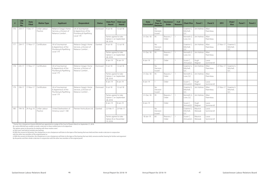| #   | <b>LRB</b><br><b>File</b><br>No. | <b>Date</b><br><b>Filed</b> | <b>Matter Type</b>        | <b>Applicant</b>                                                     | <b>Respondent</b>                                                    | <b>Status</b>                                               | <b>Date First</b><br><b>Heard</b>                           | <b>Date Last</b><br><b>Heard</b> |
|-----|----------------------------------|-----------------------------|---------------------------|----------------------------------------------------------------------|----------------------------------------------------------------------|-------------------------------------------------------------|-------------------------------------------------------------|----------------------------------|
| 176 | 254-17                           | $7$ -Dec-17                 | Unfair Labour<br>Practice | Reliance Gregg's Home<br>Services, a Division of<br>Reliance Comfort | UA of Journeyman<br>& Apprentices of the<br>Plumbing & Pipefitting   | Dismissed                                                   | $9$ -Jul-18                                                 | 12-Jul-18                        |
|     |                                  |                             |                           |                                                                      | <b>Local 179</b>                                                     |                                                             | Parties agreed to take<br>Option C on September<br>28, 2018 |                                  |
| 177 | 234-17                           | 17-Nov-17                   | Certification             | UA of Journeyman<br>& Apprentices of the<br>Plumbing & Pipefitting   | Reliance Gregg's Home<br>Services, a Division of<br>Reliance Comfort | Granted                                                     | $9$ -Jul-18                                                 | $12$ -Jul-18                     |
|     | l ocal 179                       |                             |                           |                                                                      |                                                                      | Parties agreed to take<br>Option C on September<br>28, 2018 |                                                             |                                  |
|     |                                  |                             |                           |                                                                      |                                                                      |                                                             | $8$ -Jan-19                                                 | $8$ -Jan-19                      |
| 178 | 235-17                           | 17-Nov-17                   | Certification             | UA of Journeyman<br>& Apprentices of the<br>Plumbing & Pipefitting   | Reliance Gregg's Home<br>Services, a Division of<br>Reliance Comfort | Dismissed                                                   | $9 - 11 - 18$                                               | $12$ -Jul-18                     |
|     |                                  |                             | Local 179                 |                                                                      |                                                                      |                                                             | Parties agreed to take<br>Option C on September<br>28, 2018 |                                  |
|     |                                  |                             |                           |                                                                      |                                                                      |                                                             | $8$ -Jan-19                                                 | $8$ -Jan-19                      |
| 179 | 236-17                           | $17-Nov-17$                 | Certification             | UA of Journeyman<br>& Apprentices of the<br>Plumbing & Pipefitting   | Reliance Gregg's Home<br>Services, a Division of<br>Reliance Comfort | Dismissed                                                   | $9 - 11 - 18$                                               | 12-Jul-18                        |
|     |                                  |                             |                           | <b>Local 179</b>                                                     |                                                                      |                                                             | Parties agreed to take<br>Option C on September<br>28, 2018 |                                  |
|     |                                  |                             |                           |                                                                      |                                                                      |                                                             | $8$ -Jan-19                                                 | 8-Jan-19                         |
| 180 | 194-16                           | 24-Aug-16                   | Unfair Labour<br>Practice | United Steelworkers of<br>America, Local 1-184                       | Premier Horticulture Ltd.                                            | Granted                                                     | 22-Feb-17                                                   | 23-Feb-17                        |
|     |                                  |                             |                           |                                                                      |                                                                      |                                                             | Parties agreed to take<br>Option B on November<br>19,2018   |                                  |

\* Former Vice-chairperson Graeme Mitchell was appointed as a judge of the Court of Queen's Bench on September 21, 2018.

Mr. Justice Mitchell was unable to render a decision in these matters prior to his departure.

The options given to the parties for dealing with these matters were:

a) Start over, and hold an entirely new hearing;

b) With the consent of all parties, the chairperson or vice-chairperson will listen to the tapes of the hearing that was held and then render a decision in conjunction

with the other two members of the original panel; or

c) With the consent of all parties, the chairperson or vice-chairperson will listen to the tapes of the hearing that was held, convene another hearing for further oral argument

by the parties and then render a decision in conjunction with the other two members of the original panel.

| <b>Date</b><br><b>Concluded</b> | <b>Total</b><br><b>Days to</b><br><b>Decision</b> | <b>Decisions/</b><br><b>Order</b> | # of<br><b>Reasons</b> | <b>Chair/Vice</b>              | Panel 1            | <b>Panel 2</b>             | <b>DFV</b> | Chair/<br><b>Vice</b>          | Panel 1 | Panel 2 |
|---------------------------------|---------------------------------------------------|-----------------------------------|------------------------|--------------------------------|--------------------|----------------------------|------------|--------------------------------|---------|---------|
|                                 | No<br>Decision<br>Issued                          |                                   |                        | Graeme G.<br>Mitchell,<br>Q.C. | Jim Holmes         | Allan<br>Parenteau         |            |                                |         |         |
| 31-Dec-18                       | 95                                                | Reasons /<br>Order                | $\mathbf{1}$           | Kenneth G.<br>Love, Q.C.       | Jim Holmes         | Allan<br>Parenteau         |            |                                |         |         |
|                                 | No<br>Decision<br>Issued                          |                                   |                        | Graeme G.<br>Mitchell,<br>Q.C. | Jim Holmes         | Allan<br>Parenteau         | 27-Nov-17  | Graeme G.<br>Mitchell,<br>Q.C. |         |         |
| 31-Dec-18                       | 95                                                | Reasons /<br>Order                | $\mathbf{1}$           | Kenneth G.<br>Love, Q.C.       | Jim Holmes         | Allan<br>Parenteau         |            |                                |         |         |
| 8-Jan-19                        | $\mathbf{1}$                                      | Order                             | $\mathbf{1}$           | Susan C.<br>Amrud, Q.C.        | Hugh<br>Wagner     | <b>Laura</b><br>Sommervill |            |                                |         |         |
|                                 | No<br>Decision<br>Issued                          |                                   |                        | Graeme G.<br>Mitchell,<br>Q.C. | Jim Holmes         | Allan<br>Parenteau         | 27-Nov-17  | Graeme G.<br>Mitchell,<br>Q.C. |         |         |
| 31-Dec-18                       | 95                                                | Reasons /<br>Order                | $\mathbf{1}$           | Kenneth G.<br>Love, Q.C.       | Jim Holmes         | Allan<br>Parenteau         |            |                                |         |         |
| 8-Jan-19                        | $\mathbf{1}$                                      | Order                             |                        | Susan C.<br>Amrud, Q.C.        | Hugh<br>Wagner     | Laura<br>Sommervill        |            |                                |         |         |
|                                 | No<br>Decision<br>Issued                          |                                   |                        | Graeme G.<br>Mitchell,<br>Q.C. | Jim Holmes         | Allan<br>Parenteau         | 27-Nov-17  | Graeme G.<br>Mitchell,<br>Q.C. |         |         |
| 31-Dec-18                       | 95                                                | Reasons /<br>Order                | $\mathbf{1}$           | Kenneth G.<br>Love, Q.C.       | Jim Holmes         | Allan<br>Parenteau         |            |                                |         |         |
| 8-Jan-19                        | $\mathbf{1}$                                      | Order                             |                        | Susan C.<br>Amrud.O.C.         | Hugh<br>Wagner     | Laura<br>Sommervill        |            |                                |         |         |
|                                 | No<br>Decision<br>Issued                          |                                   |                        | Graeme G.<br>Mitchell,<br>Q.C. | Maurice<br>Werezak | Laura<br>Sommervill        |            |                                |         |         |
| 18-Jan-19                       | 60                                                | Reasons /<br>Order                | $\mathbf{1}$           | Susan C.<br>Amrud, Q.C.        | Maurice<br>Werezak | Laura<br>Sommervill        |            |                                |         |         |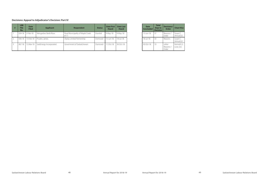#### **Decisions: Appeal to Adjudicator's Decision: Part IV**

| # | <b>LRB</b><br><b>File</b><br>No. | <b>Date</b><br><b>Filed</b> | <b>Applicant</b>        | <b>Respondent</b>                         | <b>Status</b> | <b>Date First</b><br><b>Heard</b> | <b>Date Last</b><br><b>Heard</b> |
|---|----------------------------------|-----------------------------|-------------------------|-------------------------------------------|---------------|-----------------------------------|----------------------------------|
|   | 024-18                           | $2$ -Feb-18                 | Weisgerber, Barbi-Rose  | Rural Municipality of Maple Creek<br>#111 | Granted       | $9-May-18$                        | 9-May-18                         |
|   | 036-18                           | 13-Feb-18                   | Pruden, James           | Olysky Limited Partnership                | Dismissed     | $15 - \text{Jun} - 18$            | $18 -$ Jul $-18$                 |
|   | $067-18$                         | 12-Mar-18                   | SaskEnergy Incorporated | Government of Saskatchewan                | Dismissed     | $11 - Oct-18$                     | $30 - Oct - 18$                  |

Annual Report for 2018-19 49 Saskatchewan Labour Relations Board

| <b>Date</b><br><b>Concluded</b> | <b>Total</b><br>Days to<br><b>Decision</b> | <b>Decisions/</b><br>Order    | <b>Chair/Vice</b>          |
|---------------------------------|--------------------------------------------|-------------------------------|----------------------------|
| 15-Jun-18                       | 37                                         | Reasons /<br>Order            | Susan C.<br>Amrud, Q.C.    |
| $18 - 11 - 18$                  | 33                                         | Reasons                       | Susan $C$ .<br>Amrud, Q.C. |
| 30-Oct-18                       | 19                                         | l etter<br>Reasons /<br>Order | Kenneth G.<br>Love, Q.C.   |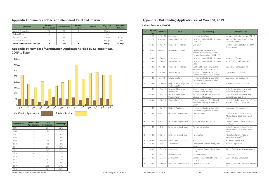#### **Appendix G: Summary of Decisions Rendered, Final and Interim**

| <b>Member</b>                          | <b>Reasons /</b><br><b>Orders Issued</b> | <b>Orders Issued</b> | <b>Reasons</b><br><b>Issued</b> | <b>Interim</b> | <b>Avg. Days</b><br><b>Final</b> | <b>Avg. Days</b><br><b>Interim</b> |
|----------------------------------------|------------------------------------------|----------------------|---------------------------------|----------------|----------------------------------|------------------------------------|
| Susan C. Amrud, Q.C.                   |                                          | 43                   |                                 |                | 30 days                          |                                    |
| Barbara Mysko                          |                                          |                      | $\overline{\phantom{a}}$        | $\sim$         | 4 days                           |                                    |
| Kenneth G. Love, Q.C.                  |                                          | 19                   |                                 |                | 35 days                          | 24 days                            |
| Graeme G. Mitchell, Q.C.               |                                          | 32                   |                                 |                | 31 days                          | dav                                |
| <b>Totals and Collective - Average</b> | 29                                       | 100                  |                                 |                | 26 days                          | 13 days                            |

**Appendix H: Number of Certification Applications Filed by Calendar Year, 2005 to Date**



| <b>Calendar Year</b> | <b>Certification</b><br><b>Applications</b> | <b>Total</b><br><b>Applications</b> | <b>Percentage</b> |
|----------------------|---------------------------------------------|-------------------------------------|-------------------|
| 2005                 | 57                                          | 264                                 | 22%               |
| 2006                 | 54                                          | 186                                 | 29%               |
| 2007                 | 53                                          | 156                                 | 34%               |
| 2008                 | 29                                          | 210                                 | 14%               |
| 2009                 | 42                                          | 146                                 | 29%               |
| 2010                 | 76                                          | 168                                 | 45%               |
| 2011                 | 61                                          | 201                                 | 30%               |
| 2012                 | 57                                          | 225                                 | 25%               |
| 2013                 | 69                                          | 354                                 | 19%               |
| 2014                 | 48                                          | 230                                 | 21%               |
| 2015                 | 63                                          | 282                                 | 22%               |
| 2016                 | 43                                          | 290                                 | 15%               |
| 2017                 | 64                                          | 266                                 | 24%               |
| 2018                 | 53                                          | 264                                 | 20%               |

Saskatchewan Labour Relations Board 600 and 50 billion by Saskatchewan Labour Relations Board 60 annual Report for 2018-19

### **Appendix I: Outstanding Applications as of March 31, 2019**

**Labour Relations, Part VI**

| #              | <b>LRB File</b><br>No. | <b>Date Filed</b> | <b>Issue</b>                              | <b>Applicant(s)</b>                                                                                 | <b>Respondent(s)</b>                                                         |
|----------------|------------------------|-------------------|-------------------------------------------|-----------------------------------------------------------------------------------------------------|------------------------------------------------------------------------------|
|                | 169-06                 | 22-Nov-06         | Rescission                                | Karlonas, Heidi Anne                                                                                | Starbucks Coffee Company / RWDSU                                             |
| $\overline{2}$ | 019-09                 | 6-Mar-09          | Unfair Labour Practice                    | Canadian Union of Public Employees,<br>Local 4802                                                   | Board of Education of the Sun West<br>School Division No. 207                |
| $\overline{3}$ | 092-10                 | 23-Jul-10         | Unfair Labour Practice                    | SEIU-West                                                                                           | Saskatchewan Association of Health<br>Organizations                          |
| $\overline{4}$ | 120-12                 | $4-Jul-12$        | Reference of Dispute                      | University of Saskatchewan /<br>Administrative and Supervisory<br>Personnel Association / CUPE 1975 |                                                                              |
| 5              | 216-12                 | 19-Dec-12         | Amendment                                 | Canadian Union of Public Employees                                                                  | University of Regina                                                         |
| 6              | $221 - 12$             | $21 - Dec-12$     | Successorship                             | Canadian Union of Public Employees,<br>Local 4875                                                   | North East School Division #200                                              |
| 7              | 310-13                 | 5-Nov-13          | Unfair Labour Practice                    | IA of Heat & Frost Insulators and<br>Asbestos Workers, Local 119                                    | Cornerstone Contractors Ltd.                                                 |
| 8              | $311 - 13$             | $5-Nov-13$        | Successorship                             | Prairie Arctic Regional Council of<br>Carpenters, Drywallers, Millwrights                           | Cornerstone Contractors Ltd.                                                 |
| 9              | 337-13                 | $3-Dec-13$        | Related Employer                          | Prairie Arctic Regional Council of<br>Carpenters, Drywallers, Millwrights                           | Cornerstone Contractors Ltd.                                                 |
| 10             | 353-13                 | 31-Dec-13         | Duty Fair Rep & Employee<br>Union Dispute | David B. Lapchuk                                                                                    | Government of Saskatchewan                                                   |
| 11             | $035 - 14$             | 11-Mar-14         | Provisional Employee<br>Determination     | Saskatchewan Institute of Applied<br>Science and Technology                                         | Saskatchewan Government and<br>General Employees' Union                      |
| 12             | 036-14                 | 11-Mar-14         | Provisional Employee<br>Determination     | Saskatchewan Institute of Applied<br>Science and Technology                                         | Saskatchewan Government and<br>General Employees' Union                      |
| 13             | 038-14                 | 11-Mar-14         | Unfair Labour Practice                    | Saskatchewan Joint Board, Retail,<br>Wholesale and Department Store<br>Union                        | 101109823 Saskatchewan Ltd. o/a the<br>Howard Johnson Inn-Yorkton            |
| 14             | 156-14                 | 24-Jul-14         | Notice of Application                     | Prairie Arctic Regional Council of<br>Carpenters, Drywallers, Millwrights                           | Cornerstone Contractors Ltd.                                                 |
| 15             | $227 - 14$             | 9-Oct-14          | Employee-Union Dispute                    | Gorecki, Donna                                                                                      | Saskatchewan Joint Board, Retail,<br>Wholesale and Department Store<br>Union |
| 16             | 228-14                 | $9$ -Oct-14       | Employee-Union Dispute                    | Johnson, Aseye Ama Eyram                                                                            | Canadian Union of Public Employees,<br>Local 3967                            |
| 17             | 229-14                 | 14-Oct-14         | Employee-Union Dispute                    | Melnychuk, Jennifer                                                                                 | Saskatchewan Joint Board, Retail,<br>Wholesale and Department Store<br>Union |
| 18             | 150-15                 | 28-Jul-15         | Employee-Union Dispute                    | Fayant, Chris                                                                                       | International Brotherhood of<br>Boilermakers, Local 555                      |
| 19             | 166-15                 | 13-Aug-15         | Unfair Labour Practice                    | Khan, Izhar                                                                                         | Grid One Solutions, ULC                                                      |
| 20             | 204-15                 | $15-Sep-15$       | Amendment                                 | Construction Workers Union, CLAC<br>Local 151                                                       | Pyramid Corporation                                                          |
| 21             | 208-15                 | 15-Sep-15         | Amendment                                 | Construction Workers Union, CLAC<br>Local 151                                                       | Tarpon Construction Management Ltd.                                          |
| 22             | $221 - 15$             | $6$ -Oct-15       | Reconsideration                           | Pintiliciuc, Marius                                                                                 | SaskEnergy                                                                   |
| 23             | 266-15                 | 14-Dec-15         | Amendment                                 | Canadian Union of Public Employees,<br>Local 5791                                                   | Compass Group Canada Ltd.                                                    |
| 24             | 282-15                 | 31-Dec-15         | First Collective Agreement                | UNITE HERE, Local 47                                                                                | ARAMARK Remote Workplace Services<br>Ltd.                                    |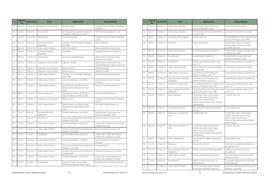| #  | <b>LRB File</b><br>No. | <b>Date Filed</b> | <b>Issue</b>                     | <b>Applicant(s)</b>                                                          | <b>Respondent(s)</b>                                                |
|----|------------------------|-------------------|----------------------------------|------------------------------------------------------------------------------|---------------------------------------------------------------------|
| 25 | 006-16                 | 18-Jan-16         | Employee-Union Dispute           | Richens, Darren                                                              | Canadian Union of Public Employees,<br>Local 859                    |
| 26 | $014 - 16$             | 3-Feb-16          | Amendment                        | IU of Operating Engineers, Hoisting &<br>Portable & Stationary, Local 870    | Mammoet Canada Western Ltd.                                         |
| 27 | 133-16                 | 17-Jun-16         | Amendment                        | City of Moose Jaw                                                            | Canadian Union of Public Employees,<br>Local 9                      |
| 28 | 186-16                 | 18-Aug-16         | Summary Dismissal<br>Application | Canadian Union of Public Employees,<br><b>Local 859</b>                      | City of Saskatoon                                                   |
| 29 | 239-16                 | 25-Oct-16         | Unfair Labour Practice           | UNIFOR Local 595                                                             | Moose Jaw Refinery Partnership                                      |
| 30 | 244-16                 | 27-Oct-16         | Summary Dismissal<br>Application | SEIU-West                                                                    | Voyager Retirement V Genpar Inc.                                    |
| 31 | 254-16                 | 15-Nov-16         | Amendment                        | University of Saskatchewan                                                   | Administrative and Supervisory<br>Personnel Association             |
| 32 | 263-16                 | 25-Nov-16         | Employee-Union Dispute           | Lapchuk, David B.                                                            | Saskatchewan Government and<br>General Employees' Union, Local 1101 |
| 33 | $012 - 17$             | 26-Jan-17         | Employee-Union Dispute           | Rattray, Jason G.                                                            | UNIFOR Local 481                                                    |
| 34 | $022 - 17$             | 9-Feb-17          | Employee-Union Dispute           | Rattray, Jason G.                                                            | UNIFOR Local 481                                                    |
| 35 | $031 - 17$             | 22-Feb-17         | Unfair Labour Practice           | Canadian Union of Public Employees,<br>Local 1904                            | Parkland Regional Library Board                                     |
| 36 | $055 - 17$             | 24-Mar-17         | Unfair Labour Practice           | United Steelworkers, Local 8933                                              | Saskatchewan Mutual Insurance<br>Company                            |
| 37 | 080-17                 | 12-May-17         | Unfair Labour Practice           | Saskatchewan Joint Board, Retail,<br>Wholesale and Department Store<br>Union | Yorkton Co-op Association Ltd.                                      |
| 38 | 084-17                 | 17-May-17         | Interim Application              | International Alliance of Theatrical<br>Stage Employees IATSE No. 295        | University of Saskatchewan                                          |
| 39 | 092-17                 | 29-May-17         | Employee-Union Dispute           | Makuch, Gary                                                                 | Canadian Union of Public Employees,<br>Local 21                     |
| 40 | 094-17                 | 30-May-17         | Unfair Labour Practice           | Saskatchewan Joint Board, Retail,<br>Wholesale and Department Store<br>Union | 101239903 Saskatchewan Ltd.                                         |
| 41 | $105 - 17$             | 6-Jun-17          | Summary Dismissal<br>Application | United Steelworkers, Local 9841                                              | Saskatchewan Government and<br>General Employees' Union             |
| 42 | $111 - 17$             | 12-Jun-17         | Certification                    | International Brotherhood of Electrical<br>Workers, Local 2038               | Aecom Production Services Ltd.                                      |
| 43 | 114-17                 | 14-Jun-17         | Unfair Labour Practice           | United Steelworkers, Local 2014                                              | United Cabs Limited o/a United Cabs<br>and Blue Line Cabs           |
| 44 | 119-17                 | 16-Jun-17         | Unfair Labour Practice           | International Brotherhood of Electrical<br>Workers, Local 2038               | Aecom Production Services Ltd.                                      |
| 45 | 137-17                 | $11-Jul-17$       | Certification                    | United Steelworkers, Local 2014                                              | United Cabs Limited operating as<br>United Cabs and Blue Line Cabs  |
| 46 | 163-17                 | 18-Aug-17         | Unfair Labour Practice           | United Steelworkers, Local 8933                                              | Saskatchewan Mutual Insurance<br>Company                            |
| 47 | 170-17                 | 23-Aug-17         | Unfair Labour Practice           | International Brotherhood of Electrical<br>Workers, Local 2038               | Waiward Steel LP                                                    |
| 48 | $171 - 17$             | 24-Aug-17         | Unfair Labour Practice           | United Food and Commercial Workers,<br>Local No. 649                         | Federated Co-operatives Limited                                     |
| 49 | $177 - 17$             | 7-Sep-17          | Unfair Labour Practice           | United Steelworkers, Local 2014                                              | United Cabs Limited operating as<br>United Cabs and Blue Line Cabs  |
| 50 | 193-17                 | 22-Sep-17         | Amendment                        | Saskatoon Public Library Board,<br>operating Saskatoon Public Library        | Canadian Union of Public Employees                                  |

| #  | <b>LRB File</b><br>No. | <b>Date Filed</b>         | <b>Issue</b>                              | <b>Applicant(s)</b>                                                                                                                                          | <b>Respondent(s)</b>                                                                                                                                         |
|----|------------------------|---------------------------|-------------------------------------------|--------------------------------------------------------------------------------------------------------------------------------------------------------------|--------------------------------------------------------------------------------------------------------------------------------------------------------------|
| 51 | 216-17                 | 26-Oct-17                 | Unfair Labour Practice                    | Saskatchewan Government and<br>General Employees' Union                                                                                                      | Quint Development Corp.                                                                                                                                      |
| 52 | 232-17                 | 10-Nov-17                 | Unfair Labour Practice                    | United Food and Commercial Workers,<br>Local No. 649                                                                                                         | Federated Co-operatives Limited                                                                                                                              |
| 53 | 238-17                 | 22-Nov-17                 | Employee-Union Dispute                    | Jackson, Velva Iris                                                                                                                                          | United Brotherhood of Carpenters and<br>Joiners of America, Local 1985                                                                                       |
| 54 | 260-17                 | 14-Dec-17                 | Rescission                                | Arain, Farroq Azam                                                                                                                                           | United Steel, Paper and Forestry,<br>Rubber, Manufacturing, Energy /<br>Comfort Cabs Ltd.                                                                    |
| 55 | $022 - 18$             | 31-Jan-18                 | Unfair Labour Practice                    | United Steelworkers, Local 2014                                                                                                                              | United Cabs Limited o/a United Cabs<br>and Blue Line Cabs                                                                                                    |
| 56 | $026 - 18$             | $6$ -Feb-18               | Amendment                                 | Saskatchewan Polytechnic                                                                                                                                     | Saskatchewan Government and<br>General Employees' Union                                                                                                      |
| 57 | 030-18                 | 8-Feb-18                  | Certification                             | Construction Workers Union, CLAC<br>Local 151                                                                                                                | Brand Energy Solutions (Canada) Ltd.                                                                                                                         |
| 58 | 038-18                 | 13-Feb-18                 | Unfair Labour Practice                    | United Food and Commercial Workers,<br>Local No. 649                                                                                                         | Federated Co-operatives Limited                                                                                                                              |
| 59 | 048-18                 | 27-Feb-18                 | Application to Intervene                  | IA of Heat & Frost Insulators and<br>Asbestos Workers, Local 119                                                                                             | Brand Energy Solutions (Canada) Ltd.                                                                                                                         |
| 60 | 049-18                 | 27-Feb-18                 | Successorship / Transfer of<br>Obligation | IA of Heat & Frost Insulators and<br>Asbestos Workers, Local 119                                                                                             | Brand Energy Solutions (Canada) Ltd.                                                                                                                         |
| 61 | $051 - 18$             | $1-Mar-18$                | Application to Intervene                  | United Brotherhood of Carpenters and<br>Joiners of America, Local 1985                                                                                       | Construction Workers Union, CLAC<br>Local 151                                                                                                                |
| 62 | $052 - 18$             | $1-Mar-18$                | Successorship / Transfer of<br>Obligation | United Brotherhood of Carpenters and<br>Joiners of America, Local 1985                                                                                       | Construction Workers Union, CLAC<br>Local 151                                                                                                                |
| 63 | 060-18                 | 7-Mar-18                  | Reconsideration                           | United Steel, Paper and Forestry,<br>Rubber, Manufacturing, Energy,<br>Allied Industrial and Service<br>Workers International Union (United<br>Steelworkers) | Comfort Cabs Ltd.                                                                                                                                            |
| 64 | 092-18                 | 4-Apr-18                  | Unfair Labour Practice                    | Moose Jaw Fire Fighters Association<br>No. 553                                                                                                               | City of Moose Jaw                                                                                                                                            |
| 65 | 093-18                 | 6-Apr-18                  | Objection to Conduct of<br>Vote           | Comfort Cabs Ltd.                                                                                                                                            | United Steel, Paper and Forestry,<br>Rubber, Manufacturing, Energy,<br>Allied Industrial and Service<br>Workers International Union (United<br>Steelworkers) |
| 66 | 094-18                 | 9-Apr-18                  | Objection to Conduct of<br>Vote           | United Steel, Paper and Forestry,<br>Rubber, Manufacturing, Energy,<br>Allied Industrial and Service<br>Workers International Union (United<br>Steelworkers) | Comfort Cabs I td.                                                                                                                                           |
| 67 | $100 - 18$             | 17-Apr-18                 | Interim Application                       | Moose Jaw Fire Fighters Association<br>No. 553                                                                                                               | City of Moose Jaw                                                                                                                                            |
| 68 | $102 - 18$             | 19-Apr-18                 | Rescission                                | Wentworth, Mitchell                                                                                                                                          | Teamsters Canada Rail Conference /<br>Big Sky Rail Corp.                                                                                                     |
| 69 | $107 - 18$             | 27-Apr-18                 | Successorship / Transfer of<br>Obligation | Willbros Facilities & Tanks (Canada) LP                                                                                                                      | Willbros Construction Services<br>(Canada) L.P.                                                                                                              |
| 70 | $113 - 18$             | 8-May-18                  | Unfair Labour Practice                    | Saskatoon Paramedic Association                                                                                                                              | Dutchak Holdings Limited o/a WPD<br>Ambulance Care                                                                                                           |
| 71 | 114-18                 | 9-May-18                  | Amendment                                 | Health Sciences Association of<br>Saskatchewan                                                                                                               | St. Joseph's Hospital/Foyer d'Youville<br>of Gravelbourg                                                                                                     |
| 72 | 117-18                 | 23-May-18                 | Unfair Labour Practice                    | <b>CLR Construction Labour Relations</b><br>Association of Saskatchewan Inc.                                                                                 | International Brotherhood of Electrical<br>Workers, Local 2038                                                                                               |
|    |                        | Annual Report for 2018-19 |                                           | 53                                                                                                                                                           | Saskatchewan Labour Relations Board                                                                                                                          |

Saskatchewan Labour Relations Board 600 and 52 52 bases of the Report for 2018-19 52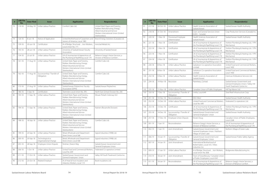| #  | <b>LRB File</b><br>No. | <b>Date Filed</b> | <b>Issue</b>                              | <b>Applicant(s)</b>                                                                                                                                          | <b>Respondent(s)</b>                                                                                                                                         |
|----|------------------------|-------------------|-------------------------------------------|--------------------------------------------------------------------------------------------------------------------------------------------------------------|--------------------------------------------------------------------------------------------------------------------------------------------------------------|
| 73 | 119-18                 | 24-May-18         | Unfair Labour Practice                    | Comfort Cabs Ltd.                                                                                                                                            | United Steel, Paper and Forestry,<br>Rubber, Manufacturing, Energy,<br>Allied Industrial and Service<br>Workers International Union (United<br>Steelworkers) |
| 74 | 126-18                 | 8-Jun-18          | Notice of Application                     | United Brotherhood of Carpenters and<br>Joiners of America, Local 1985                                                                                       | Brand Energy Solutions (Canada) Ltd.                                                                                                                         |
| 75 | 139-18                 | 20-Jun-18         | Certification                             | IA of Bridge, Structural  Iron Workers,<br>Local Union No. 771                                                                                               | Ironclad Metals Inc.                                                                                                                                         |
| 76 | 143-18                 | 28-Jun-18         | Unfair Labour Practice                    | University of Saskatchewan Faculty<br>Association                                                                                                            | University of Saskatchewan                                                                                                                                   |
| 77 | 154-18                 | $23 -$ Jul-18     | Unfair Labour Practice                    | UA of Journeyman & Apprentices of<br>the Plumbing & Pipefitting Local 179                                                                                    | Reliance Gregg's Home Services, a<br>Division of Reliance Comfort                                                                                            |
| 78 | $161 - 18$             | 17-Aug-18         | Unfair Labour Practice                    | United Steel, Paper and Forestry,<br>Rubber, Manufacturing, Energy,<br>Allied Industrial and Service<br>Workers International Union (United<br>Steelworkers) | Comfort Cabs Ltd.                                                                                                                                            |
| 79 | 162-18                 | 17-Aug-18         | Successorship / Transfer of<br>Obligation | United Steel, Paper and Forestry,<br>Rubber, Manufacturing, Energy,<br>Allied Industrial and Service<br>Workers International Union (United<br>Steelworkers) | Comfort Cabs Ltd.                                                                                                                                            |
| 80 | 173-18                 | 27-Aug-18         | Unfair Labour Practice                    | Saskatchewan Polytechnic Faculty<br>Association (SPFA)                                                                                                       | Saskatchewan Polytechnic                                                                                                                                     |
| 81 | 186-18                 | 5-Sep-18          | Certification                             | Teamsters Local Union No. 395                                                                                                                                | North East School Division No. 200                                                                                                                           |
| 82 | 193-18                 | 11-Sep-18         | Unfair Labour Practice                    | United Steel, Paper and Forestry,<br>Rubber, Manufacturing, Energy,<br>Allied Industrial and Service<br>Workers International Union (United<br>Steelworkers) | Mosaic Potash Colonsay ULC                                                                                                                                   |
| 83 | 194-18                 | 11-Sep-18         | Unfair Labour Practice                    | United Steel, Paper and Forestry,<br>Rubber, Manufacturing, Energy,<br>Allied Industrial and Service<br>Workers International Union (United<br>Steelworkers) | Nutrien (Rocanville Division)                                                                                                                                |
| 84 | 198-18                 | 18-Sep-18         | Unfair Labour Practice                    | United Steel, Paper and Forestry,<br>Rubber, Manufacturing, Energy,<br>Allied Industrial and Service<br>Workers International Union (United<br>Steelworkers) | Comfort Cabs Ltd.                                                                                                                                            |
| 85 | 199-18                 | 20-Sep-18         | Unfair Labour Practice                    | Retail, Wholesale and Department<br>Store Union, Local 568                                                                                                   | Signal Industries (1998) Ltd.                                                                                                                                |
| 86 | $200 - 18$             | 20-Sep-18         | Technological or<br>Organizational Change | Retail, Wholesale and Department<br>Store Union, Local 568                                                                                                   | Signal Industries (1998) Ltd.                                                                                                                                |
| 87 | $205 - 18$             | 28-Sep-18         | Employee-Union Dispute                    | Strohan, Sharon May                                                                                                                                          | Saskatchewan Government and<br>General Employees Union                                                                                                       |
| 88 | 206-18                 | $1-Oct-18$        | Unfair Labour Practice                    | United Food and Commercial Workers,<br>Local No. 649                                                                                                         | Federated Co-operative Limited                                                                                                                               |
| 89 | $211 - 18$             | 17-Oct-18         | Unfair Labour Practice                    | Saskatchewan Government and<br>General Employees' Union                                                                                                      | Valley Hill Youth Treatment Centre Inc.                                                                                                                      |
| 90 | 212-18                 | 23-Oct-18         | Related Employer                          | IA of Heat & Frost Insulators and<br>Asbestos Workers, Local 119                                                                                             | Book Insulations Ltd.                                                                                                                                        |

| #   | <b>LRB File</b><br>No. | <b>Date Filed</b> | <b>Issue</b>                              | <b>Applicant(s)</b>                                                                       | <b>Respondent(s)</b>                                                                                |
|-----|------------------------|-------------------|-------------------------------------------|-------------------------------------------------------------------------------------------|-----------------------------------------------------------------------------------------------------|
| 91  | $217 - 18$             | 30-Oct-18         | Unfair Labour Practice                    | Health Sciences Association of<br>Saskatchewan                                            | Saskatchewan Health Authority                                                                       |
| 92  | 218-18                 | 31-Oct-18         | Amendment                                 | Grain and General Services Union<br>(ILWU - Canada)                                       | Crop Production Services (Canada) Inc.                                                              |
| 93  | 220-18                 | $1-Nov-18$        | Provisional Employee<br>Determination     | Health Sciences Association of<br>Saskatchewan                                            | Saskatchewan Health Authority                                                                       |
| 94  | $221 - 18$             | $1-Nov-18$        | Certification                             | UA of Journeyman & Apprentices of<br>the Plumbing & Pipefitting Local 179                 | Yorkton Plumbing & Heating Ltd. / YPH<br>Mechanical                                                 |
| 95  | 222-18                 | $1-Nov-18$        | Certification                             | UA of Journeyman & Apprentices of<br>the Plumbing & Pipefitting Local 179                 | Yorkton Plumbing & Heating Ltd. / YPH<br>Mechanical                                                 |
| 96  | 223-18                 | $1-Nov-18$        | Certification                             | UA of Journeyman & Apprentices of<br>the Plumbing & Pipefitting Local 179                 | Yorkton Plumbing & Heating Ltd. / YPH<br>Mechanical                                                 |
| 97  | 224-18                 | $2-Nov-18$        | Certification                             | UA of Journeyman & Apprentices of<br>the Plumbing & Pipefitting Local 179                 | Yorkton Plumbing & Heating Ltd. / YPH<br>Mechanical                                                 |
| 98  | 230-18                 | 8-Nov-18          | Unfair Labour Practice                    | Saskatoon Co-operative Association<br>Limited                                             | United Food and Commercial Workers,<br>Local 1400                                                   |
| 99  | $231 - 18$             | 8-Nov-18          | Unfair Labour Practice                    | Saskatoon Co-operative Association<br>Limited                                             | United Food and Commercial Workers,<br>Local 1400                                                   |
| 100 | 232-18                 | 9-Nov-18          | Unfair Labour Practice                    | Health Sciences Association of<br>Saskatchewan                                            | Crestvue Ambulance Services Ltd.                                                                    |
| 101 | 234-18                 | 14-Nov-18         | Rescission                                | Parenteau, Conrad                                                                         | Saskatchewan Government and<br>General Employees Union / Valley Hill<br>Youth Treatment Centre Inc. |
| 102 | 235-18                 | 15-Nov-18         | Unfair Labour Practice                    | Canadian Union of Public Employees                                                        | Hill Top Manor Ltd.                                                                                 |
| 103 | 250-18                 | 7-Dec-18          | Successorship / Transfer of<br>Obligation | Unifor, Local 649                                                                         | Steel Reef Infrastructure Corp.                                                                     |
| 104 | $251 - 18$             | 10-Dec-18         | Reconsideration                           | SEIU-West                                                                                 | Saskatchewan Health Authority                                                                       |
| 105 | 252-18                 | 13-Dec-18         | Unfair Labour Practice                    | United Food and Commercial Workers,<br>Local No. 649                                      | Federated Co-operatives Ltd.                                                                        |
| 106 | 253-18                 | 13-Dec-18         | Certification                             | UA of Journeyman & Apprentices of<br>the Plumbing & Pipefitting Local 179                 | Yorkton Plumbing & Heating Ltd. / YPH<br>Mechanical                                                 |
| 107 | 255-18                 | 14-Dec-18         | Successorship / Transfer of<br>Obligation | Saskatchewan Government and<br>General Employees' Union                                   | Saskatchewan Health Authority                                                                       |
| 108 | 257-18                 | 17-Dec-18         | Employee-Union Dispute                    | Kinzel, Doug                                                                              | Canadian Union of Public Employees,<br>Local 2268                                                   |
| 109 | $001 - 19$             | 7-Jan-19          | Reconsideration                           | Reliance Gregg's Home Services, a<br>Division of Reliance Comfort                         | UA of Journeyman & Apprentices of<br>the Plumbing & Pipefitting Local 179                           |
| 110 | 002-19                 | 7-Jan-19          | Joint Amendment                           | Saskatchewan Government and<br>General Employees Union / Nothern<br>Village of Green Lake | Nothern Village of Green Lake                                                                       |
| 111 | 006-19                 | 14-Jan-19         | Successorship / Transfer of<br>Obligation | Saskatchewan Government and<br>General Employees' Union                                   | Saskatchewan Public Safety Agency                                                                   |
| 112 | 007-19                 | 14-Jan-19         | Joint Amendment                           | International Brotherhood of<br>Boilermakers, Local 555 / Altex<br>Industries Inc.        |                                                                                                     |
| 113 | 009-19                 | 17-Jan-19         | Unfair Labour Practice                    | IA of Bridge, Structural  Iron Workers,<br>Local Union No. 838                            | Bridgeview Manufacturing Inc.                                                                       |
| 114 | $010 - 19$             | 18-Jan-19         | Joint Amendment                           | Town of Gravelbourg / Canadian Union<br>of Public Employees, Local 4341                   |                                                                                                     |
| 115 | $011 - 19$             | 18-Jan-19         | Reconsideration                           | UA of Journeyman & Apprentices of<br>the Plumbing & Pipefitting Local 179                 | Reliance Gregg's Home Services, a<br>Division of Reliance Comfort                                   |

Saskatchewan Labour Relations Board **Annual Report for 2018-19** 54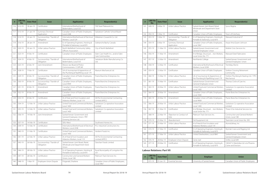| #   | <b>LRB File</b><br>No. | <b>Date Filed</b> | <b>Issue</b>                              | <b>Applicant(s)</b>                                                                   | <b>Respondent(s)</b>                                   |
|-----|------------------------|-------------------|-------------------------------------------|---------------------------------------------------------------------------------------|--------------------------------------------------------|
| 116 | $012 - 19$             | 18-Jan-19         | Certification                             | International Brotherhood of<br>Boilermakers, Local 555                               | TIW Steel Platework Inc.                               |
| 117 | $013 - 19$             | $21$ -Jan-19      | Summary Dismissal<br>Application          | Canadian Union of Public Employees,<br>Local 2268                                     | Saskatoon Catholic School Board                        |
| 118 | $014 - 19$             | 24-Jan-19         | Successorship / Transfer of<br>Obligation | International Brotherhood of Electrical<br>Workers, Local 529                         | Mikkelsen-Coward & Co. Ltd.                            |
| 119 | 016-19                 | 28-Jan-19         | Amendment                                 | IU of Operating Engineers, Hoisting &<br>Portable & Stationary, Local 870             | Soletanche Bachy Canada                                |
| 120 | $020 - 19$             | 30-Jan-19         | Unfair Labour Practice                    | North Battleford Community Safety<br>Officers Association                             | City of North Battleford                               |
| 121 | 023-19                 | 4-Feb-19          | Certification                             | Canadian Union of Public Employees                                                    | Eden Care Health Inc., and/or Eden<br>Care Communities |
| 122 | 024-19                 | 4-Feb-19          | Successorship / Transfer of<br>Obligation | International Brotherhood of<br>Boilermakers, Local 555                               | Saskatoon Boiler Manufacturing Co.<br>Ltd.             |
| 123 | $025 - 19$             | $6-Feb-19$        | Joint Amendment                           | Moose Jaw Board of Police<br>Commissioners / CUPE #9                                  |                                                        |
| 124 | 028-19                 | 7-Feb-19          | Certification                             | UA of Journeyman & Apprentices of<br>the Plumbing & Pipefitting Local 179             | Maxium Mechanical Ltd.                                 |
| 125 | 029-19                 | 8-Feb-19          | Successorship / Transfer of<br>Obligation | Canadian Union of Public Employees,<br><b>Local 3583</b>                              | Prairie Branches Enterprises Inc.                      |
| 126 | 030-19                 | 8-Feb-19          | Successorship / Transfer of<br>Obligation | Canadian Union of Public Employees,<br>Local 4909                                     | Prairie Branches Enterprises Inc.                      |
| 127 | $031 - 19$             | 8-Feb-19          | Amendment                                 | Canadian Union of Public Employees,<br><b>Local 3583</b>                              | Prairie Branches Enterprises Inc.                      |
| 128 | 032-19                 | 8-Feb-19          | Amendment                                 | Canadian Union of Public Employees,<br>Local 4909                                     | Prairie Branches Enterprises Inc.                      |
| 129 | 033-19                 | 8-Feb-19          | Certification                             | IA of Heat and Frost Insulators and<br>Asbestos Workers, Local 119                    | All-Pro Environmental Contracting<br>Limited (APEC)    |
| 130 | 034-19                 | 12-Feb-19         | Unfair Labour Practice                    | United Food and Commercial Workers,<br>Local 1400                                     | Saskatoon Co-operative Association<br>Limited          |
| 131 | 035-19                 | 12-Feb-19         | Unfair Labour Practice                    | United Food and Commercial Workers,<br>Local 1400                                     | Saskatoon Co-operative Association<br>Limited          |
| 132 | 036-19                 | 14-Feb-19         | Joint Amendment                           | Saskatchewan Government and<br>General Employees Union / PRT<br>Growing Services Ltd. |                                                        |
| 133 | 037-19                 | 14-Feb-19         | Certification                             | SEIU-West                                                                             | Southwest Homes Inc.                                   |
| 134 | 039-19                 | 15-Feb-19         | Certification                             | International Brotherhood of Electrical<br>Workers, Local 2038                        | PCL Industrial Constructors Inc.                       |
| 135 | 040-19                 | 21-Feb-19         | Certification                             | United Food and Commercial Workers,<br>Local 1400                                     | Verdient Foods Inc.                                    |
| 136 | $041 - 19$             | 22-Feb-19         | Unfair Labour Practice                    | IA of Heat & Frost Insulators and<br>Asbestos Workers, Local 119                      | All-Pro Environmental Contracting<br>Limited (APEC)    |
| 137 | 043-19                 | 26-Feb-19         | Successorship / Transfer of<br>Obligation | Saskatchewan Joint Board, Retail,<br>Wholesale and Department Store<br>Union          | Danshan Foods Limited                                  |
| 138 | 046-19                 | 28-Feb-19         | Unfair Labour Practice                    | IU of Operating Engineers, Hoisting &<br>Portable & Stationary, Local 870             | Rural Municipality of Livingston No.<br>331            |
| 139 | 047-19                 | 28-Feb-19         | Certification                             | Construction and General Workers'<br>Union, Local 180                                 | Platinum Track Services Inc.                           |
| 140 | 048-19                 | $1-Mar-19$        | Employee-Union Dispute                    | Fitzgerald, Sharlene                                                                  | Canadian Union of Public Employees,<br>Local 3967      |

Annual Report for 2018-19 57 Saskatchewan Labour Relations Board

| #   | <b>LRB File</b><br>No. | <b>Date Filed</b> | <b>Issue</b>                              | <b>Applicant(s)</b>                                                          | <b>Respondent(s)</b>                                     |
|-----|------------------------|-------------------|-------------------------------------------|------------------------------------------------------------------------------|----------------------------------------------------------|
| 141 | 049-19                 | $4-Mar-19$        | Unfair Labour Practice                    | Saskatchewan Joint Board, Retail,<br>Wholesale and Department Store<br>Union | Sysco Regina                                             |
| 142 | 050-19                 | 5-Mar-19          | Certification                             | Canadian Union of Public Employees                                           | Town of Esterhazy                                        |
| 143 | 053-19                 | 5-Mar-19          | Successorship / Transfer of<br>Obligation | IU of Operating Engineers, Hoisting &<br>Portable & Stationary, Local 870    | Waiward Industrial LP                                    |
| 144 | 054-19                 | 6-Mar-19          | Summary Dismissal<br>Application          | Canadian Union of Public Employees,<br>Local 3967                            | Aseye Ama Eyram Johnson                                  |
| 145 | $055 - 19$             | 11-Mar-19         | Unfair Labour Practice                    | Saskatchewan Government and<br>General Employees' Union                      | Mobile Crisis Services Inc.                              |
| 146 | 056-19                 | 11-Mar-19         | Amendment                                 | IA of Bridge, Structural  Iron Workers,<br>Local Union No. 771               | Waiward Steel Fabricators                                |
| 147 | 057-19                 | 12-Mar-19         | Amendment                                 | Northlands College                                                           | Saskatchewan Government and<br>General Employees' Union  |
| 148 | 058-19                 | 12-Mar-19         | Certification                             | International Brotherhood of Electrical<br>Workers, Local 2038               | Tremblay Electic                                         |
| 149 | $0.59 - 19$            | 12-Mar-19         | Certification                             | Canadian Union of Public Employees                                           | Yorkton Crossing Retirement<br>Community                 |
| 150 | 060-19                 | 15-Mar-19         | Unfair Labour Practice                    | UA of Journeyman & Apprentices of<br>the Plumbing & Pipefitting Local 179    | Yorkton Plumbing & Heating Ltd. / YPH<br>Mechanical      |
| 151 | $061 - 19$             | 15-Mar-19         | Certification                             | Saskatchewan Government and<br>General Employees Union                       | Thomas Circle of Care Inc.                               |
| 152 | 063-19                 | 20-Mar-19         | Unfair Labour Practice                    | United Food and Commercial Workers,<br>Local 1400                            | Saskatoon Co-operative Association<br>Limited            |
| 153 | 064-19                 | 20-Mar-19         | Amendment                                 | Canadian Union of Public Employees,<br><b>Local 3583</b>                     | Prairie Branches Enterprises Inc.                        |
| 154 | 065-19                 | 20-Mar-19         | Amendment                                 | Canadian Union of Public Employees,<br>Local 4909                            | Prairie Branches Enterprises Inc.                        |
| 155 | 066-19                 | 20-Mar-19         | Unfair Labour Practice                    | United Food and Commercial Workers,<br>Local 1400                            | Saskatoon Co-operative Association<br>Limited            |
| 156 | 067-19                 | 21-Mar-19         | Certification                             | IA of Bridge, Structural  Iron Workers,<br>Local Union No. 771               | Three-0-Six Industrial Services Inc.                     |
| 157 | 068-19                 | 22-Mar-19         | Objection to Conduct of<br>Vote           | Platinum Track Services Inc.                                                 | Construction and General Workers'<br>Union, Local 180    |
| 158 | 070-19                 | 25-Mar-19         | Abandonment                               | Del Equipment Ltd.                                                           | Teamsters Local Union No. 395                            |
| 159 | $071 - 19$             | 25-Mar-19         | Unfair Labour Practice                    | IA of Heat & Frost Insulators and<br>Asbestos Workers, Local 119             | AlumaSafway, Inc.                                        |
| 160 | 074-19                 | 27-Mar-19         | Certification                             | IU of Operating Engineers, Hoisting &<br>Portable & Stationary, Local 870    | Myshak Crane and Rigging Ltd.                            |
| 161 | 075-19                 | 27-Mar-19         | Unfair Labour Practice                    | United Steelworkers, Local 9841                                              | Saskatchewan Government and<br>General Employees Union   |
| 162 | 076-19                 | 28-Mar-19         | Employee-Union Dispute                    | Zand, Joel                                                                   | Unifor, Local 649                                        |
| 163 | $077 - 19$             | 29-Mar-19         | Certification                             | IU of Operating Engineers, Hoisting &<br>Portable & Stationary, Local 870    | 10034712 Manitoba Ltd. o/a Phoenix<br>Crane and Erectors |

#### **Labour Relations: Part VII**

| # | <b>LRB File</b><br>No. | <b>Issue</b>                    | <b>Employer</b>                   | Union                              |
|---|------------------------|---------------------------------|-----------------------------------|------------------------------------|
|   | $ 015-19$              | 125-Jan-19   Essential Services | <b>University of Saskatchewan</b> | Canadian Union of Public Employees |

Saskatchewan Labour Relations Board **Annual Report for 2018-19** 56 Saskatchewan Labour Relations Board **Annual Report for 2018-19**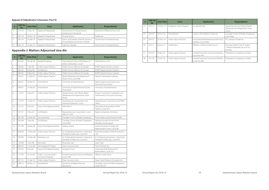#### **Appeal of Adjudicator's Decision: Part IV**

| <b>LRB File</b><br>No. | <b>Date Filed</b> | <b>Issue</b>          | <b>Applicant(s)</b>                                                      | <b>Respondent(s)</b>              |
|------------------------|-------------------|-----------------------|--------------------------------------------------------------------------|-----------------------------------|
| $273 - 16$             | $7$ -Dec-16       | Appeal of Adjudicator | Government of Saskatchewan,<br>Employment Standards                      | Streamline Oilfield Services Ltd. |
| 242-18                 | 26-Nov-18         | Appeal of Adjudicator | Young, Tammy                                                             | SaskPower                         |
| $042 - 19$             | 25-Feb-19         | Appeal of Adjudicator | Farms and Families of North America<br>Incorporated o/a Farmers of North | Government of Saskatchewan        |
| 062-19                 | 19-Mar-19         | Appeal of Adjudicator | Lapchuk, David B.                                                        | Government of Saskatchewan        |

## **Appendix J: Matters Adjourned sine die**

| #              | <b>LRB File</b><br>No. | <b>Date Filed</b> | <b>Issue</b>                                | <b>Applicant(s)</b>                                                          | <b>Respondent(s)</b>                                                      |
|----------------|------------------------|-------------------|---------------------------------------------|------------------------------------------------------------------------------|---------------------------------------------------------------------------|
|                | $016 - 06$             | 10-Feb-06         | Related Employer                            | International Union of Bricklayers &<br>Allied Craftworkers, Local 1         | Delta Masonry Ltd.                                                        |
| $\overline{2}$ | 046-06                 | 7-Apr-06          | Unfair Labour Practice                      | Public Service Alliance of Canada                                            | RCMP Depot Division Canteen                                               |
| $\overline{3}$ | 063-06                 | 8-May-06          | Certification                               | Public Service Alliance of Canada                                            | RCMP Depot Division Canteen                                               |
| $\overline{4}$ | 064-06                 | 8-May-06          | Unfair Labour Practice                      | Public Service Alliance of Canada                                            | RCMP Depot Division Canteen                                               |
| 5              | 033-07                 | 21-Mar-07         | Unfair Labour Practice                      | Retail, Wholesale and Department<br>Store Union, Local 568                   | Johner's Homestyle Catering                                               |
| 6              | 036-07                 | 30-Mar-07         | Amendment                                   | University of Saskatchewan                                                   | Administrative and Supervisory<br>Personnel Association                   |
| $\overline{7}$ | 058-07                 | 31-May-07         | Amendment                                   | University of Saskatchewan Faculty<br>Association                            | University of Saskatchewan                                                |
| 8              | 110-07                 | 5-Sep-07          | Unfair Labour Practice                      | Saskatchewan Joint Board, Retail,<br>Wholesale and Department Store<br>Union | Empire Investment Corporation o/a<br>Northwood Inn & Suites (Formerly     |
| 9              | $113 - 07$             | 13-Sep-07         | Unfair Labour Practice                      | Saskatchewan Government and<br>General Employees' Union                      | Saskatchewan Corrections and Public<br>Safety                             |
| 10             | $121 - 07$             | 9-Oct-07          | Duty of Fair Representation                 | Hall, Dale G.                                                                | International Association of Fire<br>Fighters, Local 553                  |
| 11             | $131 - 07$             | $2-Nov-07$        | Certification                               | Regina Musicians Association, Local<br>446, A.F. of M.                       | Regina Symphony Orchestra                                                 |
| 12             | 031-08                 | 25-Mar-08         | Successorship                               | Canadian Union of Public Employees                                           | Prairie Valley School Division #208                                       |
| 13             | 039-08                 | 7-Apr-08          | Certification                               | Canadian Union of Public Employees,<br>Local 4897                            | Parkland Society for Aid of the<br>Mentally Handicapped                   |
| 14             | $051 - 08$             | 30-Apr-08         | Duty of Fair Representation                 | Osberg, Shane                                                                | Communications, Energy and<br>Paperworkers Union, Local 48                |
| 15             | 058-08                 | 13-May-08         | Unfair Labour Practice                      | IU of Operating Engineers, Hoisting &<br>Portable & Stationary, Local 870    | Rural Municipality of Montmartre No.<br>126                               |
| 16             | 059-08                 | 13-May-08         | Monetary Loss                               | IU of Operating Engineers, Hoisting &<br>Portable & Stationary, Local 870    | IU of Operating Engineers, Hoisting &<br>Portable & Stationary, Local 870 |
| 17             | 150-08                 | $2$ -Jun-08       | Rescission                                  | Doucette, Gail                                                               | Giant Tiger                                                               |
| 18             | 064-09                 | 17-Jun-09         | Technological Change                        | Grain Services Union                                                         | Titan Ventures Inc.                                                       |
| 19             | 076-09                 | 9-Jul-09          | Duty of Fair Representation                 | Granger, Ernest                                                              | International Brotherhood of<br>Boilermakers, Local 555                   |
| 20             | 117-09                 | 16-Oct-09         | Unfair / Successorship /<br>Common Employer | United Food and Commercial Workers.<br>Local 1400                            | Affinity Credit Union                                                     |
| 21             | 037-10                 | 13-Apr-10         | Unfair Labour Practice                      | Grain Services Union                                                         | Dawn Food Products (Canada) Ltd.                                          |
| 22             | 208-12                 | 28-Nov-12         | Amendment                                   | University of Regina (Human<br>Resources)                                    | Canadian Union of Public Employees,<br>Local 1975-01                      |

| #  | <b>LRB File</b><br>No. | <b>Date Filed</b> | <b>Issue</b>           | <b>Applicant(s)</b>                                            | <b>Respondent(s)</b>                                                         |
|----|------------------------|-------------------|------------------------|----------------------------------------------------------------|------------------------------------------------------------------------------|
| 23 | $276 - 14$             | $19$ -Dec-14      | Employee-Union Dispute | Luciuk, Michael                                                | Saskatchewan Joint Board, Retail,<br>Wholesale and Department Store<br>Union |
| 24 | 136-16                 | 20-Jun-16         | Amendment              | Cypress Hills Abilities Centre Inc.                            | Canadian Union of Public Employees,<br>Local 3462                            |
| 25 | 258-16                 | $22-Nov-16$       | Unfair Labour Practice | International Brotherhood of Electrical<br>Workers, Local 2038 | PCL Intracon Power Inc.                                                      |
| 26 | $130 - 17$             | 26-Jun-17         | Certification          | Workers United Canada Council                                  | Amenity Health Care LP and/or<br>7169320 Manitoba Ltd. o/a Tim<br>Hortons    |
| 27 | 109-18                 | 4-May-18          | Unfair Labour Practice | United Food and Commercial Workers,<br>Local No. 649           | Federated Co-operative Limited                                               |
| 28 | $152 - 18$             | $13 -  u  - 18$   | Unfair Labour Practice | United Food and Commercial Workers.<br>Local No. 649           | Federated Co-operative Limited                                               |